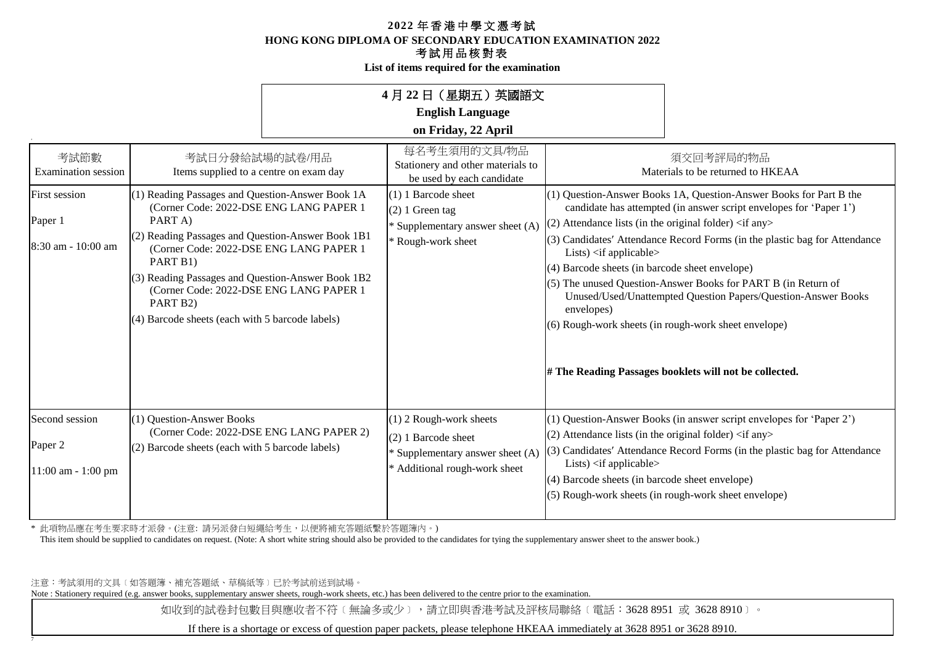**List of items required for the examination**

|                                                                                      |                                                                                                                                                                                                                                                                                                                                                                                                                                               | 4月 22 日(星期五)英國語文<br><b>English Language</b><br>on Friday, 22 April                                                                                                                     |                                                                                                                                                                                                                                                                                                                                                                                                                                                                                                                                                                                                                                                                                                                          |  |
|--------------------------------------------------------------------------------------|-----------------------------------------------------------------------------------------------------------------------------------------------------------------------------------------------------------------------------------------------------------------------------------------------------------------------------------------------------------------------------------------------------------------------------------------------|----------------------------------------------------------------------------------------------------------------------------------------------------------------------------------------|--------------------------------------------------------------------------------------------------------------------------------------------------------------------------------------------------------------------------------------------------------------------------------------------------------------------------------------------------------------------------------------------------------------------------------------------------------------------------------------------------------------------------------------------------------------------------------------------------------------------------------------------------------------------------------------------------------------------------|--|
| 考試節數<br><b>Examination</b> session<br>First session<br>Paper 1<br>8:30 am - 10:00 am | 考試日分發給試場的試卷/用品<br>Items supplied to a centre on exam day<br>(1) Reading Passages and Question-Answer Book 1A<br>(Corner Code: 2022-DSE ENG LANG PAPER 1<br>PART A)<br>(2) Reading Passages and Question-Answer Book 1B1<br>(Corner Code: 2022-DSE ENG LANG PAPER 1<br>PART B1)<br>(3) Reading Passages and Question-Answer Book 1B2<br>(Corner Code: 2022-DSE ENG LANG PAPER 1<br>PART B2)<br>(4) Barcode sheets (each with 5 barcode labels) | 每名考生須用的文具/物品<br>Stationery and other materials to<br>be used by each candidate<br>$(1)$ 1 Barcode sheet<br>$(2)$ 1 Green tag<br>* Supplementary answer sheet (A)<br>* Rough-work sheet | 須交回考評局的物品<br>Materials to be returned to HKEAA<br>(1) Question-Answer Books 1A, Question-Answer Books for Part B the<br>candidate has attempted (in answer script envelopes for 'Paper 1')<br>$(2)$ Attendance lists (in the original folder) $\langle$ if any $\rangle$<br>$(3)$ Candidates' Attendance Record Forms (in the plastic bag for Attendance<br>Lists) $\langle$ if applicable $\rangle$<br>(4) Barcode sheets (in barcode sheet envelope)<br>(5) The unused Question-Answer Books for PART B (in Return of<br>Unused/Used/Unattempted Question Papers/Question-Answer Books<br>envelopes)<br>(6) Rough-work sheets (in rough-work sheet envelope)<br># The Reading Passages booklets will not be collected. |  |
| Second session<br>Paper 2<br>$11:00$ am - $1:00$ pm                                  | (1) Question-Answer Books<br>(Corner Code: 2022-DSE ENG LANG PAPER 2)<br>(2) Barcode sheets (each with 5 barcode labels)                                                                                                                                                                                                                                                                                                                      | $(1)$ 2 Rough-work sheets<br>$(2)$ 1 Barcode sheet<br>* Supplementary answer sheet (A)<br>* Additional rough-work sheet                                                                | (1) Question-Answer Books (in answer script envelopes for 'Paper 2')<br>$(2)$ Attendance lists (in the original folder) $\langle$ if any $\rangle$<br>$(3)$ Candidates' Attendance Record Forms (in the plastic bag for Attendance<br>Lists) <if applicable=""><br/><math>(4)</math> Barcode sheets (in barcode sheet envelope)<br/>(5) Rough-work sheets (in rough-work sheet envelope)</if>                                                                                                                                                                                                                                                                                                                            |  |

\* 此項物品應在考生要求時才派發。(注意: 請另派發白短繩給考生,以便將補充答題紙繫於答題簿內。)

This item should be supplied to candidates on request. (Note: A short white string should also be provided to the candidates for tying the supplementary answer sheet to the answer book.)

注意:考試須用的文具﹝如答題簿、補充答題紙、草稿紙等﹞已於考試前送到試場。

7

Note : Stationery required (e.g. answer books, supplementary answer sheets, rough-work sheets, etc.) has been delivered to the centre prior to the examination.

如收到的試卷封包數目與應收者不符〔無論多或少〕,請立即與香港考試及評核局聯絡〔電話:3628 8951 或 3628 8910〕。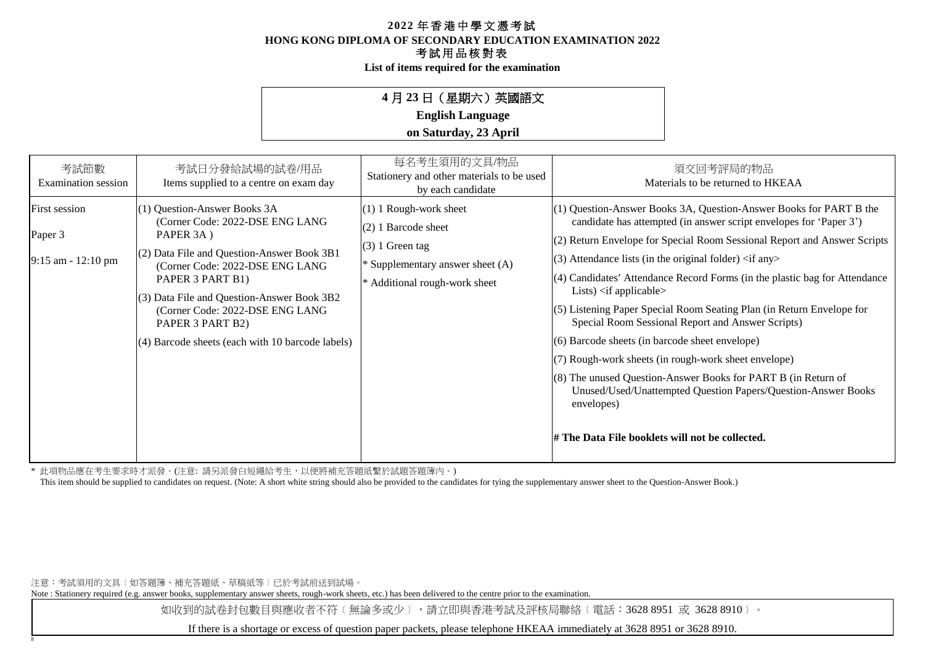**List of items required for the examination**

## **4** 月 **23** 日(星期六)英國語文

**English Language**

## **on Saturday, 23 April**

| 考試節數<br>Examination session                      | 考試日分發給試場的試卷/用品<br>Items supplied to a centre on exam day                                                                                                                                                                                                                                                                                       | 每名考生須用的文具/物品<br>Stationery and other materials to be used<br>by each candidate                                                                | 須交回考評局的物品<br>Materials to be returned to HKEAA                                                                                                                                                                                                                                                                                                                                                                                                                                                                                                                                                                                                                                                                                                                                                                                                                                    |
|--------------------------------------------------|------------------------------------------------------------------------------------------------------------------------------------------------------------------------------------------------------------------------------------------------------------------------------------------------------------------------------------------------|-----------------------------------------------------------------------------------------------------------------------------------------------|-----------------------------------------------------------------------------------------------------------------------------------------------------------------------------------------------------------------------------------------------------------------------------------------------------------------------------------------------------------------------------------------------------------------------------------------------------------------------------------------------------------------------------------------------------------------------------------------------------------------------------------------------------------------------------------------------------------------------------------------------------------------------------------------------------------------------------------------------------------------------------------|
| First session<br>Paper 3<br>$9:15$ am - 12:10 pm | (1) Question-Answer Books 3A<br>(Corner Code: 2022-DSE ENG LANG<br>PAPER 3A)<br>(2) Data File and Question-Answer Book 3B1<br>(Corner Code: 2022-DSE ENG LANG<br>PAPER 3 PART B1)<br>$(3)$ Data File and Question-Answer Book 3B2<br>(Corner Code: 2022-DSE ENG LANG<br>PAPER 3 PART B2)<br>$(4)$ Barcode sheets (each with 10 barcode labels) | $(1)$ 1 Rough-work sheet<br>$(2)$ 1 Barcode sheet<br>$(3)$ 1 Green tag<br>* Supplementary answer sheet $(A)$<br>* Additional rough-work sheet | $(1)$ Question-Answer Books 3A, Question-Answer Books for PART B the<br>candidate has attempted (in answer script envelopes for 'Paper 3')<br>(2) Return Envelope for Special Room Sessional Report and Answer Scripts<br>$(3)$ Attendance lists (in the original folder) $\langle$ if any $\rangle$<br>$(4)$ Candidates' Attendance Record Forms (in the plastic bag for Attendance<br>Lists) $\langle$ if applicable $\rangle$<br>$(5)$ Listening Paper Special Room Seating Plan (in Return Envelope for<br>Special Room Sessional Report and Answer Scripts)<br>$(6)$ Barcode sheets (in barcode sheet envelope)<br>(7) Rough-work sheets (in rough-work sheet envelope)<br>$(8)$ The unused Question-Answer Books for PART B (in Return of<br>Unused/Used/Unattempted Question Papers/Question-Answer Books<br>envelopes)<br># The Data File booklets will not be collected. |

\* 此項物品應在考生要求時才派發。(注意: 請另派發白短繩給考生,以便將補充答題紙繫於試題答題簿內。)

This item should be supplied to candidates on request. (Note: A short white string should also be provided to the candidates for tying the supplementary answer sheet to the Question-Answer Book.)

注意:考試須用的文具﹝如答題簿、補充答題紙、草稿紙等﹞已於考試前送到試場。

8

Note : Stationery required (e.g. answer books, supplementary answer sheets, rough-work sheets, etc.) has been delivered to the centre prior to the examination.

如收到的試卷封包數目與應收者不符〔無論多或少〕,請立即與香港考試及評核局聯絡〔電話:3628 8951 或 3628 8910〕。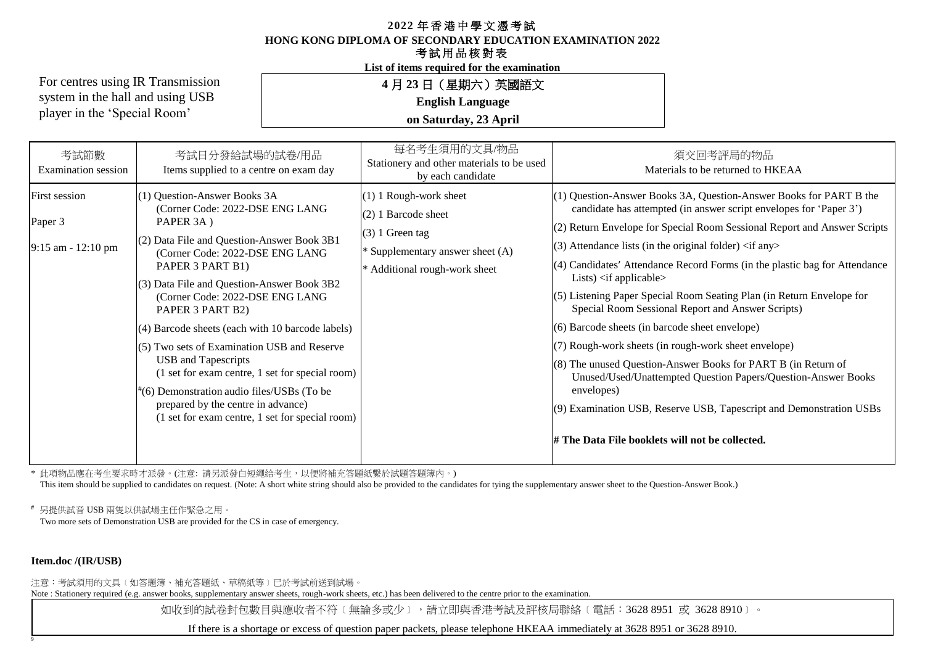**HONG KONG DIPLOMA OF SECONDARY EDUCATION EXAMINATION 2022**

### 考試用品核對表

**List of items required for the examination**

For centres using IR Transmission system in the hall and using USB player in the 'Special Room'

**4** 月 **23** 日(星期六)英國語文

**English Language**

**on Saturday, 23 April**

| 考試節數<br><b>Examination</b> session               | 考試日分發給試場的試卷/用品<br>Items supplied to a centre on exam day                                                                                                                                                                                                                                                                                                                                                                                                                                                                                                                                                             | 每名考生須用的文具/物品<br>Stationery and other materials to be used<br>by each candidate                                                          | 須交回考評局的物品<br>Materials to be returned to HKEAA                                                                                                                                                                                                                                                                                                                                                                                                                                                                                                                                                                                                                                                                                                                                                                                                                                                                                                 |
|--------------------------------------------------|----------------------------------------------------------------------------------------------------------------------------------------------------------------------------------------------------------------------------------------------------------------------------------------------------------------------------------------------------------------------------------------------------------------------------------------------------------------------------------------------------------------------------------------------------------------------------------------------------------------------|-----------------------------------------------------------------------------------------------------------------------------------------|------------------------------------------------------------------------------------------------------------------------------------------------------------------------------------------------------------------------------------------------------------------------------------------------------------------------------------------------------------------------------------------------------------------------------------------------------------------------------------------------------------------------------------------------------------------------------------------------------------------------------------------------------------------------------------------------------------------------------------------------------------------------------------------------------------------------------------------------------------------------------------------------------------------------------------------------|
| First session<br>Paper 3<br>$9:15$ am - 12:10 pm | (1) Question-Answer Books 3A<br>(Corner Code: 2022-DSE ENG LANG<br>PAPER 3A)<br>$(2)$ Data File and Question-Answer Book 3B1<br>(Corner Code: 2022-DSE ENG LANG<br>PAPER 3 PART B1)<br>(3) Data File and Question-Answer Book 3B2<br>(Corner Code: 2022-DSE ENG LANG<br>PAPER 3 PART B2)<br>(4) Barcode sheets (each with 10 barcode labels)<br>$(5)$ Two sets of Examination USB and Reserve<br><b>USB</b> and Tapescripts<br>(1 set for exam centre, 1 set for special room)<br>(6) Demonstration audio files/USBs (To be<br>prepared by the centre in advance)<br>(1 set for exam centre, 1 set for special room) | (1) 1 Rough-work sheet<br>(2) 1 Barcode sheet<br>$(3)$ 1 Green tag<br>* Supplementary answer sheet (A)<br>* Additional rough-work sheet | (1) Question-Answer Books 3A, Question-Answer Books for PART B the<br>candidate has attempted (in answer script envelopes for 'Paper 3')<br>(2) Return Envelope for Special Room Sessional Report and Answer Scripts<br>(3) Attendance lists (in the original folder) $\langle$ if any $\rangle$<br>(4) Candidates' Attendance Record Forms (in the plastic bag for Attendance<br>Lists) $\langle$ if applicable $\rangle$<br>(5) Listening Paper Special Room Seating Plan (in Return Envelope for<br>Special Room Sessional Report and Answer Scripts)<br>(6) Barcode sheets (in barcode sheet envelope)<br>(7) Rough-work sheets (in rough-work sheet envelope)<br>$(8)$ The unused Question-Answer Books for PART B (in Return of<br>Unused/Used/Unattempted Question Papers/Question-Answer Books<br>envelopes)<br>(9) Examination USB, Reserve USB, Tapescript and Demonstration USBs<br># The Data File booklets will not be collected. |

\* 此項物品應在考生要求時才派發。(注意: 請另派發白短繩給考生,以便將補充答題紙繫於試題答題簿內。)

This item should be supplied to candidates on request. (Note: A short white string should also be provided to the candidates for tying the supplementary answer sheet to the Question-Answer Book.)

**#** 另提供試音 USB 兩隻以供試場主任作緊急之用。

Two more sets of Demonstration USB are provided for the CS in case of emergency.

#### **Item.doc /(IR/USB)**

9

注意:考試須用的文具﹝如答題簿、補充答題紙、草稿紙等﹞已於考試前送到試場。

Note : Stationery required (e.g. answer books, supplementary answer sheets, rough-work sheets, etc.) has been delivered to the centre prior to the examination.

如收到的試卷封包數目與應收者不符〔無論多或少〕,請立即與香港考試及評核局聯絡〔電話:3628 8951 或 3628 8910〕。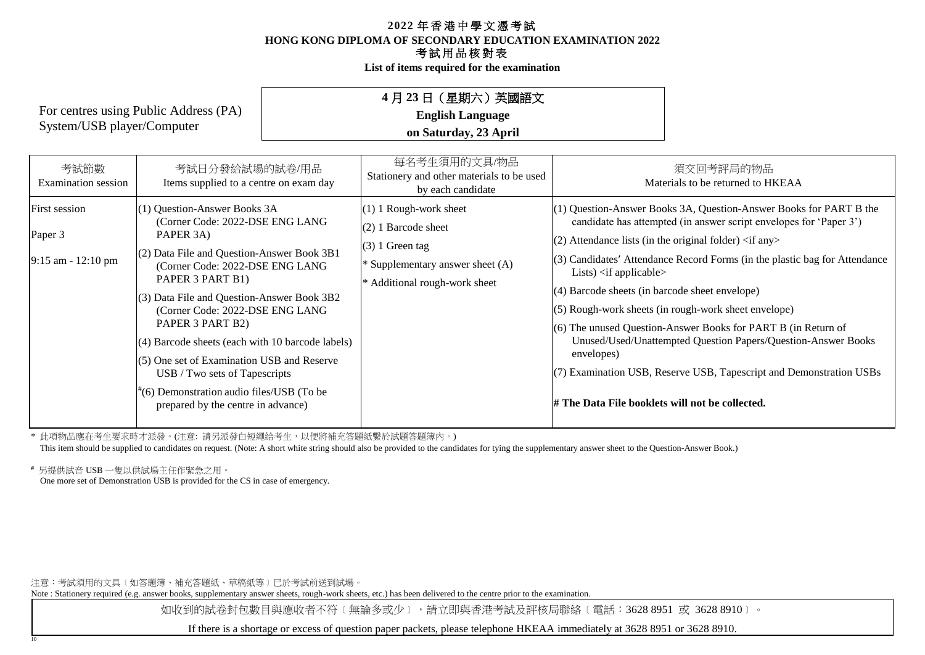**List of items required for the examination**

## **4** 月 **23** 日(星期六)英國語文

**English Language**

**on Saturday, 23 April**

| 考試節數<br>Examination session                      | 考試日分發給試場的試卷/用品<br>Items supplied to a centre on exam day                                                                                                                                                                                                                                                                                                                                                                                                                                                             | 每名考生須用的文具/物品<br>Stationery and other materials to be used<br>by each candidate                                                              | 須交回考評局的物品<br>Materials to be returned to HKEAA                                                                                                                                                                                                                                                                                                                                                                                                                                                                                                                                                                                                                                                                                                 |
|--------------------------------------------------|----------------------------------------------------------------------------------------------------------------------------------------------------------------------------------------------------------------------------------------------------------------------------------------------------------------------------------------------------------------------------------------------------------------------------------------------------------------------------------------------------------------------|---------------------------------------------------------------------------------------------------------------------------------------------|------------------------------------------------------------------------------------------------------------------------------------------------------------------------------------------------------------------------------------------------------------------------------------------------------------------------------------------------------------------------------------------------------------------------------------------------------------------------------------------------------------------------------------------------------------------------------------------------------------------------------------------------------------------------------------------------------------------------------------------------|
| First session<br>Paper 3<br>$9:15$ am - 12:10 pm | (1) Question-Answer Books 3A<br>(Corner Code: 2022-DSE ENG LANG<br>PAPER 3A)<br>$(2)$ Data File and Question-Answer Book 3B1<br>(Corner Code: 2022-DSE ENG LANG<br>PAPER 3 PART B1)<br>$(3)$ Data File and Question-Answer Book 3B2<br>(Corner Code: 2022-DSE ENG LANG<br>PAPER 3 PART B2)<br>$(4)$ Barcode sheets (each with 10 barcode labels)<br>$(5)$ One set of Examination USB and Reserve<br>USB / Two sets of Tapescripts<br>#(6) Demonstration audio files/USB (To be<br>prepared by the centre in advance) | $(1)$ 1 Rough-work sheet<br>$(2)$ 1 Barcode sheet<br>$(3)$ 1 Green tag<br>* Supplementary answer sheet (A)<br>* Additional rough-work sheet | $(1)$ Question-Answer Books 3A, Question-Answer Books for PART B the<br>candidate has attempted (in answer script envelopes for 'Paper 3')<br>$(2)$ Attendance lists (in the original folder) $\langle$ if any $\rangle$<br>$(3)$ Candidates' Attendance Record Forms (in the plastic bag for Attendance<br>Lists) $\langle$ if applicable $\rangle$<br>$(4)$ Barcode sheets (in barcode sheet envelope)<br>$(5)$ Rough-work sheets (in rough-work sheet envelope)<br>$(6)$ The unused Question-Answer Books for PART B (in Return of<br>Unused/Used/Unattempted Question Papers/Question-Answer Books<br>envelopes)<br>(7) Examination USB, Reserve USB, Tapescript and Demonstration USBs<br># The Data File booklets will not be collected. |

\* 此項物品應在考生要求時才派發。(注意: 請另派發白短繩給考生,以便將補充答題紙繫於試題答題簿內。)

This item should be supplied to candidates on request. (Note: A short white string should also be provided to the candidates for tying the supplementary answer sheet to the Question-Answer Book.)

**#** 另提供試音 USB 一隻以供試場主任作緊急之用。

10

One more set of Demonstration USB is provided for the CS in case of emergency.

注意:考試須用的文具﹝如答題簿、補充答題紙、草稿紙等﹞已於考試前送到試場。

Note : Stationery required (e.g. answer books, supplementary answer sheets, rough-work sheets, etc.) has been delivered to the centre prior to the examination.

如收到的試卷封包數目與應收者不符〔無論多或少〕,請立即與香港考試及評核局聯絡〔電話:3628 8951 或 3628 8910〕。

If there is a shortage or excess of question paper packets, please telephone HKEAA immediately at 3628 8951 or 3628 8910.

For centres using Public Address (PA) System/USB player/Computer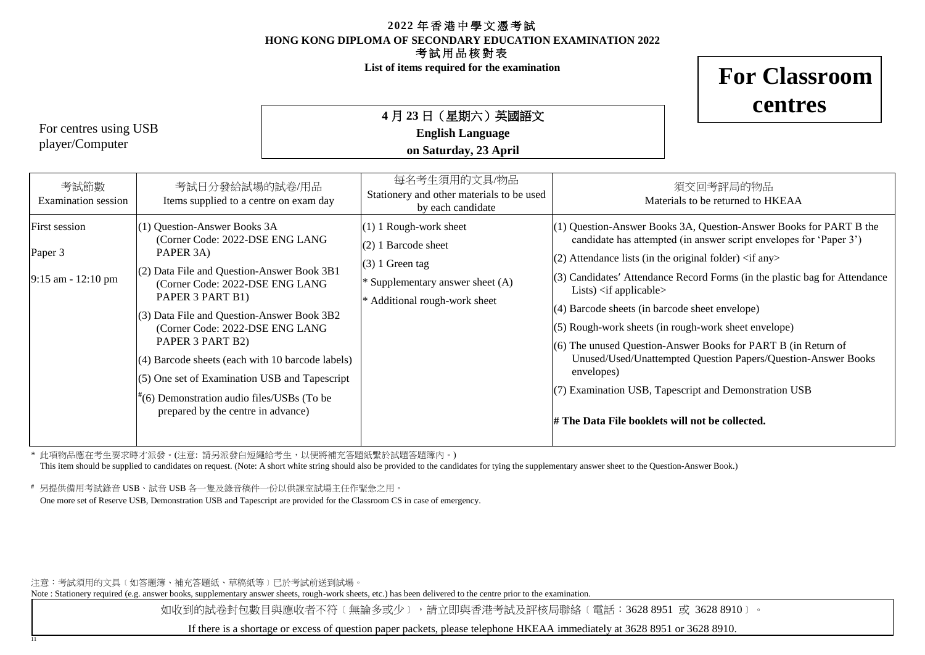**List of items required for the examination**

**For Classroom**

**centres**

For centres using USB player/Computer

11

**4** 月 **23** 日(星期六)英國語文 **English Language on Saturday, 23 April**

| 考試節數<br>Examination session                    | 考試日分發給試場的試卷/用品<br>Items supplied to a centre on exam day                                                                                                                                                                                                                                                                                                                                                                                                                             | 每名考生須用的文具/物品<br>Stationery and other materials to be used<br>by each candidate                                                              | 須交回考評局的物品<br>Materials to be returned to HKEAA                                                                                                                                                                                                                                                                                                                                                                                                                                                                                                                                                                                                                                                                                     |
|------------------------------------------------|--------------------------------------------------------------------------------------------------------------------------------------------------------------------------------------------------------------------------------------------------------------------------------------------------------------------------------------------------------------------------------------------------------------------------------------------------------------------------------------|---------------------------------------------------------------------------------------------------------------------------------------------|------------------------------------------------------------------------------------------------------------------------------------------------------------------------------------------------------------------------------------------------------------------------------------------------------------------------------------------------------------------------------------------------------------------------------------------------------------------------------------------------------------------------------------------------------------------------------------------------------------------------------------------------------------------------------------------------------------------------------------|
| First session<br>Paper 3<br>9:15 am - 12:10 pm | (1) Question-Answer Books 3A<br>(Corner Code: 2022-DSE ENG LANG<br>PAPER 3A)<br>$(2)$ Data File and Question-Answer Book 3B1<br>(Corner Code: 2022-DSE ENG LANG<br>PAPER 3 PART B1)<br>$(3)$ Data File and Question-Answer Book 3B2<br>(Corner Code: 2022-DSE ENG LANG<br>PAPER 3 PART B2)<br>(4) Barcode sheets (each with 10 barcode labels)<br>$(5)$ One set of Examination USB and Tapescript<br>(6) Demonstration audio files/USBs (To be<br>prepared by the centre in advance) | $(1)$ 1 Rough-work sheet<br>$(2)$ 1 Barcode sheet<br>$(3)$ 1 Green tag<br>* Supplementary answer sheet (A)<br>* Additional rough-work sheet | $(1)$ Question-Answer Books 3A, Question-Answer Books for PART B the<br>candidate has attempted (in answer script envelopes for 'Paper 3')<br>$(2)$ Attendance lists (in the original folder) $\langle$ if any $\rangle$<br>$(3)$ Candidates' Attendance Record Forms (in the plastic bag for Attendance<br>Lists) $\langle$ if applicable $\rangle$<br>$(4)$ Barcode sheets (in barcode sheet envelope)<br>$(5)$ Rough-work sheets (in rough-work sheet envelope)<br>$(6)$ The unused Question-Answer Books for PART B (in Return of<br>Unused/Used/Unattempted Question Papers/Question-Answer Books<br>envelopes)<br>$(7)$ Examination USB, Tapescript and Demonstration USB<br># The Data File booklets will not be collected. |
|                                                |                                                                                                                                                                                                                                                                                                                                                                                                                                                                                      |                                                                                                                                             |                                                                                                                                                                                                                                                                                                                                                                                                                                                                                                                                                                                                                                                                                                                                    |

\* 此項物品應在考生要求時才派發。(注意: 請另派發白短繩給考生,以便將補充答題紙繫於試題答題簿內。)

This item should be supplied to candidates on request. (Note: A short white string should also be provided to the candidates for tying the supplementary answer sheet to the Question-Answer Book.)

**#** 另提供備用考試錄音 USB、試音 USB 各一隻及錄音稿件一份以供課室試場主任作緊急之用。

One more set of Reserve USB, Demonstration USB and Tapescript are provided for the Classroom CS in case of emergency.

注意:考試須用的文具﹝如答題簿、補充答題紙、草稿紙等﹞已於考試前送到試場。

Note : Stationery required (e.g. answer books, supplementary answer sheets, rough-work sheets, etc.) has been delivered to the centre prior to the examination.

如收到的試卷封包數目與應收者不符〔無論多或少〕,請立即與香港考試及評核局聯絡〔電話:3628 8951 或 3628 8910〕。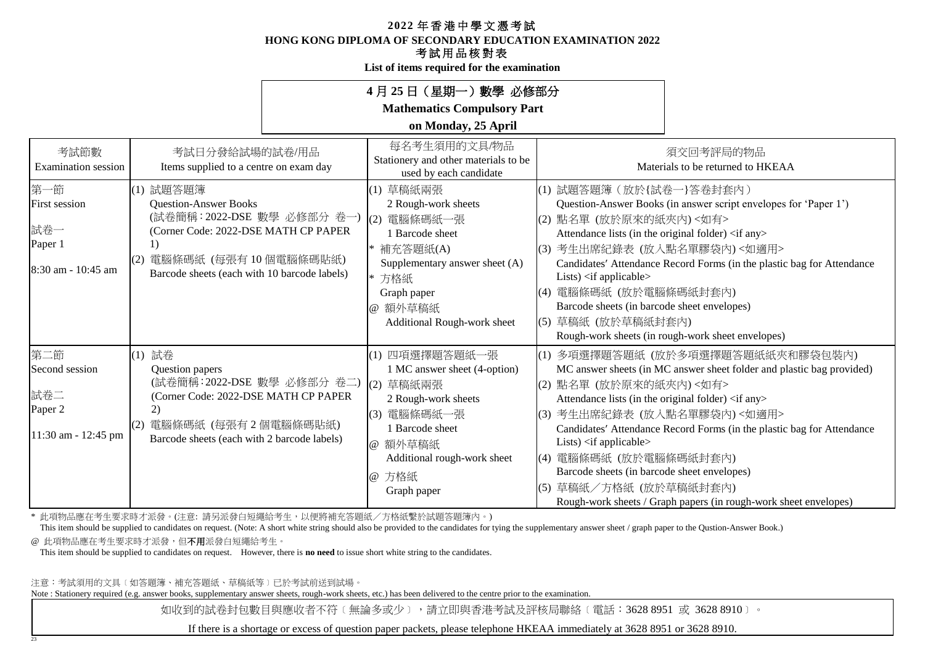**HONG KONG DIPLOMA OF SECONDARY EDUCATION EXAMINATION 2022**

## 考試用品核對表

**List of items required for the examination**

|                                                                     |                                                                                                                                                                                          | 4月25日 (星期一) 數學 必修部分                                                                                                                                                                    |                                                                                                                                                                                                                                                                                                                             |                                                                                                                                                                                                                                                          |
|---------------------------------------------------------------------|------------------------------------------------------------------------------------------------------------------------------------------------------------------------------------------|----------------------------------------------------------------------------------------------------------------------------------------------------------------------------------------|-----------------------------------------------------------------------------------------------------------------------------------------------------------------------------------------------------------------------------------------------------------------------------------------------------------------------------|----------------------------------------------------------------------------------------------------------------------------------------------------------------------------------------------------------------------------------------------------------|
|                                                                     |                                                                                                                                                                                          | <b>Mathematics Compulsory Part</b><br>on Monday, 25 April                                                                                                                              |                                                                                                                                                                                                                                                                                                                             |                                                                                                                                                                                                                                                          |
| 考試節數<br><b>Examination</b> session                                  | 考試日分發給試場的試卷/用品<br>Items supplied to a centre on exam day                                                                                                                                 | 每名考生須用的文具/物品<br>Stationery and other materials to be<br>used by each candidate                                                                                                         |                                                                                                                                                                                                                                                                                                                             | 須交回考評局的物品<br>Materials to be returned to HKEAA                                                                                                                                                                                                           |
| 第一節<br><b>First session</b><br>試卷一<br>Paper 1<br>8:30 am - 10:45 am | (1) 試題答題簿<br><b>Question-Answer Books</b><br>(試卷簡稱: 2022-DSE 數學 必修部分 卷一)<br>(Corner Code: 2022-DSE MATH CP PAPER<br>電腦條碼紙 (每張有10個電腦條碼貼紙)<br>Barcode sheets (each with 10 barcode labels) | (1) 草稿紙兩張<br>2 Rough-work sheets<br>(2) 電腦條碼紙一張<br>1 Barcode sheet<br>補充答題紙(A)<br>Supplementary answer sheet (A)<br>* 方格紙<br>Graph paper<br>@ 額外草稿紙<br>Additional Rough-work sheet     | (1) 試題答題簿 (放於{試卷一}答卷封套內)<br>(2) 點名單 (放於原來的紙夾內) <如有><br>Attendance lists (in the original folder) <if any=""><br/>(3) 考生出席紀錄表 (放入點名單膠袋內)&lt;如適用&gt;<br/>Lists) <math>\langle</math>if applicable<math>\rangle</math><br/>(4) 電腦條碼紙 (放於電腦條碼紙封套內)<br/>Barcode sheets (in barcode sheet envelopes)<br/> (5) 草稿紙 (放於草稿紙封套內)</if> | Question-Answer Books (in answer script envelopes for 'Paper 1')<br>Candidates' Attendance Record Forms (in the plastic bag for Attendance<br>Rough-work sheets (in rough-work sheet envelopes)                                                          |
| 第二節<br>Second session<br>試卷二<br>Paper 2<br>11:30 am - 12:45 pm      | (1) 試卷<br>Question papers<br>(試卷簡稱: 2022-DSE 數學 必修部分 卷二)<br>(Corner Code: 2022-DSE MATH CP PAPER<br>$\mathbf{2}$<br>電腦條碼紙 (每張有2個電腦條碼貼紙)<br>Barcode sheets (each with 2 barcode labels)   | (1) 四項選擇題答題紙一張<br>1 MC answer sheet (4-option)<br>(2) 草稿紙兩張<br>2 Rough-work sheets<br>(3) 電腦條碼紙一張<br>1 Barcode sheet<br>@ 額外草稿紙<br>Additional rough-work sheet<br>@ 方格紙<br>Graph paper | (2) 點名單 (放於原來的紙夾內)<如有><br>Attendance lists (in the original folder) <if any=""><br/>(3) 考生出席紀錄表 (放入點名單膠袋內)&lt;如適用&gt;<br/>Lists) <if applicable=""><br/>(4) 電腦條碼紙 (放於電腦條碼紙封套內)<br/>Barcode sheets (in barcode sheet envelopes)<br/>(5) 草稿紙/方格紙 (放於草稿紙封套內)</if></if>                                                         | (1) 多項選擇題答題紙 (放於多項選擇題答題紙紙夾和膠袋包裝內)<br>MC answer sheets (in MC answer sheet folder and plastic bag provided)<br>Candidates' Attendance Record Forms (in the plastic bag for Attendance<br>Rough-work sheets / Graph papers (in rough-work sheet envelopes) |

\* 此項物品應在考生要求時才派發。(注意: 請另派發白短繩給考生,以便將補充答題紙/方格紙繫於試題答題簿內。)

This item should be supplied to candidates on request. (Note: A short white string should also be provided to the candidates for tying the supplementary answer sheet / graph paper to the Qustion-Answer Book.) @ 此項物品應在考生要求時才派發,但不用派發白短繩給考生。

This item should be supplied to candidates on request. However, there is **no need** to issue short white string to the candidates.

注意:考試須用的文具﹝如答題簿、補充答題紙、草稿紙等﹞已於考試前送到試場。

23

Note : Stationery required (e.g. answer books, supplementary answer sheets, rough-work sheets, etc.) has been delivered to the centre prior to the examination.

如收到的試卷封包數目與應收者不符〔無論多或少〕,請立即與香港考試及評核局聯絡〔電話:3628 8951 或 3628 8910〕。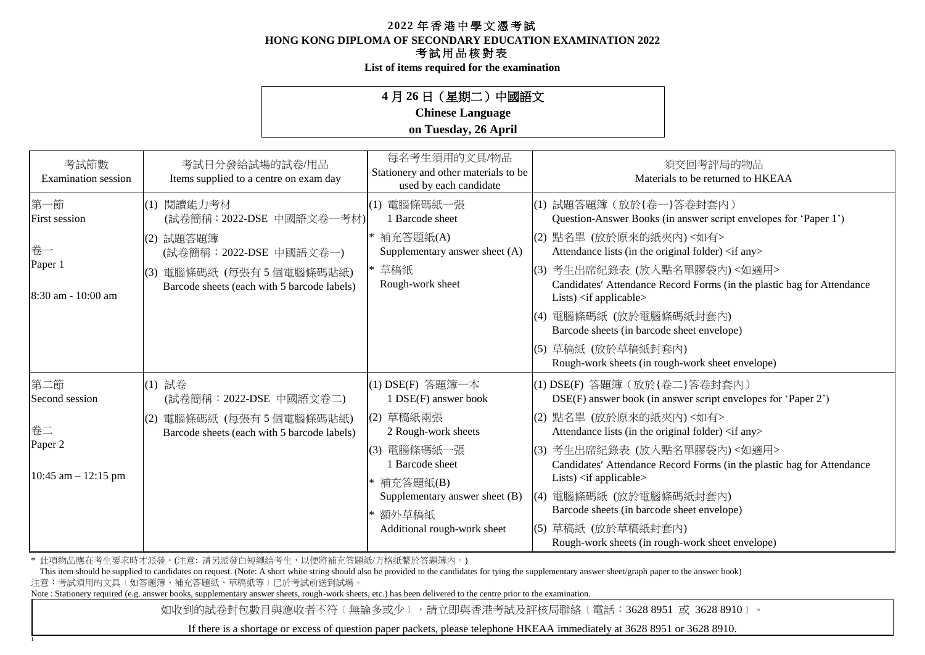**HONG KONG DIPLOMA OF SECONDARY EDUCATION EXAMINATION 2022**

## 考試用品核對表

**List of items required for the examination**

## **4** 月 **26** 日(星期二)中國語文

## **Chinese Language**

## **on Tuesday, 26 April**

| 考試節數<br><b>Examination</b> session | 考試日分發給試場的試卷/用品<br>Items supplied to a centre on exam day                  | 每名考生須用的文具/物品<br>Stationery and other materials to be<br>used by each candidate |     | 須交回考評局的物品<br>Materials to be returned to HKEAA                                                                                                    |
|------------------------------------|---------------------------------------------------------------------------|--------------------------------------------------------------------------------|-----|---------------------------------------------------------------------------------------------------------------------------------------------------|
| 第一節<br>First session               | (1) 閱讀能力考材<br>(試卷簡稱: 2022-DSE 中國語文卷一考材)                                   | (1) 電腦條碼紙一張<br>1 Barcode sheet                                                 |     | (1) 試題答題簿 (放於{卷一}答卷封套內)<br>Question-Answer Books (in answer script envelopes for 'Paper 1')                                                       |
| 卷一                                 | 試題答題簿<br>(2)<br>(試卷簡稱:2022-DSE 中國語文卷一)                                    | 補充答題紙(A)<br>Supplementary answer sheet (A)                                     |     | (2) 點名單 (放於原來的紙夾內) <如有><br>Attendance lists (in the original folder) <if any=""></if>                                                             |
| Paper 1<br>8:30 am - 10:00 am      | 電腦條碼紙 (每張有5個電腦條碼貼紙)<br>(3)<br>Barcode sheets (each with 5 barcode labels) | * 草稿紙<br>Rough-work sheet                                                      |     | (3) 考生出席紀錄表 (放入點名單膠袋內)<如適用><br>Candidates' Attendance Record Forms (in the plastic bag for Attendance<br>Lists) $\langle$ if applicable $\rangle$ |
|                                    |                                                                           |                                                                                | (4) | 電腦條碼紙 (放於電腦條碼紙封套內)<br>Barcode sheets (in barcode sheet envelope)                                                                                  |
|                                    |                                                                           |                                                                                | (5) | 草稿紙 (放於草稿紙封套內)<br>Rough-work sheets (in rough-work sheet envelope)                                                                                |
| 第二節<br>Second session              | (1) 試卷<br>(試卷簡稱: 2022-DSE 中國語文卷二)                                         | (1) DSE(F) 答題簿一本<br>1 DSE(F) answer book                                       |     | (1) DSE(F) 答題簿 (放於{卷二}答卷封套內)<br>DSE(F) answer book (in answer script envelopes for 'Paper 2')                                                     |
| 卷二                                 | 電腦條碼紙 (每張有5個電腦條碼貼紙)<br>(2)<br>Barcode sheets (each with 5 barcode labels) | (2) 草稿紙兩張<br>2 Rough-work sheets                                               |     | (2) 點名單 (放於原來的紙夾內)<如有><br>Attendance lists (in the original folder) <if any=""></if>                                                              |
| Paper 2                            |                                                                           | (3) 電腦條碼紙一張<br>1 Barcode sheet                                                 |     | (3) 考生出席紀錄表 (放入點名單膠袋內)<如適用><br>Candidates' Attendance Record Forms (in the plastic bag for Attendance                                             |
| 10:45 am $-$ 12:15 pm              |                                                                           | * 補充答題紙(B)<br>Supplementary answer sheet (B)<br>額外草稿紙                          |     | Lists) $\langle$ if applicable $\rangle$<br>(4) 電腦條碼紙 (放於電腦條碼紙封套內)<br>Barcode sheets (in barcode sheet envelope)                                  |
|                                    |                                                                           | Additional rough-work sheet                                                    |     | (5) 草稿紙 (放於草稿紙封套內)<br>Rough-work sheets (in rough-work sheet envelope)                                                                            |

\* 此項物品應在考生要求時才派發。(注意: 請另派發白短繩給考生,以便將補充答題紙/方格紙繫於答題簿內。)

1

注意:考試須用的文具﹝如答題簿、補充答題紙、草稿紙等﹞已於考試前送到試場。 This item should be supplied to candidates on request. (Note: A short white string should also be provided to the candidates for tying the supplementary answer sheet/graph paper to the answer book)

Note : Stationery required (e.g. answer books, supplementary answer sheets, rough-work sheets, etc.) has been delivered to the centre prior to the examination.

如收到的試卷封包數目與應收者不符〔無論多或少〕,請立即與香港考試及評核局聯絡〔電話:3628 8951 或 3628 8910〕。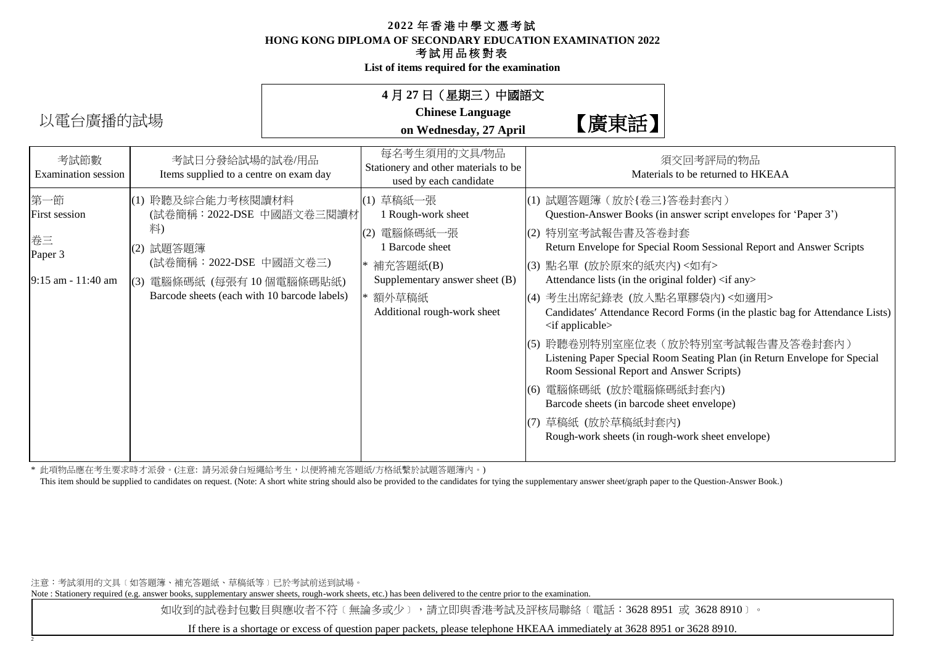**HONG KONG DIPLOMA OF SECONDARY EDUCATION EXAMINATION 2022**

## 考試用品核對表

**List of items required for the examination**

| 以電台廣播的試場                                                    |                                                                                                                                                                            | 4 月 27 日(星期三)中國語文<br><b>Chinese Language</b><br>on Wednesday, 27 April                                                                                    | 【廣東話】                                                                                                                                                                                                                                                                                                                                                                                                                                           |                                                                                                                                                                                                                                                                                                                                             |
|-------------------------------------------------------------|----------------------------------------------------------------------------------------------------------------------------------------------------------------------------|-----------------------------------------------------------------------------------------------------------------------------------------------------------|-------------------------------------------------------------------------------------------------------------------------------------------------------------------------------------------------------------------------------------------------------------------------------------------------------------------------------------------------------------------------------------------------------------------------------------------------|---------------------------------------------------------------------------------------------------------------------------------------------------------------------------------------------------------------------------------------------------------------------------------------------------------------------------------------------|
| 考試節數<br>Examination session                                 | 考試日分發給試場的試卷/用品<br>Items supplied to a centre on exam day                                                                                                                   | 每名考生須用的文具/物品<br>Stationery and other materials to be<br>used by each candidate                                                                            |                                                                                                                                                                                                                                                                                                                                                                                                                                                 | 須交回考評局的物品<br>Materials to be returned to HKEAA                                                                                                                                                                                                                                                                                              |
| 第一節<br>First session<br>卷三<br>Paper 3<br>9:15 am - 11:40 am | (1) 聆聽及綜合能力考核閱讀材料<br>(試卷簡稱:2022-DSE 中國語文卷三閱讀材<br>料)<br>(2) 試題答題簿<br>(試卷簡稱: 2022-DSE 中國語文卷三)<br> (3) 電腦條碼紙 (每張有 10 個電腦條碼貼紙)<br>Barcode sheets (each with 10 barcode labels) | (1) 草稿紙一張<br>1 Rough-work sheet<br>(2) 電腦條碼紙一張<br>1 Barcode sheet<br>* 補充答題紙(B)<br>Supplementary answer sheet (B)<br>額外草稿紙<br>Additional rough-work sheet | (1) 試題答題簿 (放於{卷三}答卷封套內)<br>(2) 特別室考試報告書及答卷封套<br>(3) 點名單 (放於原來的紙夾內) <如有><br>Attendance lists (in the original folder) <if any=""><br/>(4) 考生出席紀錄表 (放入點名單膠袋內)&lt;如適用&gt;<br/><math>\langle</math> if applicable<math>\rangle</math><br/>Room Sessional Report and Answer Scripts)<br/> (6) 電腦條碼紙 (放於電腦條碼紙封套內)<br/>Barcode sheets (in barcode sheet envelope)<br/>草稿紙 (放於草稿紙封套內)<br/>(7)<br/>Rough-work sheets (in rough-work sheet envelope)</if> | Question-Answer Books (in answer script envelopes for 'Paper 3')<br>Return Envelope for Special Room Sessional Report and Answer Scripts<br>Candidates' Attendance Record Forms (in the plastic bag for Attendance Lists)<br> (5) 聆聽卷別特別室座位表(放於特別室考試報告書及答卷封套內)<br>Listening Paper Special Room Seating Plan (in Return Envelope for Special |

\* 此項物品應在考生要求時才派發。(注意: 請另派發白短繩給考生,以便將補充答題紙/方格紙繫於試題答題簿內。)

This item should be supplied to candidates on request. (Note: A short white string should also be provided to the candidates for tying the supplementary answer sheet/graph paper to the Question-Answer Book.)

注意:考試須用的文具﹝如答題簿、補充答題紙、草稿紙等﹞已於考試前送到試場。

2

Note : Stationery required (e.g. answer books, supplementary answer sheets, rough-work sheets, etc.) has been delivered to the centre prior to the examination.

如收到的試卷封包數目與應收者不符〔無論多或少〕,請立即與香港考試及評核局聯絡〔電話:3628 8951 或 3628 8910〕。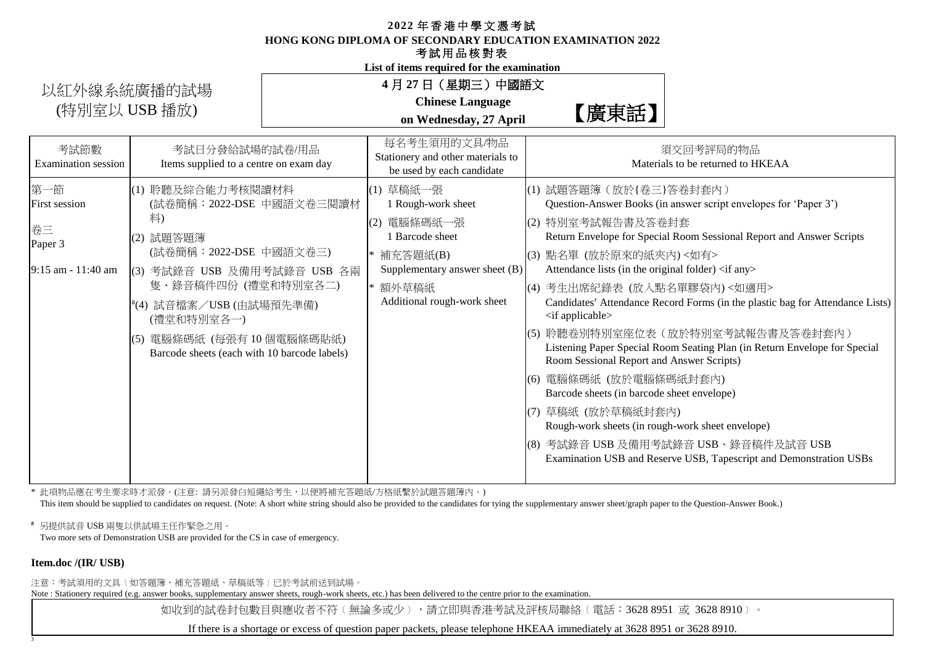**HONG KONG DIPLOMA OF SECONDARY EDUCATION EXAMINATION 2022**

#### 考試用品核對表

**List of items required for the examination**

# 以紅外線系統廣播的試場 (特別室以 USB 播放)  $\blacksquare$  and  $\blacksquare$  and  $\blacksquare$  and  $\blacksquare$  and  $\blacksquare$  and  $\blacksquare$  and  $\blacksquare$  and  $\blacksquare$  and  $\blacksquare$  and  $\blacksquare$  and  $\blacksquare$  and  $\blacksquare$  and  $\blacksquare$  and  $\blacksquare$  and  $\blacksquare$  and  $\blacksquare$  and  $\blacksquare$  and  $\blacksquare$  and  $\blacksquare$  a

## **4** 月 **27** 日(星期三)中國語文

**Chinese Language on Wednesday, 27 April**

| 考試節數<br><b>Examination</b> session                                    | 考試日分發給試場的試卷/用品<br>Items supplied to a centre on exam day                                                                                                                                                                                                                       | 每名考生須用的文具/物品<br>Stationery and other materials to<br>be used by each candidate                                                                             | 須交回考評局的物品<br>Materials to be returned to HKEAA                                                                                                                                                                                                                                                                                                                                                                                                                                                                                                                                                                                                                                                                                                                                                                                                                                                                  |
|-----------------------------------------------------------------------|--------------------------------------------------------------------------------------------------------------------------------------------------------------------------------------------------------------------------------------------------------------------------------|------------------------------------------------------------------------------------------------------------------------------------------------------------|-----------------------------------------------------------------------------------------------------------------------------------------------------------------------------------------------------------------------------------------------------------------------------------------------------------------------------------------------------------------------------------------------------------------------------------------------------------------------------------------------------------------------------------------------------------------------------------------------------------------------------------------------------------------------------------------------------------------------------------------------------------------------------------------------------------------------------------------------------------------------------------------------------------------|
| 第一節<br><b>First session</b><br>卷三<br>Paper 3<br>$9:15$ am $-11:40$ am | (1) 聆聽及綜合能力考核閱讀材料<br>(試卷簡稱: 2022-DSE 中國語文卷三閱讀材<br>料)<br>試題答題簿<br>(2)<br>(試卷簡稱: 2022-DSE 中國語文卷三)<br> (3) 考試錄音 USB 及備用考試錄音 USB 各兩<br>隻、錄音稿件四份 (禮堂和特別室各二)<br>#(4) 試音檔案/USB (由試場預先準備)<br>(禮堂和特別室各一)<br>電腦條碼紙 (每張有10個電腦條碼貼紙)<br>(5)<br>Barcode sheets (each with 10 barcode labels) | (1) 草稿紙一張<br>1 Rough-work sheet<br>電腦條碼紙一張<br>(2)<br>1 Barcode sheet<br>補充答題紙(B)<br>Supplementary answer sheet (B)<br>額外草稿紙<br>Additional rough-work sheet | (1) 試題答題簿 (放於{卷三}答卷封套內)<br>Question-Answer Books (in answer script envelopes for 'Paper 3')<br>(2) 特別室考試報告書及答卷封套<br>Return Envelope for Special Room Sessional Report and Answer Scripts<br>(3) 點名單 (放於原來的紙夾內) <如有><br>Attendance lists (in the original folder) <if any=""><br/> (4) 考生出席紀錄表 (放入點名單膠袋內)&lt;如適用&gt;<br/>Candidates' Attendance Record Forms (in the plastic bag for Attendance Lists)<br/><math>\langle</math> if applicable<math>\rangle</math><br/> (5) 聆聽卷別特別室座位表(放於特別室考試報告書及答卷封套內)<br/>Listening Paper Special Room Seating Plan (in Return Envelope for Special<br/>Room Sessional Report and Answer Scripts)<br/>(6) 電腦條碼紙 (放於電腦條碼紙封套內)<br/>Barcode sheets (in barcode sheet envelope)<br/> (7) 草稿紙 (放於草稿紙封套內)<br/>Rough-work sheets (in rough-work sheet envelope)<br/> (8) 考試錄音 USB 及備用考試錄音 USB、錄音稿件及試音 USB<br/>Examination USB and Reserve USB, Tapescript and Demonstration USBs</if> |
|                                                                       |                                                                                                                                                                                                                                                                                |                                                                                                                                                            |                                                                                                                                                                                                                                                                                                                                                                                                                                                                                                                                                                                                                                                                                                                                                                                                                                                                                                                 |

\* 此項物品應在考生要求時才派發。(注意: 請另派發白短繩給考生,以便將補充答題紙/方格紙繫於試題答題簿內。)

This item should be supplied to candidates on request. (Note: A short white string should also be provided to the candidates for tying the supplementary answer sheet/graph paper to the Question-Answer Book.)

**#** 另提供試音 USB 兩隻以供試場主任作緊急之用。

Two more sets of Demonstration USB are provided for the CS in case of emergency.

#### **Item.doc /(IR/ USB)**

3

注意:考試須用的文具﹝如答題簿、補充答題紙、草稿紙等﹞已於考試前送到試場。

Note : Stationery required (e.g. answer books, supplementary answer sheets, rough-work sheets, etc.) has been delivered to the centre prior to the examination.

如收到的試卷封包數目與應收者不符〔無論多或少〕,請立即與香港考試及評核局聯絡〔電話:3628 8951 或 3628 8910〕。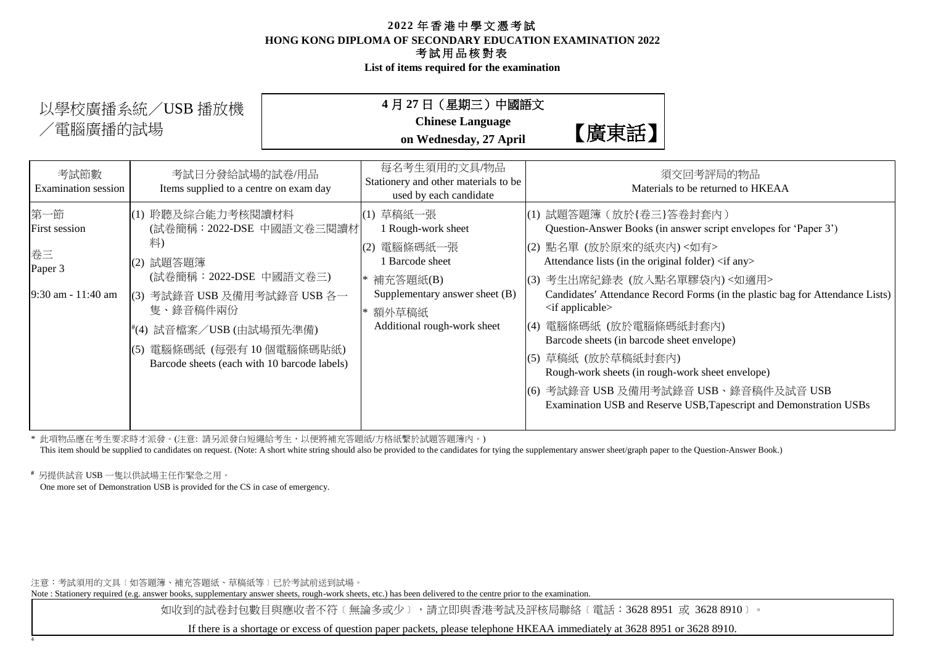**List of items required for the examination**

| 以學校廣播系統/USB 播放機<br>/電腦廣播的試場           |                                                                                               | 4月 27 日(星期三)中國語文<br><b>Chinese Language</b><br>on Wednesday, 27 April              | 【廣東話】                                                                                                                                       |                                                                               |
|---------------------------------------|-----------------------------------------------------------------------------------------------|------------------------------------------------------------------------------------|---------------------------------------------------------------------------------------------------------------------------------------------|-------------------------------------------------------------------------------|
| 考試節數<br>Examination session           | 考試日分發給試場的試卷/用品<br>Items supplied to a centre on exam day                                      | 每名考生須用的文具/物品<br>Stationery and other materials to be<br>used by each candidate     |                                                                                                                                             | 須交回考評局的物品<br>Materials to be returned to HKEAA                                |
| 第一節<br>First session<br>卷三<br>Paper 3 | (1) 聆聽及綜合能力考核閱讀材料<br>(試卷簡稱: 2022-DSE 中國語文卷三閱讀材<br>籿)<br>(2) 試題答題簿                             | (1) 草稿紙一張<br>I Rough-work sheet<br>電腦條碼紙一張<br>(2)<br>Barcode sheet                 | (1) 試題答題簿 (放於{卷三}答卷封套內)<br>(2) 點名單 (放於原來的紙夾內) <如有><br>Attendance lists (in the original folder) <if any=""></if>                            | Question-Answer Books (in answer script envelopes for 'Paper 3')              |
| 9:30 am - 11:40 am                    | (試卷簡稱: 2022-DSE 中國語文卷三)<br>(3) 考試錄音 USB 及備用考試錄音 USB 各一<br>隻、錄音稿件兩份<br>#(4) 試音檔案/USB (由試場預先準備) | 補充答題紙(B)<br>Supplementary answer sheet (B)<br>額外草稿紙<br>Additional rough-work sheet | (3) 考生出席紀錄表 (放入點名單膠袋內)<如適用><br>$\langle$ if applicable $\rangle$<br>電腦條碼紙 (放於電腦條碼紙封套內)<br>(4)<br>Barcode sheets (in barcode sheet envelope) | Candidates' Attendance Record Forms (in the plastic bag for Attendance Lists) |
|                                       | (5) 電腦條碼紙 (每張有10個電腦條碼貼紙)<br>Barcode sheets (each with 10 barcode labels)                      |                                                                                    | 草稿紙 (放於草稿紙封套內)<br>(5)<br>Rough-work sheets (in rough-work sheet envelope)                                                                   |                                                                               |

\* 此項物品應在考生要求時才派發。(注意: 請另派發白短繩給考生,以便將補充答題紙/方格紙繫於試題答題簿內。)

This item should be supplied to candidates on request. (Note: A short white string should also be provided to the candidates for tying the supplementary answer sheet/graph paper to the Question-Answer Book.)

**#** 另提供試音 USB 一隻以供試場主任作緊急之用。

4

One more set of Demonstration USB is provided for the CS in case of emergency.

注意:考試須用的文具﹝如答題簿、補充答題紙、草稿紙等﹞已於考試前送到試場。

Note : Stationery required (e.g. answer books, supplementary answer sheets, rough-work sheets, etc.) has been delivered to the centre prior to the examination.

如收到的試卷封包數目與應收者不符〔無論多或少〕,請立即與香港考試及評核局聯絡〔電話:3628 8951 或 3628 8910〕。

(6) 考試錄音 USB 及備用考試錄音 USB、錄音稿件及試音 USB

Examination USB and Reserve USB,Tapescript and Demonstration USBs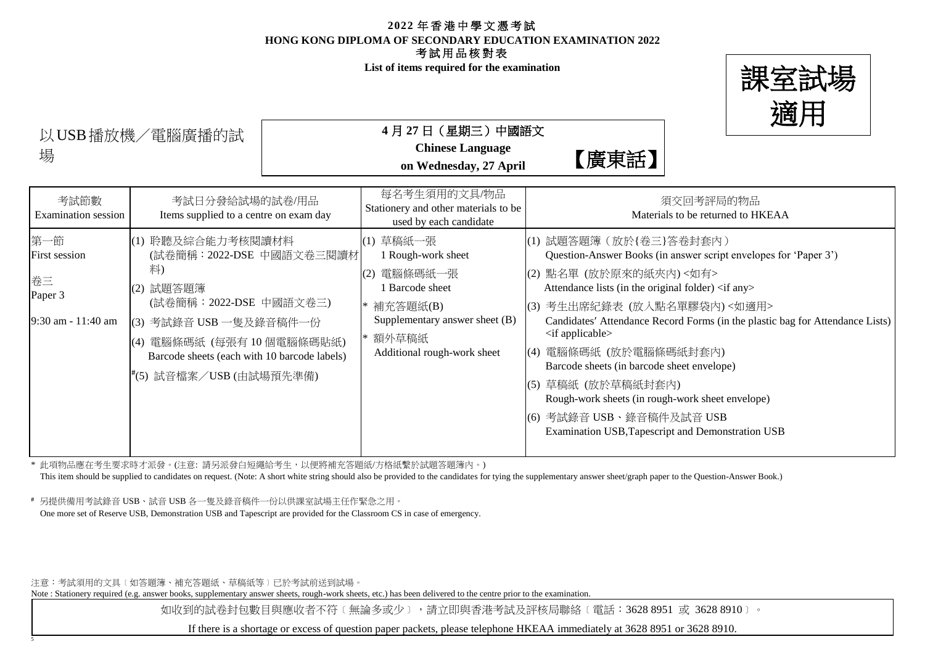**List of items required for the examination**



場<br>
フィリット Mednesday, 27 April<br>
on Wednesday, 27 April 以USB播放機/電腦廣播的試

**4** 月 **27** 日(星期三)中國語文

**Chinese Language**

| 考試節數<br>Examination session                                 | 考試日分發給試場的試卷/用品<br>Items supplied to a centre on exam day                                                                                                                                                                        | 每名考生須用的文具/物品<br>Stationery and other materials to be<br>used by each candidate                                                                             | 須交回考評局的物品<br>Materials to be returned to HKEAA                                                                                                                                                                                                                                                                                                                                                                                                                                                                                                                                                                        |
|-------------------------------------------------------------|---------------------------------------------------------------------------------------------------------------------------------------------------------------------------------------------------------------------------------|------------------------------------------------------------------------------------------------------------------------------------------------------------|-----------------------------------------------------------------------------------------------------------------------------------------------------------------------------------------------------------------------------------------------------------------------------------------------------------------------------------------------------------------------------------------------------------------------------------------------------------------------------------------------------------------------------------------------------------------------------------------------------------------------|
| 第一節<br>First session<br>卷三<br>Paper 3<br>9:30 am - 11:40 am | (1) 聆聽及綜合能力考核閱讀材料<br>(試卷簡稱: 2022-DSE 中國語文卷三閱讀材<br>料)<br>(2) 試題答題簿<br>(試卷簡稱:2022-DSE 中國語文卷三)<br>(3) 考試錄音 USB 一隻及錄音稿件一份<br>電腦條碼紙 (每張有10個電腦條碼貼紙)<br>(4)<br>Barcode sheets (each with 10 barcode labels)<br>#(5) 試音檔案/USB (由試場預先準備) | (1) 草稿紙一張<br>Rough-work sheet<br>電腦條碼紙一張<br>(2)<br>Barcode sheet<br>* 補充答題紙(B)<br>Supplementary answer sheet (B)<br>* 額外草稿紙<br>Additional rough-work sheet | (1) 試題答題簿 (放於{卷三}答卷封套內)<br>Question-Answer Books (in answer script envelopes for 'Paper 3')<br>(2) 點名單 (放於原來的紙夾內) <如有><br>Attendance lists (in the original folder) <if any=""><br/>(3) 考生出席紀錄表 (放入點名單膠袋內)&lt;如適用&gt;<br/>Candidates' Attendance Record Forms (in the plastic bag for Attendance Lists)<br/><math>\langle</math> if applicable<math>\rangle</math><br/>電腦條碼紙 (放於電腦條碼紙封套內)<br/>(4)<br/>Barcode sheets (in barcode sheet envelope)<br/> (5) 草稿紙 (放於草稿紙封套內)<br/>Rough-work sheets (in rough-work sheet envelope)<br/>(6) 考試錄音 USB、錄音稿件及試音 USB<br/>Examination USB, Tapescript and Demonstration USB</if> |

\* 此項物品應在考生要求時才派發。(注意: 請另派發白短繩給考生,以便將補充答題紙/方格紙繫於試題答題簿內。)

This item should be supplied to candidates on request. (Note: A short white string should also be provided to the candidates for tying the supplementary answer sheet/graph paper to the Question-Answer Book.)

**#** 另提供備用考試錄音 USB、試音 USB 各一隻及錄音稿件一份以供課室試場主任作緊急之用。

One more set of Reserve USB, Demonstration USB and Tapescript are provided for the Classroom CS in case of emergency.

注意:考試須用的文具﹝如答題簿、補充答題紙、草稿紙等﹞已於考試前送到試場。

5

Note : Stationery required (e.g. answer books, supplementary answer sheets, rough-work sheets, etc.) has been delivered to the centre prior to the examination.

如收到的試卷封包數目與應收者不符〔無論多或少〕,請立即與香港考試及評核局聯絡〔電話:3628 8951 或 3628 8910〕。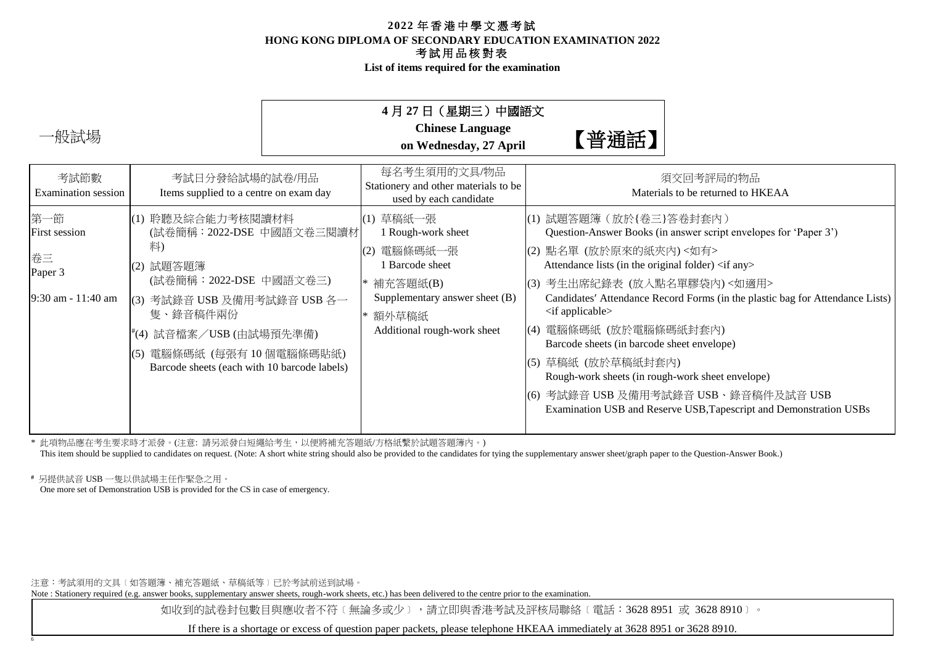**List of items required for the examination**

| <b>Chinese Language</b><br>一般試場<br>【普通話】<br>on Wednesday, 27 April                                                                                                                                                                                                                                                                                                                                                                                                                                                                                                                                                                                                                                                                                                                                                                                                                                                                                                                                                                                                                                                                                         |  |
|------------------------------------------------------------------------------------------------------------------------------------------------------------------------------------------------------------------------------------------------------------------------------------------------------------------------------------------------------------------------------------------------------------------------------------------------------------------------------------------------------------------------------------------------------------------------------------------------------------------------------------------------------------------------------------------------------------------------------------------------------------------------------------------------------------------------------------------------------------------------------------------------------------------------------------------------------------------------------------------------------------------------------------------------------------------------------------------------------------------------------------------------------------|--|
|                                                                                                                                                                                                                                                                                                                                                                                                                                                                                                                                                                                                                                                                                                                                                                                                                                                                                                                                                                                                                                                                                                                                                            |  |
| 每名考生須用的文具/物品<br>考試節數<br>考試日分發給試場的試卷/用品<br>須交回考評局的物品<br>Stationery and other materials to be<br>Materials to be returned to HKEAA<br>Items supplied to a centre on exam day<br><b>Examination</b> session<br>used by each candidate                                                                                                                                                                                                                                                                                                                                                                                                                                                                                                                                                                                                                                                                                                                                                                                                                                                                                                                         |  |
| 第一節<br>(1) 聆聽及綜合能力考核閱讀材料<br>(1) 草稿紙一張<br> (1) 試題答題簿 (放於{卷三}答卷封套內)<br>(試卷簡稱: 2022-DSE 中國語文卷三閱讀材<br>Question-Answer Books (in answer script envelopes for 'Paper 3')<br>1 Rough-work sheet<br>First session<br>料)<br>(2) 點名單 (放於原來的紙夾內) <如有><br>電腦條碼紙一張<br>(2)<br>卷三<br>1 Barcode sheet<br>Attendance lists (in the original folder) <if any=""><br/>(2) 試題答題簿<br/>Paper 3<br/>(試卷簡稱:2022-DSE 中國語文卷三)<br/>(3) 考生出席紀錄表 (放入點名單膠袋內)&lt;如適用&gt;<br/>補充答題紙(B)<br/>Supplementary answer sheet (B)<br/>Candidates' Attendance Record Forms (in the plastic bag for Attendance Lists)<br/>9:30 am - 11:40 am<br/>(3) 考試錄音 USB 及備用考試錄音 USB 各一<br/><math>\langle</math>if applicable<math>\rangle</math><br/>隻、錄音稿件兩份<br/>* 額外草稿紙<br/>電腦條碼紙 (放於電腦條碼紙封套內)<br/>Additional rough-work sheet<br/>(4)<br/>#(4) 試音檔案/USB (由試場預先準備)<br/>Barcode sheets (in barcode sheet envelope)<br/>電腦條碼紙 (每張有10個電腦條碼貼紙)<br/>(5)<br/>草稿紙 (放於草稿紙封套內)<br/>(5)<br/>Barcode sheets (each with 10 barcode labels)<br/>Rough-work sheets (in rough-work sheet envelope)<br/>考試錄音 USB 及備用考試錄音 USB、錄音稿件及試音 USB<br/>(6)<br/>Examination USB and Reserve USB, Tapescript and Demonstration USBs</if> |  |

\* 此項物品應在考生要求時才派發。(注意: 請另派發白短繩給考生,以便將補充答題紙/方格紙繫於試題答題簿內。)

This item should be supplied to candidates on request. (Note: A short white string should also be provided to the candidates for tying the supplementary answer sheet/graph paper to the Question-Answer Book.)

**#** 另提供試音 USB 一隻以供試場主任作緊急之用。 One more set of Demonstration USB is provided for the CS in case of emergency.

6

注意:考試須用的文具﹝如答題簿、補充答題紙、草稿紙等﹞已於考試前送到試場。

Note : Stationery required (e.g. answer books, supplementary answer sheets, rough-work sheets, etc.) has been delivered to the centre prior to the examination.

如收到的試卷封包數目與應收者不符〔無論多或少〕,請立即與香港考試及評核局聯絡〔電話:3628 8951 或 3628 8910〕。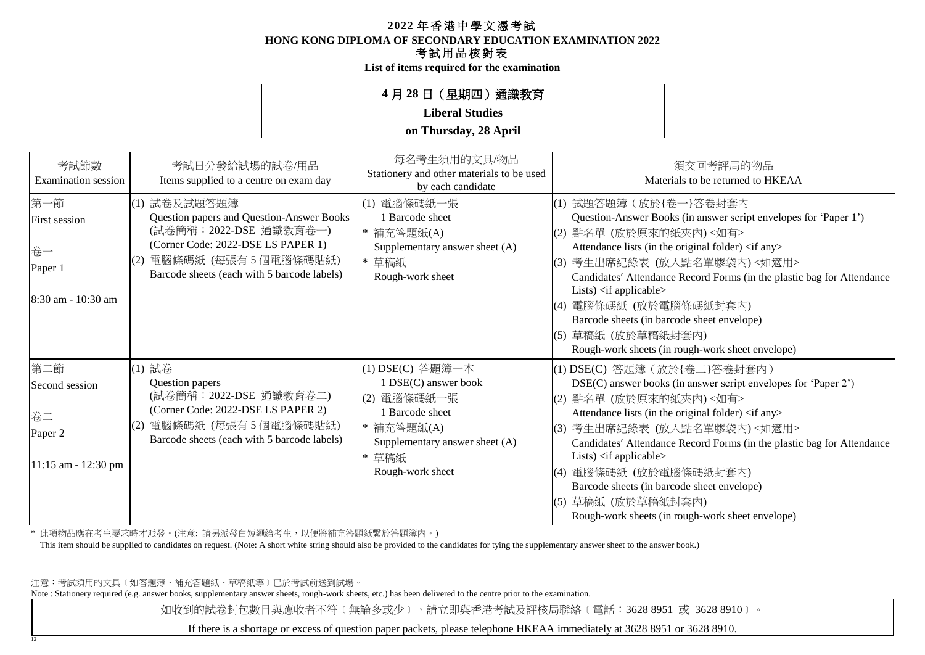**HONG KONG DIPLOMA OF SECONDARY EDUCATION EXAMINATION 2022**

## 考試用品核對表

**List of items required for the examination**

## **4** 月 **28** 日(星期四)通識教育

### **Liberal Studies**

#### **on Thursday, 28 April**

| 考試節數<br>Examination session                                        | 考試日分發給試場的試卷/用品<br>Items supplied to a centre on exam day                                                                                                                                                | 每名考生須用的文具/物品<br>Stationery and other materials to be used<br>by each candidate                                                                             | 須交回考評局的物品<br>Materials to be returned to HKEAA                                                                                                                                                                                                                                                                                                                                                                                                                                                                                   |
|--------------------------------------------------------------------|---------------------------------------------------------------------------------------------------------------------------------------------------------------------------------------------------------|------------------------------------------------------------------------------------------------------------------------------------------------------------|----------------------------------------------------------------------------------------------------------------------------------------------------------------------------------------------------------------------------------------------------------------------------------------------------------------------------------------------------------------------------------------------------------------------------------------------------------------------------------------------------------------------------------|
| 第一節<br><b>First session</b><br>卷一<br>Paper 1<br>8:30 am - 10:30 am | (1) 試卷及試題答題簿<br>Question papers and Question-Answer Books<br>(試卷簡稱: 2022-DSE 通識教育卷一)<br>(Corner Code: 2022-DSE LS PAPER 1)<br>電腦條碼紙 (每張有5個電腦條碼貼紙)<br>(2)<br>Barcode sheets (each with 5 barcode labels) | 電腦條碼紙一張<br>(1)<br>1 Barcode sheet<br>* 補充答題紙(A)<br>Supplementary answer sheet (A)<br>* 草稿紙<br>Rough-work sheet                                             | (1) 試題答題簿 (放於{卷一}答卷封套內<br>Question-Answer Books (in answer script envelopes for 'Paper 1')<br>(2) 點名單 (放於原來的紙夾內) <如有><br>Attendance lists (in the original folder) <if any=""><br/>(3) 考生出席紀錄表 (放入點名單膠袋內)&lt;如適用&gt;<br/>Candidates' Attendance Record Forms (in the plastic bag for Attendance<br/>Lists) <math>\langle</math>if applicable<math>\rangle</math><br/> (4) 電腦條碼紙 (放於電腦條碼紙封套內)<br/>Barcode sheets (in barcode sheet envelope)<br/> (5) 草稿紙 (放於草稿紙封套內)<br/>Rough-work sheets (in rough-work sheet envelope)</if>    |
| 第二節<br>Second session<br>卷二<br>Paper 2<br>$11:15$ am - 12:30 pm    | (1) 試卷<br>Question papers<br>(試卷簡稱: 2022-DSE 通識教育卷二)<br>(Corner Code: 2022-DSE LS PAPER 2)<br>電腦條碼紙 (每張有5個電腦條碼貼紙)<br>(2)<br>Barcode sheets (each with 5 barcode labels)                                 | (1) DSE(C) 答題簿一本<br>1 DSE(C) answer book<br>電腦條碼紙一張<br>(2)<br>1 Barcode sheet<br>* 補充答題紙(A)<br>Supplementary answer sheet (A)<br>* 草稿紙<br>Rough-work sheet | (1) DSE(C) 答題簿 (放於{卷二}答卷封套內)<br>DSE(C) answer books (in answer script envelopes for 'Paper 2')<br>(2) 點名單 (放於原來的紙夾內) <如有><br>Attendance lists (in the original folder) <if any=""><br/>(3) 考生出席紀錄表 (放入點名單膠袋內)&lt;如適用&gt;<br/>Candidates' Attendance Record Forms (in the plastic bag for Attendance<br/>Lists) <math>\langle</math>if applicable<math>\rangle</math><br/> (4) 電腦條碼紙 (放於電腦條碼紙封套內)<br/>Barcode sheets (in barcode sheet envelope)<br/>(5) 草稿紙 (放於草稿紙封套內)<br/>Rough-work sheets (in rough-work sheet envelope)</if> |

\* 此項物品應在考生要求時才派發。(注意: 請另派發白短繩給考生,以便將補充答題紙繫於答題簿內。)

This item should be supplied to candidates on request. (Note: A short white string should also be provided to the candidates for tying the supplementary answer sheet to the answer book.)

注意:考試須用的文具﹝如答題簿、補充答題紙、草稿紙等﹞已於考試前送到試場。

12

Note : Stationery required (e.g. answer books, supplementary answer sheets, rough-work sheets, etc.) has been delivered to the centre prior to the examination.

如收到的試卷封包數目與應收者不符〔無論多或少〕,請立即與香港考試及評核局聯絡〔電話:3628 8951 或 3628 8910〕。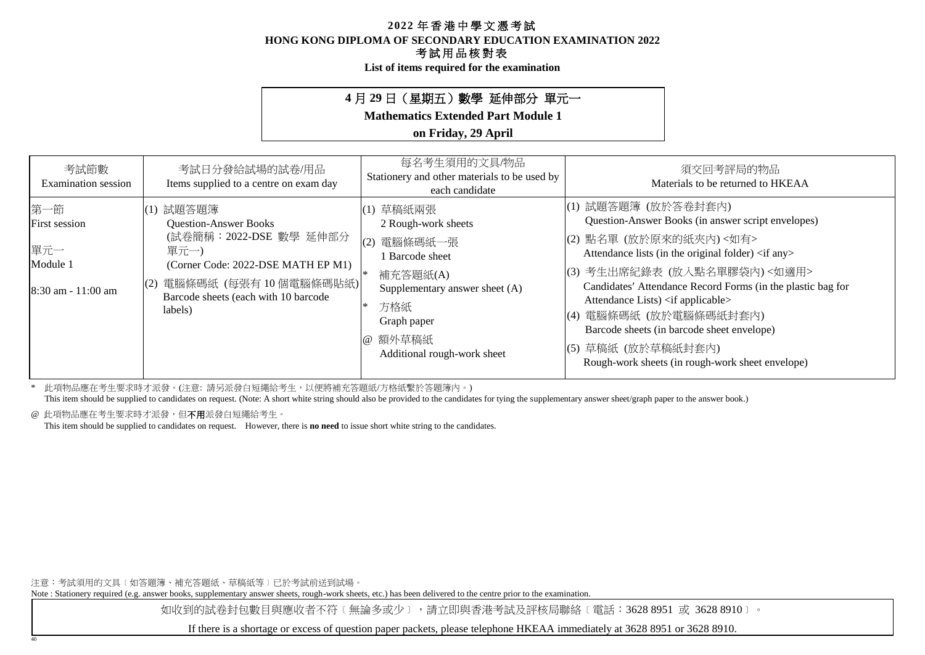**HONG KONG DIPLOMA OF SECONDARY EDUCATION EXAMINATION 2022**

### 考試用品核對表

**List of items required for the examination**

## **4** 月 **29** 日(星期五)數學 延伸部分 單元一

**Mathematics Extended Part Module 1**

### **on Friday, 29 April**

| 考試節數<br>Examination session                                            | 考試日分發給試場的試卷/用品<br>Items supplied to a centre on exam day                                                                                                                                                 | 每名考生須用的文具/物品<br>Stationery and other materials to be used by<br>each candidate                                                                                                           | 須交回考評局的物品<br>Materials to be returned to HKEAA                                                                                                                                                                                                                                                                                                                                                                                                                               |
|------------------------------------------------------------------------|----------------------------------------------------------------------------------------------------------------------------------------------------------------------------------------------------------|------------------------------------------------------------------------------------------------------------------------------------------------------------------------------------------|------------------------------------------------------------------------------------------------------------------------------------------------------------------------------------------------------------------------------------------------------------------------------------------------------------------------------------------------------------------------------------------------------------------------------------------------------------------------------|
| 第一節<br><b>First session</b><br>單元一<br>Module 1<br>$8:30$ am - 11:00 am | 試題答題簿<br>(1)<br><b>Question-Answer Books</b><br>(試卷簡稱:2022-DSE 數學 延伸部分<br>單元一)<br>(Corner Code: 2022-DSE MATH EP M1)<br>電腦條碼紙 (每張有 10 個電腦條碼貼紙)<br>(2)<br>Barcode sheets (each with 10 barcode<br>labels) | (1) 草稿紙兩張<br>2 Rough-work sheets<br>電腦條碼紙一張<br>(2)<br><b>Barcode</b> sheet<br>補充答題紙(A)<br>Supplementary answer sheet (A)<br>方格紙<br>Graph paper<br>@ 額外草稿紙<br>Additional rough-work sheet | (1) 試題答題簿 (放於答卷封套內)<br>Question-Answer Books (in answer script envelopes)<br>(2) 點名單 (放於原來的紙夾內)<如有><br>Attendance lists (in the original folder) <if any=""><br/>(3) 考生出席紀錄表 (放入點名單膠袋內)&lt;如適用&gt;<br/>Candidates' Attendance Record Forms (in the plastic bag for<br/>Attendance Lists) <if applicable=""><br/>(4) 電腦條碼紙 (放於電腦條碼紙封套內)<br/>Barcode sheets (in barcode sheet envelope)<br/> (5) 草稿紙 (放於草稿紙封套內)<br/>Rough-work sheets (in rough-work sheet envelope)</if></if> |

\* 此項物品應在考生要求時才派發。(注意: 請另派發白短繩給考生,以便將補充答題紙/方格紙繫於答題簿內。)

This item should be supplied to candidates on request. (Note: A short white string should also be provided to the candidates for tying the supplementary answer sheet/graph paper to the answer book.)

@ 此項物品應在考生要求時才派發,但不用派發白短繩給考生。

40

This item should be supplied to candidates on request. However, there is **no need** to issue short white string to the candidates.

注意:考試須用的文具﹝如答題簿、補充答題紙、草稿紙等﹞已於考試前送到試場。

Note : Stationery required (e.g. answer books, supplementary answer sheets, rough-work sheets, etc.) has been delivered to the centre prior to the examination.

如收到的試卷封包數目與應收者不符〔無論多或少〕,請立即與香港考試及評核局聯絡〔電話:3628 8951 或 3628 8910〕。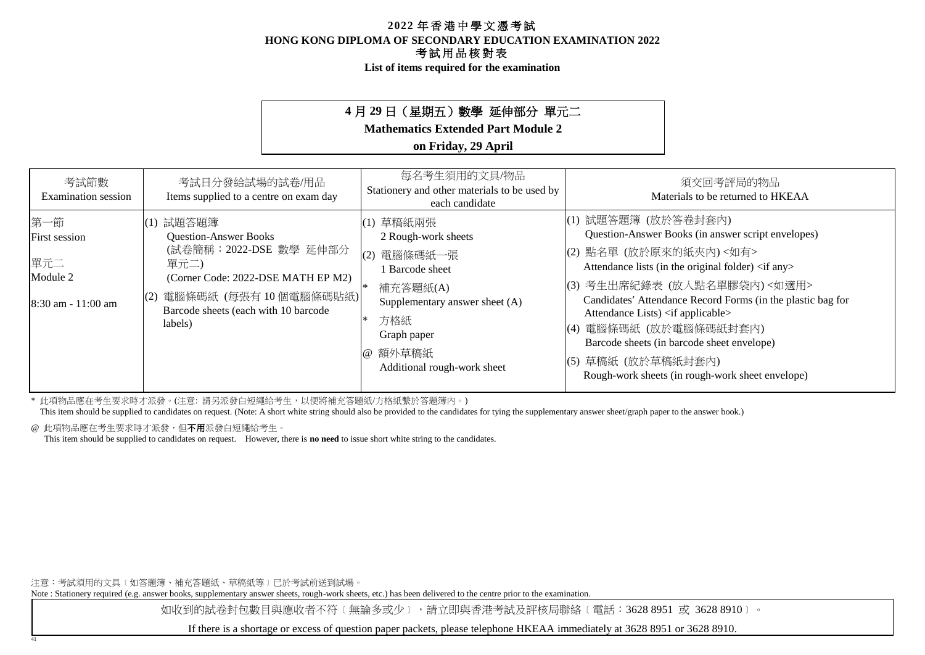**List of items required for the examination**

## **4** 月 **29** 日(星期五)數學 延伸部分 單元二

**Mathematics Extended Part Module 2**

### **on Friday, 29 April**

| 考試節數<br><b>Examination</b> session                              | 考試日分發給試場的試卷/用品<br>Items supplied to a centre on exam day                                                                                                                                            | 每名考生須用的文具/物品<br>Stationery and other materials to be used by<br>each candidate                                                                                                 | 須交回考評局的物品<br>Materials to be returned to HKEAA                                                                                                                                                                                                                                                                                                                                                                                                                                  |
|-----------------------------------------------------------------|-----------------------------------------------------------------------------------------------------------------------------------------------------------------------------------------------------|--------------------------------------------------------------------------------------------------------------------------------------------------------------------------------|---------------------------------------------------------------------------------------------------------------------------------------------------------------------------------------------------------------------------------------------------------------------------------------------------------------------------------------------------------------------------------------------------------------------------------------------------------------------------------|
| 第一節<br>First session<br>單元二<br>Module 2<br>$8:30$ am - 11:00 am | (1) 試題答題簿<br><b>Question-Answer Books</b><br>(試卷簡稱:2022-DSE 數學 延伸部分<br>單元二)<br>(Corner Code: 2022-DSE MATH EP M2)<br>電腦條碼紙 (每張有10個電腦條碼貼紙)<br>(2)<br>Barcode sheets (each with 10 barcode<br>labels) | (1) 草稿紙兩張<br>2 Rough-work sheets<br>(2) 電腦條碼紙一張<br>Barcode sheet<br>補充答題紙(A)<br>Supplementary answer sheet (A)<br>方格紙<br>Graph paper<br>@ 額外草稿紙<br>Additional rough-work sheet | (1) 試題答題簿 (放於答卷封套內)<br>Question-Answer Books (in answer script envelopes)<br>(2) 點名單 (放於原來的紙夾內)<如有><br>Attendance lists (in the original folder) <if any=""><br/>(3) 考生出席紀錄表 (放入點名單膠袋內)&lt;如適用&gt;<br/>Candidates' Attendance Record Forms (in the plastic bag for<br/>Attendance Lists) <if applicable=""><br/>電腦條碼紙 (放於電腦條碼紙封套內)<br/>(4)<br/>Barcode sheets (in barcode sheet envelope)<br/>(5) 草稿紙 (放於草稿紙封套內)<br/>Rough-work sheets (in rough-work sheet envelope)</if></if> |

\* 此項物品應在考生要求時才派發。(注意: 請另派發白短繩給考生,以便將補充答題紙/方格紙繫於答題簿內。)

This item should be supplied to candidates on request. (Note: A short white string should also be provided to the candidates for tying the supplementary answer sheet/graph paper to the answer book.)

@ 此項物品應在考生要求時才派發,但不用派發白短繩給考生。

41

This item should be supplied to candidates on request. However, there is **no need** to issue short white string to the candidates.

注意:考試須用的文具﹝如答題簿、補充答題紙、草稿紙等﹞已於考試前送到試場。

Note : Stationery required (e.g. answer books, supplementary answer sheets, rough-work sheets, etc.) has been delivered to the centre prior to the examination.

如收到的試卷封包數目與應收者不符〔無論多或少〕,請立即與香港考試及評核局聯絡〔電話:3628 8951 或 3628 8910〕。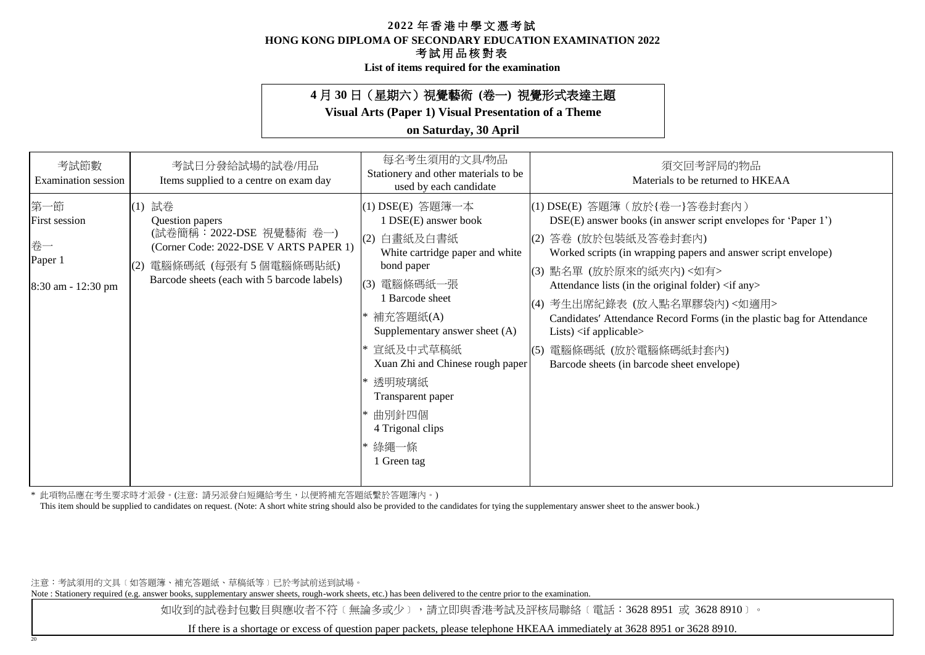**HONG KONG DIPLOMA OF SECONDARY EDUCATION EXAMINATION 2022**

### 考試用品核對表

**List of items required for the examination**

## **4** 月 **30** 日(星期六)視覺藝術 **(**卷一**)** 視覺形式表達主題

**Visual Arts (Paper 1) Visual Presentation of a Theme**

### **on Saturday, 30 April**

| 考試節數<br><b>Examination</b> session                                 | 考試日分發給試場的試卷/用品<br>Items supplied to a centre on exam day                                                                                                                       | 每名考生須用的文具/物品<br>Stationery and other materials to be<br>used by each candidate                                                                                                                                                                                                                                                             | 須交回考評局的物品<br>Materials to be returned to HKEAA                                                                                                                                                                                                                                                                                                                                                                                                                                                                                                    |
|--------------------------------------------------------------------|--------------------------------------------------------------------------------------------------------------------------------------------------------------------------------|--------------------------------------------------------------------------------------------------------------------------------------------------------------------------------------------------------------------------------------------------------------------------------------------------------------------------------------------|---------------------------------------------------------------------------------------------------------------------------------------------------------------------------------------------------------------------------------------------------------------------------------------------------------------------------------------------------------------------------------------------------------------------------------------------------------------------------------------------------------------------------------------------------|
| 第一節<br><b>First session</b><br>卷一<br>Paper 1<br>8:30 am - 12:30 pm | 試卷<br>(1)<br>Question papers<br>(試卷簡稱:2022-DSE 視覺藝術 卷一)<br>(Corner Code: 2022-DSE V ARTS PAPER 1)<br>電腦條碼紙 (每張有5個電腦條碼貼紙)<br>(2)<br>Barcode sheets (each with 5 barcode labels) | (1) DSE(E) 答題簿一本<br>1 DSE(E) answer book<br>白畫紙及白書紙<br>(2)<br>White cartridge paper and white<br>bond paper<br>電腦條碼紙一張<br>(3)<br>1 Barcode sheet<br>* 補充答題紙(A)<br>Supplementary answer sheet (A)<br>* 宣紙及中式草稿紙<br>Xuan Zhi and Chinese rough paper<br>* 透明玻璃紙<br>Transparent paper<br>* 曲別針四個<br>4 Trigonal clips<br>* 綠繩一條<br>1 Green tag | (1) DSE(E) 答題簿 (放於{卷一}答卷封套內)<br>DSE(E) answer books (in answer script envelopes for 'Paper 1')<br>(2) 答卷 (放於包裝紙及答卷封套內)<br>Worked scripts (in wrapping papers and answer script envelope)<br>(3) 點名單 (放於原來的紙夾內) <如有><br>Attendance lists (in the original folder) <if any=""><br/>(4) 考生出席紀錄表 (放入點名單膠袋內)&lt;如適用&gt;<br/>Candidates' Attendance Record Forms (in the plastic bag for Attendance<br/>Lists) <math>\langle</math>if applicable<math>\rangle</math><br/>電腦條碼紙 (放於電腦條碼紙封套內)<br/>(5)<br/>Barcode sheets (in barcode sheet envelope)</if> |
|                                                                    |                                                                                                                                                                                |                                                                                                                                                                                                                                                                                                                                            |                                                                                                                                                                                                                                                                                                                                                                                                                                                                                                                                                   |

\* 此項物品應在考生要求時才派發。(注意: 請另派發白短繩給考生,以便將補充答題紙繫於答題簿內。)

This item should be supplied to candidates on request. (Note: A short white string should also be provided to the candidates for tying the supplementary answer sheet to the answer book.)

注意:考試須用的文具﹝如答題簿、補充答題紙、草稿紙等﹞已於考試前送到試場。

20

Note : Stationery required (e.g. answer books, supplementary answer sheets, rough-work sheets, etc.) has been delivered to the centre prior to the examination.

如收到的試卷封包數目與應收者不符〔無論多或少〕,請立即與香港考試及評核局聯絡〔電話:3628 8951 或 3628 8910〕。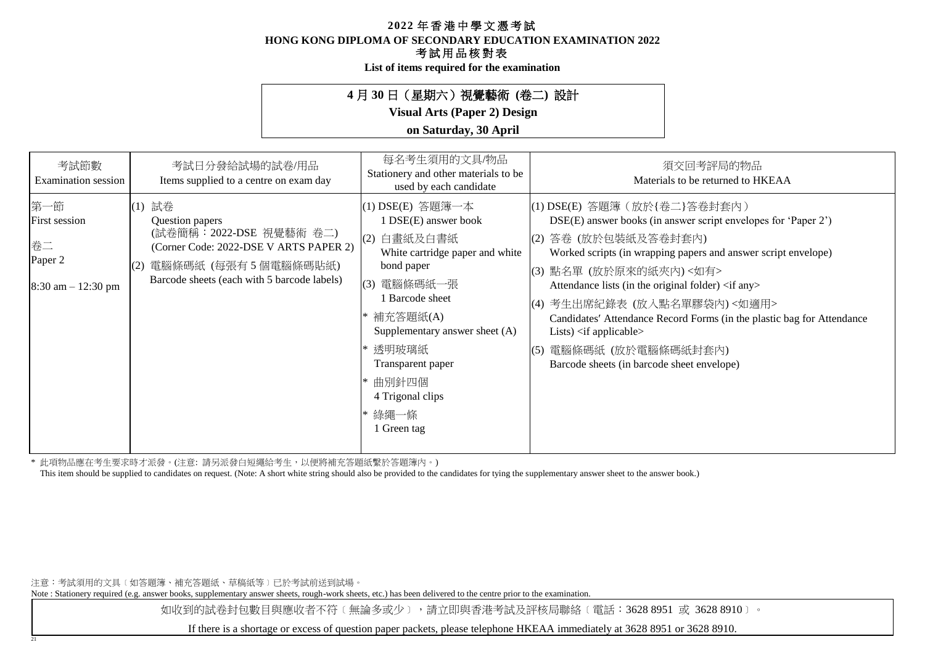**HONG KONG DIPLOMA OF SECONDARY EDUCATION EXAMINATION 2022**

## 考試用品核對表

**List of items required for the examination**

## **4** 月 **30** 日(星期六)視覺藝術 **(**卷二**)** 設計

**Visual Arts (Paper 2) Design**

## **on Saturday, 30 April**

| 考試節數<br>Examination session                                    | 考試日分發給試場的試卷/用品<br>Items supplied to a centre on exam day                                                                                                                | 每名考生須用的文具/物品<br>Stationery and other materials to be<br>used by each candidate                                                                                                                                                                                                       | 須交回考評局的物品<br>Materials to be returned to HKEAA                                                                                                                                                                                                                                                                                                                                                                                                                                                                                                     |
|----------------------------------------------------------------|-------------------------------------------------------------------------------------------------------------------------------------------------------------------------|--------------------------------------------------------------------------------------------------------------------------------------------------------------------------------------------------------------------------------------------------------------------------------------|----------------------------------------------------------------------------------------------------------------------------------------------------------------------------------------------------------------------------------------------------------------------------------------------------------------------------------------------------------------------------------------------------------------------------------------------------------------------------------------------------------------------------------------------------|
| 第一節<br>First session<br>卷二<br>Paper 2<br>$8:30$ am $-12:30$ pm | 試卷<br>(1)<br>Question papers<br>(試卷簡稱:2022-DSE 視覺藝術 卷二)<br>(Corner Code: 2022-DSE V ARTS PAPER 2)<br>電腦條碼紙 (每張有5個電腦條碼貼紙)<br>Barcode sheets (each with 5 barcode labels) | (1) DSE(E) 答題簿一本<br>1 DSE(E) answer book<br>白畫紙及白書紙<br>(2)<br>White cartridge paper and white<br>bond paper<br>(3)<br>電腦條碼紙一張<br>1 Barcode sheet<br>* 補充答題紙(A)<br>Supplementary answer sheet (A)<br>* 透明玻璃紙<br>Transparent paper<br>曲別針四個<br>4 Trigonal clips<br>綠繩一條<br>1 Green tag | (1) DSE(E) 答題簿 ( 放於{卷二}答卷封套內 )<br>DSE(E) answer books (in answer script envelopes for 'Paper 2')<br>(2) 答卷 (放於包裝紙及答卷封套內)<br>Worked scripts (in wrapping papers and answer script envelope)<br> (3) 點名單 (放於原來的紙夾內) <如有><br>Attendance lists (in the original folder) <if any=""><br/> (4) 考生出席紀錄表 (放入點名單膠袋內)&lt;如適用&gt;<br/>Candidates' Attendance Record Forms (in the plastic bag for Attendance<br/>Lists) <math>\langle</math>if applicable<math>\rangle</math><br/> (5) 電腦條碼紙 (放於電腦條碼紙封套內)<br/>Barcode sheets (in barcode sheet envelope)</if> |

\* 此項物品應在考生要求時才派發。(注意: 請另派發白短繩給考生,以便將補充答題紙繫於答題簿內。)

This item should be supplied to candidates on request. (Note: A short white string should also be provided to the candidates for tying the supplementary answer sheet to the answer book.)

注意:考試須用的文具﹝如答題簿、補充答題紙、草稿紙等﹞已於考試前送到試場。

21

Note : Stationery required (e.g. answer books, supplementary answer sheets, rough-work sheets, etc.) has been delivered to the centre prior to the examination.

如收到的試卷封包數目與應收者不符〔無論多或少〕,請立即與香港考試及評核局聯絡〔電話:3628 8951 或 3628 8910〕。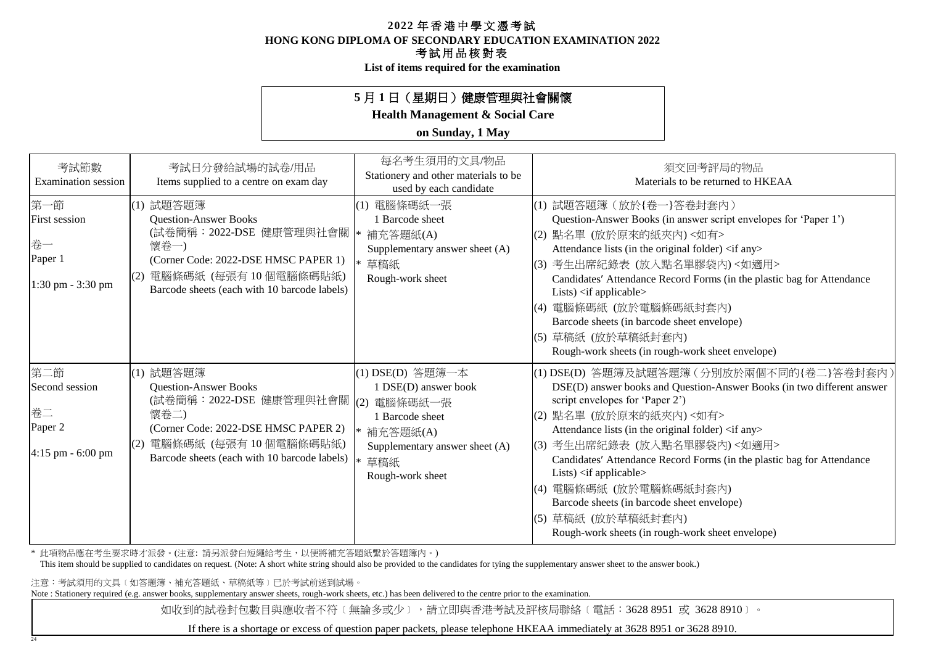**HONG KONG DIPLOMA OF SECONDARY EDUCATION EXAMINATION 2022**

### 考試用品核對表

**List of items required for the examination**

## **5** 月 **1** 日(星期日)健康管理與社會關懷

**Health Management & Social Care**

**on Sunday, 1 May**

| 考試節數<br><b>Examination</b> session                                   | 考試日分發給試場的試卷/用品<br>Items supplied to a centre on exam day                                                                                                                                                  | 每名考生須用的文具/物品<br>Stationery and other materials to be<br>used by each candidate                                                                    | 須交回考評局的物品<br>Materials to be returned to HKEAA                                                                                                                                                                                                                                                                                                                                                                                                                                                                                                             |
|----------------------------------------------------------------------|-----------------------------------------------------------------------------------------------------------------------------------------------------------------------------------------------------------|---------------------------------------------------------------------------------------------------------------------------------------------------|------------------------------------------------------------------------------------------------------------------------------------------------------------------------------------------------------------------------------------------------------------------------------------------------------------------------------------------------------------------------------------------------------------------------------------------------------------------------------------------------------------------------------------------------------------|
| 第一節<br><b>First session</b><br>卷一<br>Paper 1<br>$1:30$ pm $-3:30$ pm | (1) 試題答題簿<br><b>Question-Answer Books</b><br>(試卷簡稱: 2022-DSE 健康管理與社會關  <br>懷卷一)<br>(Corner Code: 2022-DSE HMSC PAPER 1)<br>電腦條碼紙 (每張有 10 個電腦條碼貼紙)<br>(2)<br>Barcode sheets (each with 10 barcode labels)  | 電腦條碼紙一張<br>1 Barcode sheet<br>補充答題紙(A)<br>Supplementary answer sheet (A)<br>* 草稿紙<br>Rough-work sheet                                             | (1) 試題答題簿 (放於{卷一}答卷封套內)<br>Question-Answer Books (in answer script envelopes for 'Paper 1')<br>(2) 點名單 (放於原來的紙夾內) <如有><br>Attendance lists (in the original folder) <if any=""><br/> (3) 考生出席紀錄表 (放入點名單膠袋內)&lt;如適用&gt;<br/>Candidates' Attendance Record Forms (in the plastic bag for Attendance<br/>Lists) <math>\langle</math>if applicable<math>\rangle</math><br/>(4) 電腦條碼紙 (放於電腦條碼紙封套內)<br/>Barcode sheets (in barcode sheet envelope)<br/> (5) 草稿紙 (放於草稿紙封套內)<br/>Rough-work sheets (in rough-work sheet envelope)</if>                             |
| 第二節<br>Second session<br>卷二<br>Paper 2<br>$4:15$ pm $-6:00$ pm       | (1) 試題答題簿<br><b>Question-Answer Books</b><br>(試卷簡稱: 2022-DSE 健康管理與社會關  (2)<br>懷卷二)<br>(Corner Code: 2022-DSE HMSC PAPER 2)<br>電腦條碼紙 (每張有10個電腦條碼貼紙)<br>(2)<br>Barcode sheets (each with 10 barcode labels) | (1) DSE(D) 答題簿一本<br>1 DSE(D) answer book<br>電腦條碼紙一張<br>1 Barcode sheet<br>* 補充答題紙(A)<br>Supplementary answer sheet (A)<br>草稿紙<br>Rough-work sheet | (1) DSE(D) 答題簿及試題答題簿 (分別放於兩個不同的{卷二}答卷封套內)<br>DSE(D) answer books and Question-Answer Books (in two different answer<br>script envelopes for 'Paper 2')<br>(2) 點名單 (放於原來的紙夾內) <如有><br>Attendance lists (in the original folder) <if any=""><br/>(3) 考生出席紀錄表 (放入點名單膠袋內)&lt;如適用&gt;<br/>Candidates' Attendance Record Forms (in the plastic bag for Attendance<br/>Lists) <if applicable=""><br/>(4) 電腦條碼紙 (放於電腦條碼紙封套內)<br/>Barcode sheets (in barcode sheet envelope)<br/> (5) 草稿紙 (放於草稿紙封套內)<br/>Rough-work sheets (in rough-work sheet envelope)</if></if> |

\* 此項物品應在考生要求時才派發。(注意: 請另派發白短繩給考生,以便將補充答題紙繫於答題簿內。)

This item should be supplied to candidates on request. (Note: A short white string should also be provided to the candidates for tying the supplementary answer sheet to the answer book.)

注意:考試須用的文具﹝如答題簿、補充答題紙、草稿紙等﹞已於考試前送到試場。

24

Note : Stationery required (e.g. answer books, supplementary answer sheets, rough-work sheets, etc.) has been delivered to the centre prior to the examination.

如收到的試卷封包數目與應收者不符〔無論多或少〕,請立即與香港考試及評核局聯絡〔電話:3628 8951 或 3628 8910〕。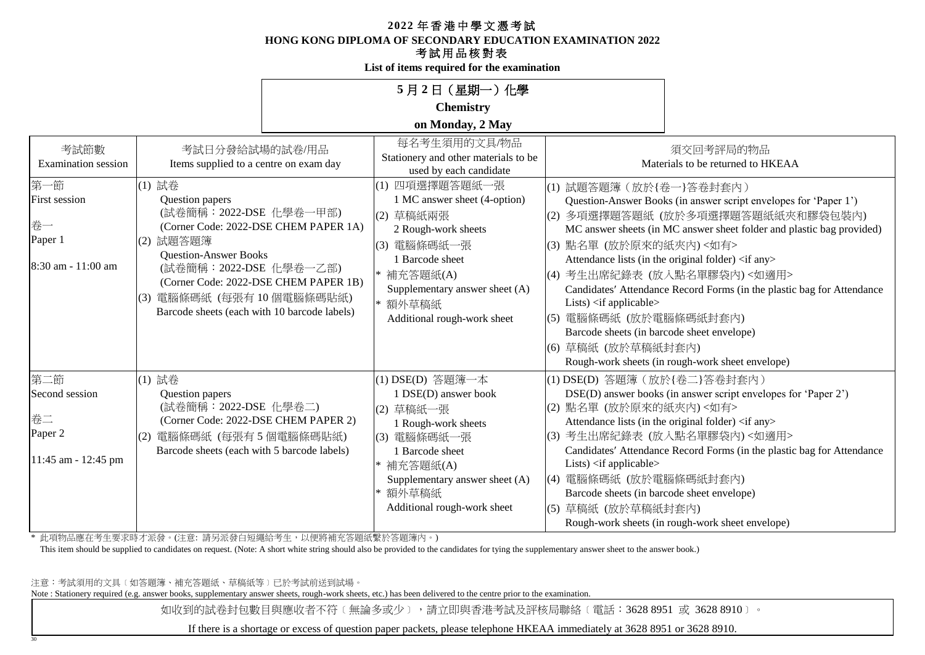**HONG KONG DIPLOMA OF SECONDARY EDUCATION EXAMINATION 2022**

## 考試用品核對表

**List of items required for the examination**

|                                                                    |                                                                                                                                                                                                                                                                                             | 5月2日 (星期一) 化學                                                                                                                                                                                              |                                                                                                                                                                                              |                                                                                                                                                                                                                                                                                                                                                                                                                    |
|--------------------------------------------------------------------|---------------------------------------------------------------------------------------------------------------------------------------------------------------------------------------------------------------------------------------------------------------------------------------------|------------------------------------------------------------------------------------------------------------------------------------------------------------------------------------------------------------|----------------------------------------------------------------------------------------------------------------------------------------------------------------------------------------------|--------------------------------------------------------------------------------------------------------------------------------------------------------------------------------------------------------------------------------------------------------------------------------------------------------------------------------------------------------------------------------------------------------------------|
|                                                                    |                                                                                                                                                                                                                                                                                             | <b>Chemistry</b>                                                                                                                                                                                           |                                                                                                                                                                                              |                                                                                                                                                                                                                                                                                                                                                                                                                    |
|                                                                    |                                                                                                                                                                                                                                                                                             | on Monday, 2 May                                                                                                                                                                                           |                                                                                                                                                                                              |                                                                                                                                                                                                                                                                                                                                                                                                                    |
| 考試節數<br><b>Examination</b> session                                 | 考試日分發給試場的試卷/用品<br>Items supplied to a centre on exam day                                                                                                                                                                                                                                    | 每名考生須用的文具/物品<br>Stationery and other materials to be<br>used by each candidate                                                                                                                             |                                                                                                                                                                                              | 須交回考評局的物品<br>Materials to be returned to HKEAA                                                                                                                                                                                                                                                                                                                                                                     |
| 第一節<br><b>First session</b><br>卷一<br>Paper 1<br>8:30 am - 11:00 am | (1) 試卷<br>Question papers<br>(試卷簡稱: 2022-DSE 化學卷一甲部)<br>(Corner Code: 2022-DSE CHEM PAPER 1A)<br>(2) 試題答題簿<br><b>Question-Answer Books</b><br>(試卷簡稱: 2022-DSE 化學卷一乙部)<br>(Corner Code: 2022-DSE CHEM PAPER 1B)<br>(3) 電腦條碼紙 (每張有 10個電腦條碼貼紙)<br>Barcode sheets (each with 10 barcode labels) | (1) 四項選擇題答題紙一張<br>1 MC answer sheet (4-option)<br>(2) 草稿紙兩張<br>2 Rough-work sheets<br>(3) 電腦條碼紙一張<br>1 Barcode sheet<br>補充答題紙(A)<br>Supplementary answer sheet (A)<br>額外草稿紙<br>Additional rough-work sheet | (1) 試題答題簿 (放於{卷一}答卷封套內)<br>(3) 點名單 (放於原來的紙夾內) <如有><br>Lists) $\langle$ if applicable $\rangle$<br>(5) 電腦條碼紙 (放於電腦條碼紙封套內)<br>Barcode sheets (in barcode sheet envelope)<br>(6) 草稿紙 (放於草稿紙封套內) | Question-Answer Books (in answer script envelopes for 'Paper 1')<br>(2) 多項選擇題答題紙 (放於多項選擇題答題紙紙夾和膠袋包裝內)<br>MC answer sheets (in MC answer sheet folder and plastic bag provided)<br>Attendance lists (in the original folder) <if any=""><br/>(4) 考生出席紀錄表 (放入點名單膠袋內)&lt;如適用&gt;<br/>Candidates' Attendance Record Forms (in the plastic bag for Attendance<br/>Rough-work sheets (in rough-work sheet envelope)</if> |
| 第二節<br>Second session<br>卷二<br>Paper 2<br>11:45 am - 12:45 pm      | (1) 試卷<br>Question papers<br>(試卷簡稱: 2022-DSE 化學卷二)<br>(Corner Code: 2022-DSE CHEM PAPER 2)<br>(2) 電腦條碼紙 (每張有5個電腦條碼貼紙)<br>Barcode sheets (each with 5 barcode labels)                                                                                                                        | (1) DSE(D) 答題簿一本<br>1 DSE(D) answer book<br>(2) 草稿紙一張<br>1 Rough-work sheets<br>(3) 電腦條碼紙一張<br>1 Barcode sheet<br>* 補充答題紙(A)<br>Supplementary answer sheet (A)<br>額外草稿紙<br>Additional rough-work sheet     | (1) DSE(D) 答題簿 (放於{卷二}答卷封套內)<br>(2) 點名單 (放於原來的紙夾內)<如有><br>Lists) <if applicable=""><br/> (4) 電腦條碼紙 (放於電腦條碼紙封套內)<br/>Barcode sheets (in barcode sheet envelope)<br/>(5) 草稿紙 (放於草稿紙封套內)</if>   | DSE(D) answer books (in answer script envelopes for 'Paper 2')<br>Attendance lists (in the original folder) <if any=""><br/>(3) 考生出席紀錄表 (放入點名單膠袋內)&lt;如適用&gt;<br/>Candidates' Attendance Record Forms (in the plastic bag for Attendance<br/>Rough-work sheets (in rough-work sheet envelope)</if>                                                                                                                 |

\* 此項物品應在考生要求時才派發。(注意: 請另派發白短繩給考生,以便將補充答題紙繫於答題簿內。)

This item should be supplied to candidates on request. (Note: A short white string should also be provided to the candidates for tying the supplementary answer sheet to the answer book.)

注意:考試須用的文具﹝如答題簿、補充答題紙、草稿紙等﹞已於考試前送到試場。

30

Note : Stationery required (e.g. answer books, supplementary answer sheets, rough-work sheets, etc.) has been delivered to the centre prior to the examination.

如收到的試卷封包數目與應收者不符〔無論多或少〕,請立即與香港考試及評核局聯絡〔電話:3628 8951 或 3628 8910〕。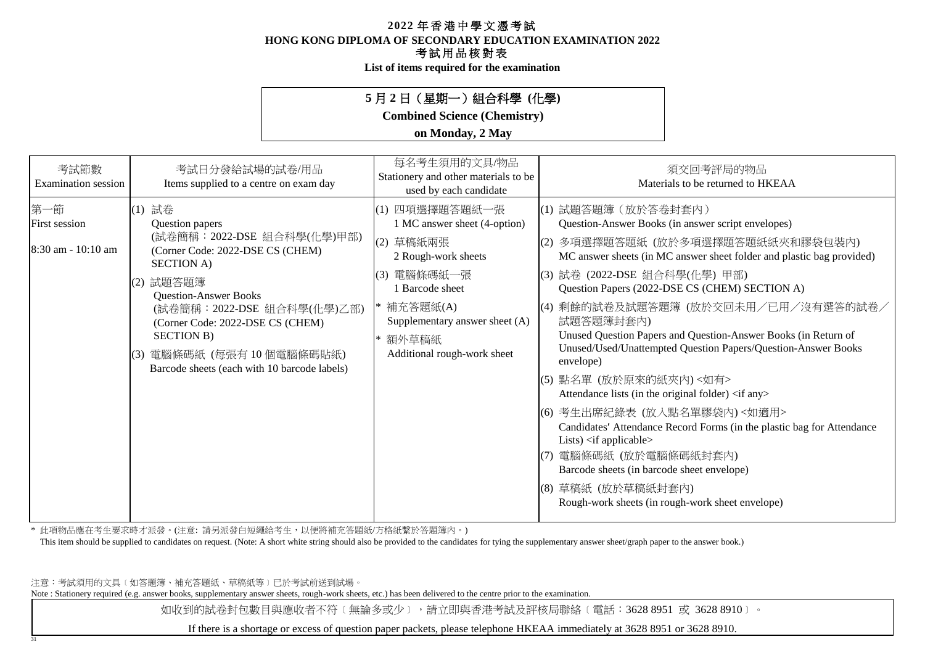**HONG KONG DIPLOMA OF SECONDARY EDUCATION EXAMINATION 2022**

### 考試用品核對表

**List of items required for the examination**

## **5** 月 **2** 日(星期一)組合科學 **(**化學**)**

**Combined Science (Chemistry)**

### **on Monday, 2 May**

| 考試節數<br>Examination session                         | 考試日分發給試場的試卷/用品<br>Items supplied to a centre on exam day                                                                                                                                                                                                                                                                                    | 每名考生須用的文具/物品<br>Stationery and other materials to be<br>used by each candidate                                                                                                                                        | 須交回考評局的物品<br>Materials to be returned to HKEAA                                                                                                                                                                                                                                                                                                                                                                                                                                                                                                                                                                                                                                                                                                                                                                                                                                                                    |
|-----------------------------------------------------|---------------------------------------------------------------------------------------------------------------------------------------------------------------------------------------------------------------------------------------------------------------------------------------------------------------------------------------------|-----------------------------------------------------------------------------------------------------------------------------------------------------------------------------------------------------------------------|-------------------------------------------------------------------------------------------------------------------------------------------------------------------------------------------------------------------------------------------------------------------------------------------------------------------------------------------------------------------------------------------------------------------------------------------------------------------------------------------------------------------------------------------------------------------------------------------------------------------------------------------------------------------------------------------------------------------------------------------------------------------------------------------------------------------------------------------------------------------------------------------------------------------|
| 第一節<br><b>First session</b><br>$8:30$ am - 10:10 am | 試卷<br>(1)<br>Question papers<br>(試卷簡稱: 2022-DSE 組合科學(化學)甲部)<br>(Corner Code: 2022-DSE CS (CHEM)<br><b>SECTION A)</b><br>試題答題簿<br>(2)<br><b>Question-Answer Books</b><br>(試卷簡稱: 2022-DSE 組合科學(化學)乙部)<br>(Corner Code: 2022-DSE CS (CHEM)<br><b>SECTION B)</b><br>電腦條碼紙 (每張有10個電腦條碼貼紙)<br>(3)<br>Barcode sheets (each with 10 barcode labels) | 四項選擇題答題紙一張<br>(1)<br>1 MC answer sheet (4-option)<br>草稿紙兩張<br>(2)<br>2 Rough-work sheets<br>電腦條碼紙一張<br>(3)<br>1 Barcode sheet<br>補充答題紙(A)<br>Supplementary answer sheet (A)<br>* 額外草稿紙<br>Additional rough-work sheet | (1) 試題答題簿(放於答卷封套內)<br>Question-Answer Books (in answer script envelopes)<br>多項選擇題答題紙 (放於多項選擇題答題紙紙夾和膠袋包裝內)<br>(2)<br>MC answer sheets (in MC answer sheet folder and plastic bag provided)<br>(3) 試卷 (2022-DSE 組合科學(化學) 甲部)<br>Question Papers (2022-DSE CS (CHEM) SECTION A)<br>剩餘的試卷及試題答題簿(放於交回未用/已用/沒有選答的試卷/<br>(4)<br>試題答題簿封套內)<br>Unused Question Papers and Question-Answer Books (in Return of<br>Unused/Used/Unattempted Question Papers/Question-Answer Books<br>envelope)<br>點名單 (放於原來的紙夾內)<如有><br>(5)<br>Attendance lists (in the original folder) <if any=""><br/>(6) 考生出席紀錄表 (放入點名單膠袋內)&lt;如適用&gt;<br/>Candidates' Attendance Record Forms (in the plastic bag for Attendance<br/>Lists) <math>\langle</math>if applicable<math>\rangle</math><br/>電腦條碼紙 (放於電腦條碼紙封套內)<br/>Barcode sheets (in barcode sheet envelope)<br/>(8) 草稿紙 (放於草稿紙封套內)<br/>Rough-work sheets (in rough-work sheet envelope)</if> |

\* 此項物品應在考生要求時才派發。(注意: 請另派發白短繩給考生,以便將補充答題紙/方格紙繫於答題簿內。)

This item should be supplied to candidates on request. (Note: A short white string should also be provided to the candidates for tying the supplementary answer sheet/graph paper to the answer book.)

注意:考試須用的文具﹝如答題簿、補充答題紙、草稿紙等﹞已於考試前送到試場。

31

Note : Stationery required (e.g. answer books, supplementary answer sheets, rough-work sheets, etc.) has been delivered to the centre prior to the examination.

如收到的試卷封包數目與應收者不符〔無論多或少〕,請立即與香港考試及評核局聯絡〔電話:3628 8951 或 3628 8910〕。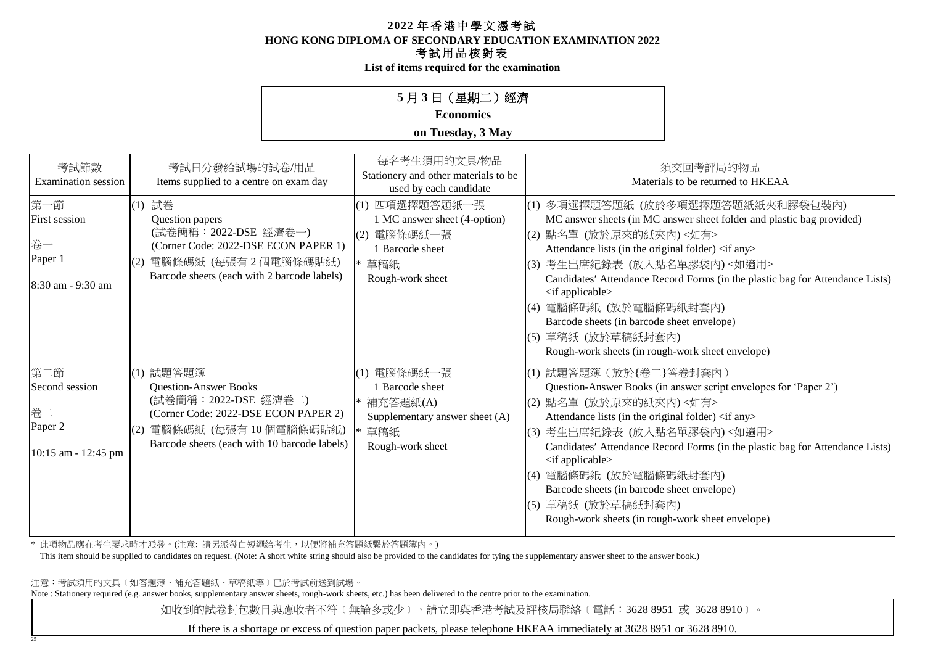**HONG KONG DIPLOMA OF SECONDARY EDUCATION EXAMINATION 2022**

### 考試用品核對表

**List of items required for the examination**

## **5** 月 **3** 日(星期二)經濟

## **Economics**

#### **on Tuesday, 3 May**

| 考試節數<br><b>Examination</b> session                              | 考試日分發給試場的試卷/用品<br>Items supplied to a centre on exam day                                                                                                                                 | 每名考生須用的文具/物品<br>Stationery and other materials to be<br>used by each candidate                               | 須交回考評局的物品<br>Materials to be returned to HKEAA                                                                                                                                                                                                                                                                                                                                                                                                                                                                |
|-----------------------------------------------------------------|------------------------------------------------------------------------------------------------------------------------------------------------------------------------------------------|--------------------------------------------------------------------------------------------------------------|---------------------------------------------------------------------------------------------------------------------------------------------------------------------------------------------------------------------------------------------------------------------------------------------------------------------------------------------------------------------------------------------------------------------------------------------------------------------------------------------------------------|
| 第一節<br>First session<br>卷一<br>Paper 1<br>8:30 am - 9:30 am      | (1) 試卷<br>Question papers<br>(試卷簡稱: 2022-DSE 經濟卷一)<br>(Corner Code: 2022-DSE ECON PAPER 1)<br>電腦條碼紙 (每張有2個電腦條碼貼紙)<br>Barcode sheets (each with 2 barcode labels)                         | (1) 四項選擇題答題紙一張<br>1 MC answer sheet (4-option)<br>(2) 電腦條碼紙一張<br>1 Barcode sheet<br>草稿紙<br>Rough-work sheet  | (1) 多項選擇題答題紙 (放於多項選擇題答題紙紙夾和膠袋包裝內)<br>MC answer sheets (in MC answer sheet folder and plastic bag provided)<br>(2) 點名單 (放於原來的紙夾內) <如有><br>Attendance lists (in the original folder) <if any=""><br/>(3) 考生出席紀錄表 (放入點名單膠袋內)&lt;如適用&gt;<br/>Candidates' Attendance Record Forms (in the plastic bag for Attendance Lists)<br/><if applicable=""><br/>(4) 電腦條碼紙 (放於電腦條碼紙封套內)<br/>Barcode sheets (in barcode sheet envelope)<br/>(5) 草稿紙 (放於草稿紙封套內)<br/>Rough-work sheets (in rough-work sheet envelope)</if></if> |
| 第二節<br>Second session<br>卷二<br>Paper 2<br>$10:15$ am - 12:45 pm | (1) 試題答題簿<br><b>Question-Answer Books</b><br>(試卷簡稱:2022-DSE 經濟卷二)<br>(Corner Code: 2022-DSE ECON PAPER 2)<br>電腦條碼紙 (每張有10個電腦條碼貼紙)<br>(2)<br>Barcode sheets (each with 10 barcode labels) | (1) 電腦條碼紙一張<br><b>Barcode</b> sheet<br>補充答題紙(A)<br>Supplementary answer sheet (A)<br>草稿紙<br>Rough-work sheet | (1) 試題答題簿 (放於{卷二}答卷封套內)<br>Question-Answer Books (in answer script envelopes for 'Paper 2')<br>(2) 點名單 (放於原來的紙夾內)<如有><br>Attendance lists (in the original folder) <if any=""><br/>(3) 考生出席紀錄表 (放入點名單膠袋內)&lt;如適用&gt;<br/>Candidates' Attendance Record Forms (in the plastic bag for Attendance Lists)<br/><if applicable=""><br/>(4) 電腦條碼紙 (放於電腦條碼紙封套內)<br/>Barcode sheets (in barcode sheet envelope)<br/>草稿紙 (放於草稿紙封套內)<br/>(5)<br/>Rough-work sheets (in rough-work sheet envelope)</if></if>             |

\* 此項物品應在考生要求時才派發。(注意: 請另派發白短繩給考生,以便將補充答題紙繫於答題簿內。)

This item should be supplied to candidates on request. (Note: A short white string should also be provided to the candidates for tying the supplementary answer sheet to the answer book.)

注意:考試須用的文具﹝如答題簿、補充答題紙、草稿紙等﹞已於考試前送到試場。

25

Note : Stationery required (e.g. answer books, supplementary answer sheets, rough-work sheets, etc.) has been delivered to the centre prior to the examination.

如收到的試卷封包數目與應收者不符〔無論多或少〕,請立即與香港考試及評核局聯絡〔電話:3628 8951 或 3628 8910〕。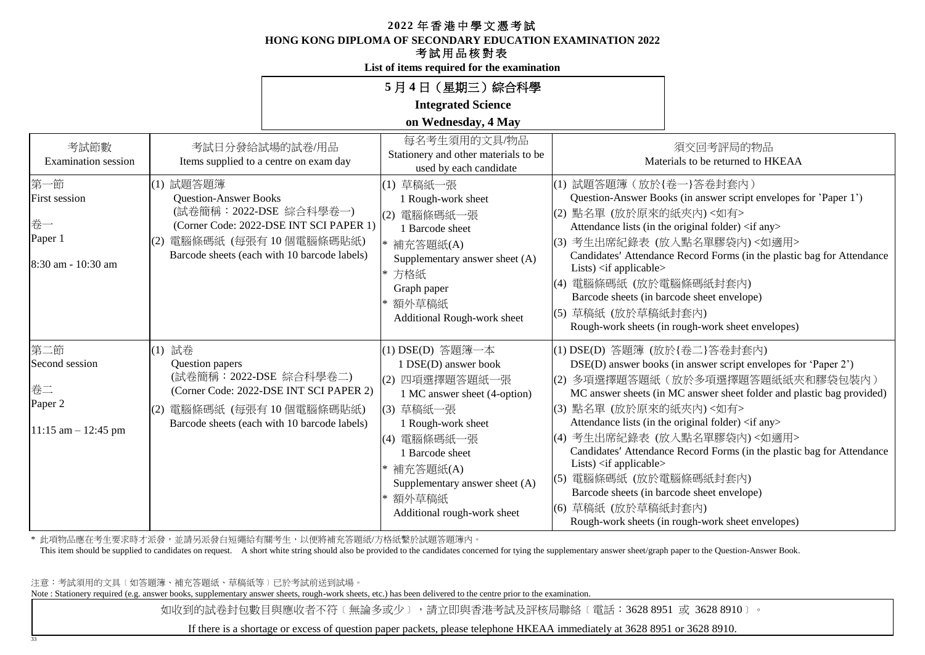**HONG KONG DIPLOMA OF SECONDARY EDUCATION EXAMINATION 2022**

## 考試用品核對表

**List of items required for the examination**

|                                                                             |                                                                                     |                                                                                                                    | 5月4日 (星期三) 綜合科學                                                                                                                                                                                                                                             |                                                                                                                                                      |                                                                                                                                                                                                                                                                                                                                                                                                                                                                 |
|-----------------------------------------------------------------------------|-------------------------------------------------------------------------------------|--------------------------------------------------------------------------------------------------------------------|-------------------------------------------------------------------------------------------------------------------------------------------------------------------------------------------------------------------------------------------------------------|------------------------------------------------------------------------------------------------------------------------------------------------------|-----------------------------------------------------------------------------------------------------------------------------------------------------------------------------------------------------------------------------------------------------------------------------------------------------------------------------------------------------------------------------------------------------------------------------------------------------------------|
|                                                                             |                                                                                     |                                                                                                                    | <b>Integrated Science</b>                                                                                                                                                                                                                                   |                                                                                                                                                      |                                                                                                                                                                                                                                                                                                                                                                                                                                                                 |
|                                                                             |                                                                                     |                                                                                                                    | on Wednesday, 4 May                                                                                                                                                                                                                                         |                                                                                                                                                      |                                                                                                                                                                                                                                                                                                                                                                                                                                                                 |
| 考試節數<br><b>Examination</b> session                                          |                                                                                     | 考試日分發給試場的試卷/用品<br>Items supplied to a centre on exam day                                                           | 每名考生須用的文具/物品<br>Stationery and other materials to be<br>used by each candidate                                                                                                                                                                              |                                                                                                                                                      | 須交回考評局的物品<br>Materials to be returned to HKEAA                                                                                                                                                                                                                                                                                                                                                                                                                  |
| 第一節<br>First session<br>卷一<br>Paper 1<br>8:30 am - 10:30 am                 | (1) 試題答題簿<br><b>Question-Answer Books</b><br>(2) 電腦條碼紙 (每張有 10個電腦條碼貼紙)              | (試卷簡稱: 2022-DSE 綜合科學卷一)<br>(Corner Code: 2022-DSE INT SCI PAPER 1)<br>Barcode sheets (each with 10 barcode labels) | (1) 草稿紙一張<br>1 Rough-work sheet<br>(2) 電腦條碼紙一張<br>1 Barcode sheet<br>補充答題紙(A)<br>Supplementary answer sheet (A)<br>方格紙<br>$\ast$<br>Graph paper<br>額外草稿紙<br>Additional Rough-work sheet                                                                     | (1) 試題答題簿 (放於{卷一}答卷封套內)<br>(2) 點名單 (放於原來的紙夾內)<如有><br>Lists) $\langle$ if applicable $\rangle$<br>(4) 電腦條碼紙 (放於電腦條碼紙封套內)<br>(5) 草稿紙 (放於草稿紙封套內)        | Question-Answer Books (in answer script envelopes for 'Paper 1')<br>Attendance lists (in the original folder) <if any=""><br/>(3) 考生出席紀錄表 (放入點名單膠袋內)&lt;如適用&gt;<br/>Candidates' Attendance Record Forms (in the plastic bag for Attendance<br/>Barcode sheets (in barcode sheet envelope)<br/>Rough-work sheets (in rough-work sheet envelopes)</if>                                                                                                            |
| 第二節<br>Second session<br>卷二<br>Paper <sub>2</sub><br>$11:15$ am $-12:45$ pm | (1) 試卷<br>Question papers<br>(試卷簡稱: 2022-DSE 綜合科學卷二)<br> (2) 電腦條碼紙 (每張有 10 個電腦條碼貼紙) | (Corner Code: 2022-DSE INT SCI PAPER 2)<br>Barcode sheets (each with 10 barcode labels)                            | (1) DSE(D) 答題簿一本<br>1 DSE(D) answer book<br>(2) 四項選擇題答題紙一張<br>1 MC answer sheet (4-option)<br>(3) 草稿紙一張<br>1 Rough-work sheet<br>(4) 電腦條碼紙一張<br>1 Barcode sheet<br>補充答題紙(A)<br>Supplementary answer sheet (A)<br>額外草稿紙<br>∣∗<br>Additional rough-work sheet | (1) DSE(D) 答題簿 (放於{卷二}答卷封套內)<br>(3) 點名單 (放於原來的紙夾內) <如有><br>Lists) $\langle$ if applicable $\rangle$<br> (5) 電腦條碼紙 (放於電腦條碼紙封套內)<br>(6) 草稿紙 (放於草稿紙封套內) | DSE(D) answer books (in answer script envelopes for 'Paper 2')<br> (2)多項選擇題答題紙(放於多項選擇題答題紙紙夾和膠袋包裝內)<br>MC answer sheets (in MC answer sheet folder and plastic bag provided)<br>Attendance lists (in the original folder) <if any=""><br/>(4) 考生出席紀錄表 (放入點名單膠袋內)&lt;如適用&gt;<br/>Candidates' Attendance Record Forms (in the plastic bag for Attendance<br/>Barcode sheets (in barcode sheet envelope)<br/>Rough-work sheets (in rough-work sheet envelopes)</if> |

\* 此項物品應在考生要求時才派發,並請另派發白短繩給有關考生,以便將補充答題紙/方格紙繫於試題答題簿內。

This item should be supplied to candidates on request. A short white string should also be provided to the candidates concerned for tying the supplementary answer sheet/graph paper to the Question-Answer Book.

注意:考試須用的文具﹝如答題簿、補充答題紙、草稿紙等﹞已於考試前送到試場。

33

Note : Stationery required (e.g. answer books, supplementary answer sheets, rough-work sheets, etc.) has been delivered to the centre prior to the examination.

如收到的試卷封包數目與應收者不符〔無論多或少〕,請立即與香港考試及評核局聯絡〔電話:3628 8951 或 3628 8910〕。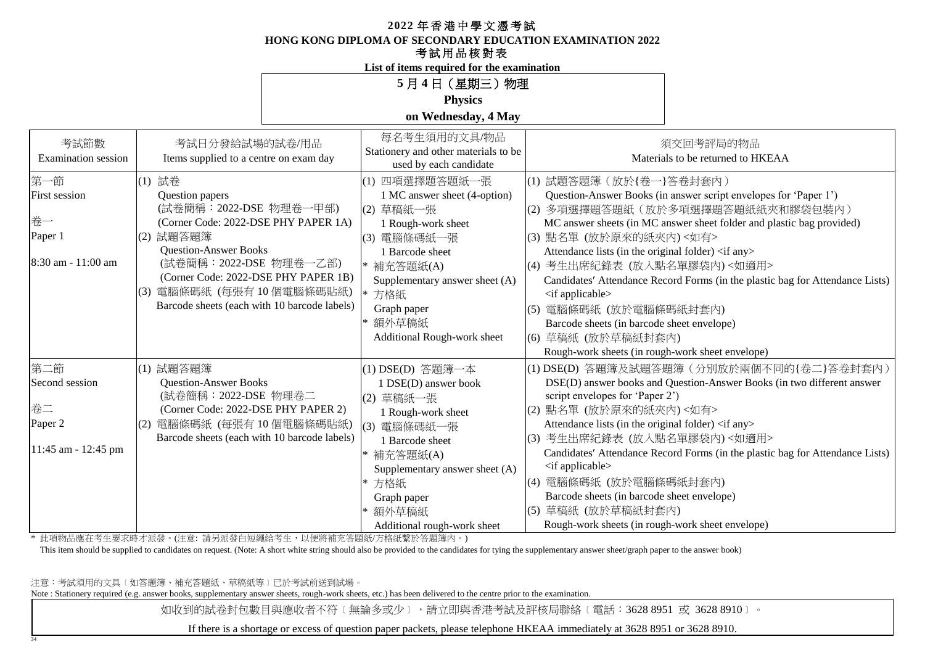**HONG KONG DIPLOMA OF SECONDARY EDUCATION EXAMINATION 2022**

## 考試用品核對表

**List of items required for the examination**

 $5$  月 4 日

| (星期三) 物理 |  |
|----------|--|
|----------|--|

**Physics**

**on Wednesday, 4 May**

| 考試節數<br><b>Examination</b> session                                 | 考試日分發給試場的試卷/用品<br>Items supplied to a centre on exam day                                                                                                                                                                                                                                 | 每名考生須用的文具/物品<br>Stationery and other materials to be<br>used by each candidate                                                                                                                                                           | 須交回考評局的物品<br>Materials to be returned to HKEAA                                                                                                                                                                                                                                                                                                                                                                                                                                                                                                                                                           |
|--------------------------------------------------------------------|------------------------------------------------------------------------------------------------------------------------------------------------------------------------------------------------------------------------------------------------------------------------------------------|------------------------------------------------------------------------------------------------------------------------------------------------------------------------------------------------------------------------------------------|----------------------------------------------------------------------------------------------------------------------------------------------------------------------------------------------------------------------------------------------------------------------------------------------------------------------------------------------------------------------------------------------------------------------------------------------------------------------------------------------------------------------------------------------------------------------------------------------------------|
| 第一節<br><b>First session</b><br>卷一<br>Paper 1<br>8:30 am - 11:00 am | (1) 試卷<br>Question papers<br>(試卷簡稱: 2022-DSE 物理卷一甲部)<br>(Corner Code: 2022-DSE PHY PAPER 1A)<br>(2) 試題答題簿<br><b>Question-Answer Books</b><br>(試卷簡稱: 2022-DSE 物理卷一乙部)<br>(Corner Code: 2022-DSE PHY PAPER 1B)<br>(3) 電腦條碼紙 (每張有10個電腦條碼貼紙)<br>Barcode sheets (each with 10 barcode labels) | (1) 四項選擇題答題紙一張<br>1 MC answer sheet (4-option)<br>(2) 草稿紙一張<br>1 Rough-work sheet<br>(3) 電腦條碼紙一張<br><b>Barcode</b> sheet<br>* 補充答題紙(A)<br>Supplementary answer sheet (A)<br>* 方格紙<br>Graph paper<br>額外草稿紙<br>Additional Rough-work sheet | (1) 試題答題簿 (放於{卷一}答卷封套內)<br>Question-Answer Books (in answer script envelopes for 'Paper 1')<br> (2) 多項選擇題答題紙(放於多項選擇題答題紙紙夾和膠袋包裝內)<br>MC answer sheets (in MC answer sheet folder and plastic bag provided)<br>(3) 點名單 (放於原來的紙夾內) <如有><br>Attendance lists (in the original folder) <if any=""><br/>(4) 考生出席紀錄表 (放入點名單膠袋內)&lt;如適用&gt;<br/>Candidates' Attendance Record Forms (in the plastic bag for Attendance Lists)<br/><if applicable=""><br/>電腦條碼紙 (放於電腦條碼紙封套內)<br/>Barcode sheets (in barcode sheet envelope)<br/>(6) 草稿紙 (放於草稿紙封套內)<br/>Rough-work sheets (in rough-work sheet envelope)</if></if> |
| 第二節<br>Second session<br>卷二<br>Paper 2<br>11:45 am - 12:45 pm      | (1) 試題答題簿<br><b>Question-Answer Books</b><br>(試卷簡稱:2022-DSE 物理卷二<br>(Corner Code: 2022-DSE PHY PAPER 2)<br>電腦條碼紙 (每張有10個電腦條碼貼紙)<br>Barcode sheets (each with 10 barcode labels)                                                                                                          | (1) DSE(D) 答題簿一本<br>1 DSE(D) answer book<br>(2) 草稿紙一張<br>1 Rough-work sheet<br>(3) 電腦條碼紙一張<br>1 Barcode sheet<br>補充答題紙(A)<br>Supplementary answer sheet (A)<br>方格紙<br>Graph paper<br>* 額外草稿紙<br>Additional rough-work sheet              | (1) DSE(D) 答題簿及試題答題簿(分別放於兩個不同的{卷二}答卷封套內)<br>DSE(D) answer books and Question-Answer Books (in two different answer<br>script envelopes for 'Paper 2')<br>(2) 點名單 (放於原來的紙夾內)<如有><br>Attendance lists (in the original folder) <if any=""><br/> (3) 考生出席紀錄表 (放入點名單膠袋內)&lt;如適用&gt;<br/>Candidates' Attendance Record Forms (in the plastic bag for Attendance Lists)<br/><if applicable=""><br/>(4) 電腦條碼紙 (放於電腦條碼紙封套內)<br/>Barcode sheets (in barcode sheet envelope)<br/>(5) 草稿紙 (放於草稿紙封套內)<br/>Rough-work sheets (in rough-work sheet envelope)</if></if>                                                 |

\* 此項物品應在考生要求時才派發。(注意: 請另派發白短繩給考生,以便將補充答題紙/方格紙繫於答題簿內。)

This item should be supplied to candidates on request. (Note: A short white string should also be provided to the candidates for tying the supplementary answer sheet/graph paper to the answer book)

注意:考試須用的文具﹝如答題簿、補充答題紙、草稿紙等﹞已於考試前送到試場。

34

Note : Stationery required (e.g. answer books, supplementary answer sheets, rough-work sheets, etc.) has been delivered to the centre prior to the examination.

如收到的試卷封包數目與應收者不符〔無論多或少〕,請立即與香港考試及評核局聯絡〔電話:3628 8951 或 3628 8910〕。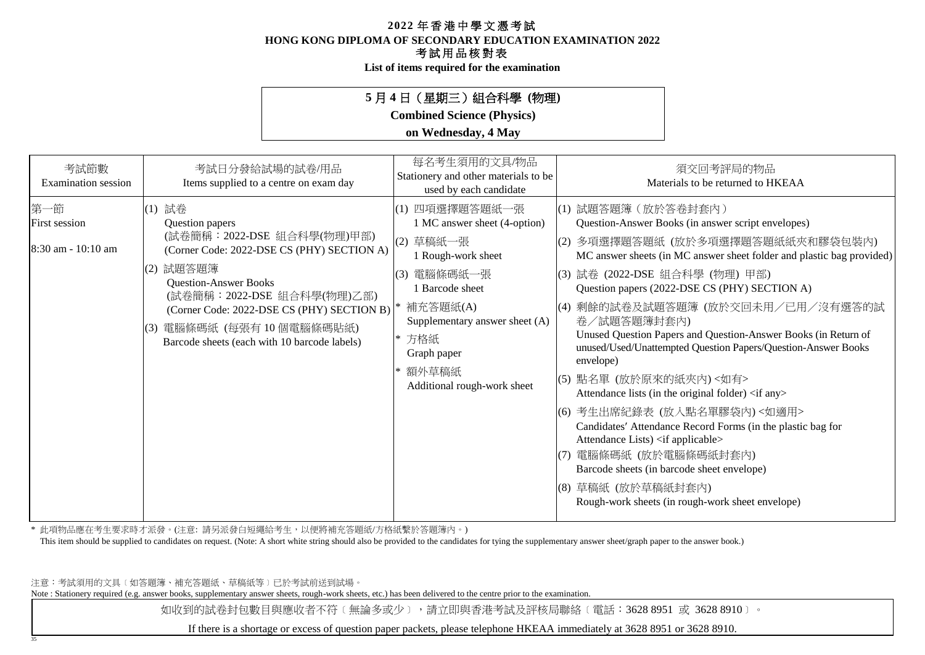**HONG KONG DIPLOMA OF SECONDARY EDUCATION EXAMINATION 2022**

### 考試用品核對表

**List of items required for the examination**

## **5** 月 **4** 日(星期三)組合科學 **(**物理**)**

**Combined Science (Physics)**

### **on Wednesday, 4 May**

| 考試節數<br>Examination session                       | 考試日分發給試場的試卷/用品<br>Items supplied to a centre on exam day                                                                                                                                                                                                                                                        | 每名考生須用的文具/物品<br>Stationery and other materials to be<br>used by each candidate                                                                                                                                                    | 須交回考評局的物品<br>Materials to be returned to HKEAA                                                                                                                                                                                                                                                                                                                                                                                                                                                                                                                                                                                                                                                                                                                                                                                                                                         |
|---------------------------------------------------|-----------------------------------------------------------------------------------------------------------------------------------------------------------------------------------------------------------------------------------------------------------------------------------------------------------------|-----------------------------------------------------------------------------------------------------------------------------------------------------------------------------------------------------------------------------------|----------------------------------------------------------------------------------------------------------------------------------------------------------------------------------------------------------------------------------------------------------------------------------------------------------------------------------------------------------------------------------------------------------------------------------------------------------------------------------------------------------------------------------------------------------------------------------------------------------------------------------------------------------------------------------------------------------------------------------------------------------------------------------------------------------------------------------------------------------------------------------------|
| 第一節<br><b>First session</b><br>8:30 am - 10:10 am | (1) 試卷<br>Question papers<br>(試卷簡稱: 2022-DSE 組合科學(物理)甲部)<br>(Corner Code: 2022-DSE CS (PHY) SECTION A)<br>(2) 試題答題簿<br><b>Question-Answer Books</b><br>(試卷簡稱: 2022-DSE 組合科學(物理)乙部)<br>(Corner Code: 2022-DSE CS (PHY) SECTION B)<br>電腦條碼紙 (每張有10個電腦條碼貼紙)<br>(3)<br>Barcode sheets (each with 10 barcode labels) | (1) 四項選擇題答題紙一張<br>1 MC answer sheet (4-option)<br>(2) 草稿紙一張<br>1 Rough-work sheet<br>(3) 電腦條碼紙一張<br>1 Barcode sheet<br>補充答題紙(A)<br>Supplementary answer sheet (A)<br>方格紙<br>Graph paper<br>* 額外草稿紙<br>Additional rough-work sheet | (1) 試題答題簿 (放於答卷封套內)<br>Question-Answer Books (in answer script envelopes)<br> (2) 多項選擇題答題紙 (放於多項選擇題答題紙紙夾和膠袋包裝內)<br>MC answer sheets (in MC answer sheet folder and plastic bag provided)<br> (3) 試卷 (2022-DSE 組合科學 (物理) 甲部)<br>Question papers (2022-DSE CS (PHY) SECTION A)<br>(4) 剩餘的試卷及試題答題簿 (放於交回未用/已用/沒有選答的試<br>卷/試題答題簿封套內)<br>Unused Question Papers and Question-Answer Books (in Return of<br>unused/Used/Unattempted Question Papers/Question-Answer Books<br>envelope)<br>(5) 點名單 (放於原來的紙夾內) <如有><br>Attendance lists (in the original folder) <if any=""><br/>(6) 考生出席紀錄表 (放入點名單膠袋內)&lt;如適用&gt;<br/>Candidates' Attendance Record Forms (in the plastic bag for<br/>Attendance Lists) <if applicable=""><br/>電腦條碼紙(放於電腦條碼紙封套內)<br/>(7)<br/>Barcode sheets (in barcode sheet envelope)<br/>(8) 草稿紙 (放於草稿紙封套內)<br/>Rough-work sheets (in rough-work sheet envelope)</if></if> |

\* 此項物品應在考生要求時才派發。(注意: 請另派發白短繩給考生,以便將補充答題紙/方格紙繫於答題簿內。)

This item should be supplied to candidates on request. (Note: A short white string should also be provided to the candidates for tying the supplementary answer sheet/graph paper to the answer book.)

注意:考試須用的文具﹝如答題簿、補充答題紙、草稿紙等﹞已於考試前送到試場。

35

Note : Stationery required (e.g. answer books, supplementary answer sheets, rough-work sheets, etc.) has been delivered to the centre prior to the examination.

如收到的試卷封包數目與應收者不符〔無論多或少〕,請立即與香港考試及評核局聯絡〔電話:3628 8951 或 3628 8910〕。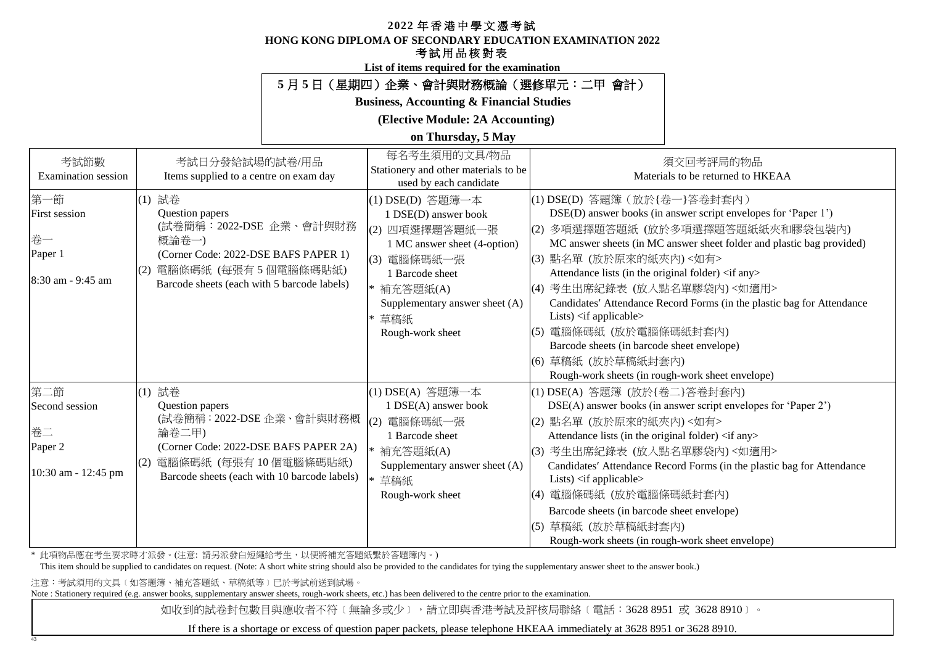#### **HONG KONG DIPLOMA OF SECONDARY EDUCATION EXAMINATION 2022**

## 考試用品核對表

**List of items required for the examination**

## **5** 月 **5** 日(星期四)企業、會計與財務概論(選修單元:二甲 會計)

#### **Business, Accounting & Financial Studies**

**(Elective Module: 2A Accounting)**

**on Thursday, 5 May**

| 考試節數<br>Examination session                                       | 考試日分發給試場的試卷/用品<br>Items supplied to a centre on exam day                                                                                                                                  | 每名考生須用的文具/物品<br>Stationery and other materials to be<br>used by each candidate                                                                                                                               | 須交回考評局的物品<br>Materials to be returned to HKEAA                                                                                                                                                                                                                                                                                                                                                                                                                                                                                                                                                                                                           |
|-------------------------------------------------------------------|-------------------------------------------------------------------------------------------------------------------------------------------------------------------------------------------|--------------------------------------------------------------------------------------------------------------------------------------------------------------------------------------------------------------|----------------------------------------------------------------------------------------------------------------------------------------------------------------------------------------------------------------------------------------------------------------------------------------------------------------------------------------------------------------------------------------------------------------------------------------------------------------------------------------------------------------------------------------------------------------------------------------------------------------------------------------------------------|
| 第一節<br><b>First session</b><br>卷一<br>Paper 1<br>8:30 am - 9:45 am | (1) 試卷<br>Question papers<br>(試卷簡稱:2022-DSE 企業、會計與財務<br>概論卷一)<br>(Corner Code: 2022-DSE BAFS PAPER 1)<br>(2) 電腦條碼紙 (每張有5個電腦條碼貼紙)<br>Barcode sheets (each with 5 barcode labels)           | (1) DSE(D) 答題簿一本<br>1 DSE(D) answer book<br>四項選擇題答題紙一張<br>(2)<br>1 MC answer sheet (4-option)<br>(3) 電腦條碼紙一張<br>1 Barcode sheet<br>* 補充答題紙(A)<br>Supplementary answer sheet (A)<br>* 草稿紙<br>Rough-work sheet | (1) DSE(D) 答題簿 (放於{卷一}答卷封套內)<br>DSE(D) answer books (in answer script envelopes for 'Paper 1')<br>多項選擇題答題紙 (放於多項選擇題答題紙紙夾和膠袋包裝內)<br>(2)<br>MC answer sheets (in MC answer sheet folder and plastic bag provided)<br>(3) 點名單 (放於原來的紙夾內) <如有><br>Attendance lists (in the original folder) <if any=""><br/>考生出席紀錄表 (放入點名單膠袋內)&lt;如適用&gt;<br/>(4)<br/>Candidates' Attendance Record Forms (in the plastic bag for Attendance<br/>Lists) <math>\langle</math>if applicable<math>\rangle</math><br/>電腦條碼紙 (放於電腦條碼紙封套內)<br/>(5)<br/>Barcode sheets (in barcode sheet envelope)<br/>(6) 草稿紙 (放於草稿紙封套內)<br/>Rough-work sheets (in rough-work sheet envelope)</if> |
| 第二節<br>Second session<br>卷二<br>Paper 2<br>10:30 am - 12:45 pm     | (1) 試卷<br>Question papers<br>(試卷簡稱: 2022-DSE 企業、會計與財務概<br>論卷二甲)<br>(Corner Code: 2022-DSE BAFS PAPER 2A)<br>電腦條碼紙 (每張有 10 個電腦條碼貼紙)<br>(2)<br>Barcode sheets (each with 10 barcode labels) | (1) DSE(A) 答題簿一本<br>1 DSE(A) answer book<br>電腦條碼紙一張<br>(2)<br>1 Barcode sheet<br>* 補充答題紙(A)<br>Supplementary answer sheet (A)<br>* 草稿紙<br>Rough-work sheet                                                   | (1) DSE(A) 答題簿 (放於{卷二}答卷封套內)<br>DSE(A) answer books (in answer script envelopes for 'Paper 2')<br>(2) 點名單 (放於原來的紙夾內) <如有><br>Attendance lists (in the original folder) <if any=""><br/>考生出席紀錄表 (放入點名單膠袋內)&lt;如適用&gt;<br/>(3)<br/>Candidates' Attendance Record Forms (in the plastic bag for Attendance<br/>Lists) <math>\langle</math>if applicable<math>\rangle</math><br/>電腦條碼紙 (放於電腦條碼紙封套內)<br/>(4)<br/>Barcode sheets (in barcode sheet envelope)<br/>草稿紙 (放於草稿紙封套內)<br/>(5)<br/>Rough-work sheets (in rough-work sheet envelope)</if>                                                                                                              |

\* 此項物品應在考生要求時才派發。(注意: 請另派發白短繩給考生,以便將補充答題紙繫於答題簿內。)

This item should be supplied to candidates on request. (Note: A short white string should also be provided to the candidates for tying the supplementary answer sheet to the answer book.)

注意:考試須用的文具﹝如答題簿、補充答題紙、草稿紙等﹞已於考試前送到試場。

43

Note : Stationery required (e.g. answer books, supplementary answer sheets, rough-work sheets, etc.) has been delivered to the centre prior to the examination.

如收到的試卷封包數目與應收者不符〔無論多或少〕,請立即與香港考試及評核局聯絡〔電話:3628 8951 或 3628 8910〕。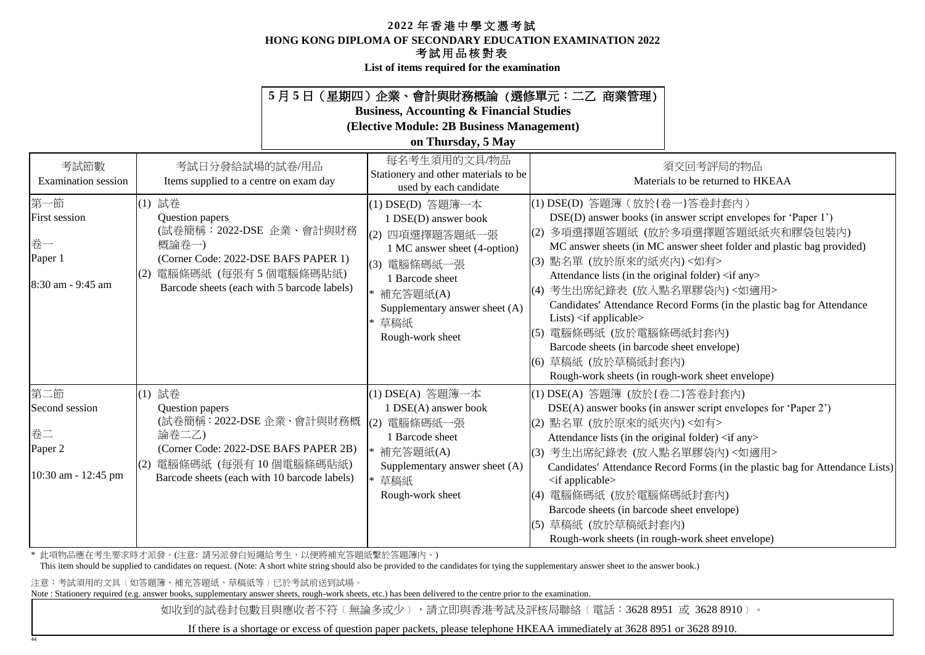**HONG KONG DIPLOMA OF SECONDARY EDUCATION EXAMINATION 2022**

### 考試用品核對表

**List of items required for the examination**

## **5** 月 **5** 日(星期四)企業、會計與財務概論 (選修單元:二乙 商業管理)

**Business, Accounting & Financial Studies**

**(Elective Module: 2B Business Management)**

#### **on Thursday, 5 May**

| 考試節數<br><b>Examination</b> session                                | 考試日分發給試場的試卷/用品<br>Items supplied to a centre on exam day                                                                                                                             | 每名考生須用的文具/物品<br>Stationery and other materials to be<br>used by each candidate                                                                                                                            | 須交回考評局的物品<br>Materials to be returned to HKEAA                                                                                                                                                                                                                                                                                                                                                                                                                                                                                                                                                                                                    |
|-------------------------------------------------------------------|--------------------------------------------------------------------------------------------------------------------------------------------------------------------------------------|-----------------------------------------------------------------------------------------------------------------------------------------------------------------------------------------------------------|---------------------------------------------------------------------------------------------------------------------------------------------------------------------------------------------------------------------------------------------------------------------------------------------------------------------------------------------------------------------------------------------------------------------------------------------------------------------------------------------------------------------------------------------------------------------------------------------------------------------------------------------------|
| 第一節<br><b>First session</b><br>卷一<br>Paper 1<br>8:30 am - 9:45 am | (1) 試卷<br>Question papers<br>(試卷簡稱:2022-DSE 企業、會計與財務<br>概論卷一)<br>(Corner Code: 2022-DSE BAFS PAPER 1)<br>電腦條碼紙 (每張有5個電腦條碼貼紙)<br>Barcode sheets (each with 5 barcode labels)          | (1) DSE(D) 答題簿一本<br>1 DSE(D) answer book<br>(2) 四項選擇題答題紙一張<br>1 MC answer sheet (4-option)<br>(3) 電腦條碼紙一張<br>1 Barcode sheet<br>* 補充答題紙(A)<br>Supplementary answer sheet (A)<br>* 草稿紙<br>Rough-work sheet | (1) DSE(D) 答題簿 (放於{卷一}答卷封套內)<br>DSE(D) answer books (in answer script envelopes for 'Paper 1')<br>多項選擇題答題紙 (放於多項選擇題答題紙紙夾和膠袋包裝內)<br>(2)<br>MC answer sheets (in MC answer sheet folder and plastic bag provided)<br>(3) 點名單 (放於原來的紙夾內) <如有><br>Attendance lists (in the original folder) <if any=""><br/>(4) 考生出席紀錄表 (放入點名單膠袋內)&lt;如適用&gt;<br/>Candidates' Attendance Record Forms (in the plastic bag for Attendance<br/>Lists) <math>\langle</math> if applicable<math>\rangle</math><br/>(5) 電腦條碼紙 (放於電腦條碼紙封套內)<br/>Barcode sheets (in barcode sheet envelope)<br/>(6) 草稿紙 (放於草稿紙封套內)<br/>Rough-work sheets (in rough-work sheet envelope)</if> |
| 第二節<br>Second session<br>卷二<br>Paper 2<br>10:30 am - 12:45 pm     | (1) 試卷<br>Question papers<br>(試卷簡稱: 2022-DSE 企業、會計與財務概<br>論卷二乙)<br>(Corner Code: 2022-DSE BAFS PAPER 2B)<br>(2) 電腦條碼紙 (每張有10個電腦條碼貼紙)<br>Barcode sheets (each with 10 barcode labels) | (1) DSE(A) 答題簿一本<br>1 DSE(A) answer book<br>(2) 電腦條碼紙一張<br>1 Barcode sheet<br>補充答題紙(A)<br>Supplementary answer sheet (A)<br>草稿紙<br>Rough-work sheet                                                       | (1) DSE(A) 答題簿 (放於{卷二}答卷封套內)<br>DSE(A) answer books (in answer script envelopes for 'Paper 2')<br>(2) 點名單 (放於原來的紙夾內)<如有><br>Attendance lists (in the original folder) <if any=""><br/>(3) 考生出席紀錄表 (放入點名單膠袋內)&lt;如適用&gt;<br/>Candidates' Attendance Record Forms (in the plastic bag for Attendance Lists)<br/><math>\langle</math>if applicable<math>\rangle</math><br/>(4) 電腦條碼紙 (放於電腦條碼紙封套內)<br/>Barcode sheets (in barcode sheet envelope)<br/>草稿紙 (放於草稿紙封套內)<br/>(5)<br/>Rough-work sheets (in rough-work sheet envelope)</if>                                                                                                                |

\* 此項物品應在考生要求時才派發。(注意: 請另派發白短繩給考生,以便將補充答題紙繫於答題簿內。)

This item should be supplied to candidates on request. (Note: A short white string should also be provided to the candidates for tying the supplementary answer sheet to the answer book.)

注意:考試須用的文具﹝如答題簿、補充答題紙、草稿紙等﹞已於考試前送到試場。

44

Note : Stationery required (e.g. answer books, supplementary answer sheets, rough-work sheets, etc.) has been delivered to the centre prior to the examination.

如收到的試卷封包數目與應收者不符〔無論多或少〕,請立即與香港考試及評核局聯絡〔電話:3628 8951 或 3628 8910〕。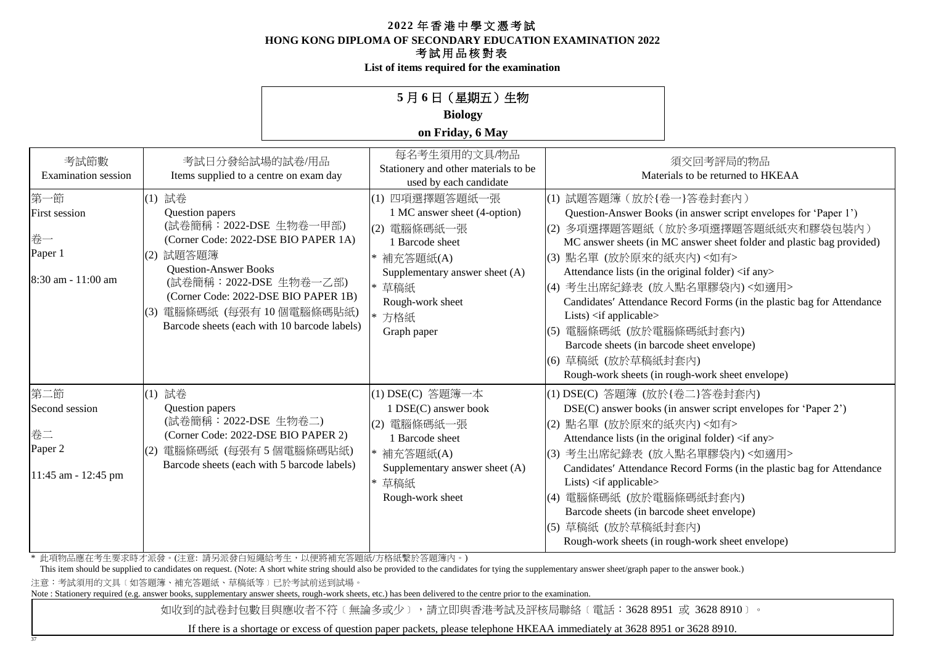**HONG KONG DIPLOMA OF SECONDARY EDUCATION EXAMINATION 2022**

## 考試用品核對表

**List of items required for the examination**

|                                                               |                                                                                                                                                                                                     |                                                                                      | 5月6日 (星期五)生物                                                                                                                                                                      |                                                                                                                                                                                                            |                                                                                                                                                                                                                                                                                                                                                                                                                   |
|---------------------------------------------------------------|-----------------------------------------------------------------------------------------------------------------------------------------------------------------------------------------------------|--------------------------------------------------------------------------------------|-----------------------------------------------------------------------------------------------------------------------------------------------------------------------------------|------------------------------------------------------------------------------------------------------------------------------------------------------------------------------------------------------------|-------------------------------------------------------------------------------------------------------------------------------------------------------------------------------------------------------------------------------------------------------------------------------------------------------------------------------------------------------------------------------------------------------------------|
|                                                               |                                                                                                                                                                                                     |                                                                                      | <b>Biology</b>                                                                                                                                                                    |                                                                                                                                                                                                            |                                                                                                                                                                                                                                                                                                                                                                                                                   |
|                                                               |                                                                                                                                                                                                     |                                                                                      | on Friday, 6 May                                                                                                                                                                  |                                                                                                                                                                                                            |                                                                                                                                                                                                                                                                                                                                                                                                                   |
| 考試節數<br><b>Examination</b> session                            | 考試日分發給試場的試卷/用品<br>Items supplied to a centre on exam day                                                                                                                                            |                                                                                      | 每名考生須用的文具/物品<br>Stationery and other materials to be<br>used by each candidate                                                                                                    |                                                                                                                                                                                                            | 須交回考評局的物品<br>Materials to be returned to HKEAA                                                                                                                                                                                                                                                                                                                                                                    |
| 第一節<br>First session<br>卷一<br>Paper 1<br>8:30 am - 11:00 am   | (1) 試卷<br>Question papers<br>(試卷簡稱: 2022-DSE 生物卷一甲部)<br>(Corner Code: 2022-DSE BIO PAPER 1A)<br>(2) 試題答題簿<br><b>Question-Answer Books</b><br>(試卷簡稱: 2022-DSE 生物卷一乙部)<br>電腦條碼紙 (每張有10個電腦條碼貼紙)<br>(3) | (Corner Code: 2022-DSE BIO PAPER 1B)<br>Barcode sheets (each with 10 barcode labels) | (1) 四項選擇題答題紙一張<br>1 MC answer sheet (4-option)<br>(2) 電腦條碼紙一張<br>1 Barcode sheet<br>補充答題紙(A)<br>Supplementary answer sheet (A)<br>* 草稿紙<br>Rough-work sheet<br>方格紙<br>Graph paper | (1) 試題答題簿 (放於{卷一}答卷封套內)<br>(3) 點名單 (放於原來的紙夾內)<如有><br>Lists) <if applicable=""><br/>電腦條碼紙 (放於電腦條碼紙封套內)<br/>(5)<br/>Barcode sheets (in barcode sheet envelope)<br/>(6) 草稿紙 (放於草稿紙封套內)</if>                   | Question-Answer Books (in answer script envelopes for 'Paper 1')<br>(2) 多項選擇題答題紙(放於多項選擇題答題紙紙夾和膠袋包裝內)<br>MC answer sheets (in MC answer sheet folder and plastic bag provided)<br>Attendance lists (in the original folder) <if any=""><br/>(4) 考生出席紀錄表 (放入點名單膠袋內)&lt;如適用&gt;<br/>Candidates' Attendance Record Forms (in the plastic bag for Attendance<br/>Rough-work sheets (in rough-work sheet envelope)</if> |
| 第二節<br>Second session<br>卷二<br>Paper 2<br>11:45 am - 12:45 pm | (1) 試卷<br>Question papers<br>(試卷簡稱: 2022-DSE 生物卷二)<br>(Corner Code: 2022-DSE BIO PAPER 2)<br>電腦條碼紙 (每張有5個電腦條碼貼紙)<br>(2)<br>Barcode sheets (each with 5 barcode labels)                              |                                                                                      | (1) DSE(C) 答題簿一本<br>1 DSE(C) answer book<br>(2) 電腦條碼紙一張<br>1 Barcode sheet<br>* 補充答題紙(A)<br>Supplementary answer sheet (A)<br>* 草稿紙<br>Rough-work sheet                           | (1) DSE(C) 答題簿 (放於{卷二}答卷封套內)<br>(2) 點名單 (放於原來的紙夾內)<如有><br>(3)<br>Lists) $\langle$ if applicable $\rangle$<br>(4) 電腦條碼紙 (放於電腦條碼紙封套內)<br>Barcode sheets (in barcode sheet envelope)<br>草稿紙 (放於草稿紙封套內)<br>(5) | DSE(C) answer books (in answer script envelopes for 'Paper 2')<br>Attendance lists (in the original folder) <if any=""><br/>考生出席紀錄表 (放入點名單膠袋內)&lt;如適用&gt;<br/>Candidates' Attendance Record Forms (in the plastic bag for Attendance<br/>Rough-work sheets (in rough-work sheet envelope)</if>                                                                                                                    |

\* 此項物品應在考生要求時才派發。(注意: 請另派發白短繩給考生,以便將補充答題紙/方格紙繫於答題簿內。)

This item should be supplied to candidates on request. (Note: A short white string should also be provided to the candidates for tying the supplementary answer sheet/graph paper to the answer book.)

注意:考試須用的文具﹝如答題簿、補充答題紙、草稿紙等﹞已於考試前送到試場。

37

Note : Stationery required (e.g. answer books, supplementary answer sheets, rough-work sheets, etc.) has been delivered to the centre prior to the examination.

如收到的試卷封包數目與應收者不符〔無論多或少〕,請立即與香港考試及評核局聯絡〔電話:3628 8951 或 3628 8910〕。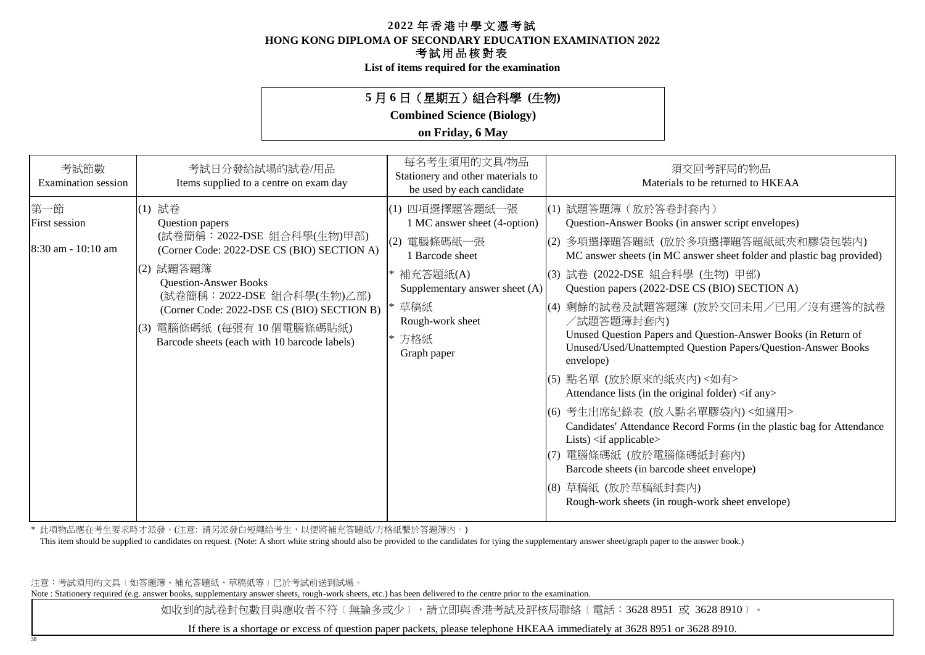**HONG KONG DIPLOMA OF SECONDARY EDUCATION EXAMINATION 2022**

### 考試用品核對表

**List of items required for the examination**

## **5** 月 **6** 日(星期五)組合科學 **(**生物**)**

**Combined Science (Biology)**

### **on Friday, 6 May**

| 考試節數<br><b>Examination</b> session                  | 考試日分發給試場的試卷/用品<br>Items supplied to a centre on exam day                                                                                                                                                                                                                                                    | 每名考生須用的文具/物品<br>Stationery and other materials to<br>be used by each candidate                                                                                                           | 須交回考評局的物品<br>Materials to be returned to HKEAA                                                                                                                                                                                                                                                                                                                                                                                                                                                                                                                                                                                                                                                                                                                                                                                                                                                                           |
|-----------------------------------------------------|-------------------------------------------------------------------------------------------------------------------------------------------------------------------------------------------------------------------------------------------------------------------------------------------------------------|------------------------------------------------------------------------------------------------------------------------------------------------------------------------------------------|--------------------------------------------------------------------------------------------------------------------------------------------------------------------------------------------------------------------------------------------------------------------------------------------------------------------------------------------------------------------------------------------------------------------------------------------------------------------------------------------------------------------------------------------------------------------------------------------------------------------------------------------------------------------------------------------------------------------------------------------------------------------------------------------------------------------------------------------------------------------------------------------------------------------------|
| 第一節<br><b>First session</b><br>$8:30$ am - 10:10 am | (1) 試卷<br>Question papers<br>(試卷簡稱:2022-DSE 組合科學(生物)甲部)<br>(Corner Code: 2022-DSE CS (BIO) SECTION A)<br>(2) 試題答題簿<br><b>Question-Answer Books</b><br>(試卷簡稱: 2022-DSE 組合科學(生物)乙部)<br>(Corner Code: 2022-DSE CS (BIO) SECTION B)<br>(3) 電腦條碼紙 (每張有10個電腦條碼貼紙)<br>Barcode sheets (each with 10 barcode labels) | (1) 四項選擇題答題紙一張<br>1 MC answer sheet (4-option)<br>電腦條碼紙一張<br>(2)<br>1 Barcode sheet<br>* 補充答題紙(A)<br>Supplementary answer sheet (A)<br>* 草稿紙<br>Rough-work sheet<br>* 方格紙<br>Graph paper | (1) 試題答題簿 (放於答卷封套內)<br>Question-Answer Books (in answer script envelopes)<br>多項選擇題答題紙 (放於多項選擇題答題紙紙夾和膠袋包裝內)<br>(2)<br>MC answer sheets (in MC answer sheet folder and plastic bag provided)<br>(3) 試卷 (2022-DSE 組合科學 (生物) 甲部)<br>Question papers (2022-DSE CS (BIO) SECTION A)<br>剩餘的試卷及試題答題簿(放於交回未用/已用/沒有選答的試卷<br>(4)<br>/試題答題簿封套內)<br>Unused Question Papers and Question-Answer Books (in Return of<br>Unused/Used/Unattempted Question Papers/Question-Answer Books<br>envelope)<br>(5) 點名單 (放於原來的紙夾內) <如有><br>Attendance lists (in the original folder) <if any=""><br/>(6) 考生出席紀錄表 (放入點名單膠袋內)&lt;如適用&gt;<br/>Candidates' Attendance Record Forms (in the plastic bag for Attendance<br/>Lists) <math>\langle</math>if applicable<math>\rangle</math><br/>電腦條碼紙 (放於電腦條碼紙封套內)<br/>(7)<br/>Barcode sheets (in barcode sheet envelope)<br/>(8) 草稿紙 (放於草稿紙封套內)<br/>Rough-work sheets (in rough-work sheet envelope)</if> |

\* 此項物品應在考生要求時才派發。(注意: 請另派發白短繩給考生,以便將補充答題紙/方格紙繫於答題簿內。)

This item should be supplied to candidates on request. (Note: A short white string should also be provided to the candidates for tying the supplementary answer sheet/graph paper to the answer book.)

注意:考試須用的文具﹝如答題簿、補充答題紙、草稿紙等﹞已於考試前送到試場。

38

Note : Stationery required (e.g. answer books, supplementary answer sheets, rough-work sheets, etc.) has been delivered to the centre prior to the examination.

如收到的試卷封包數目與應收者不符〔無論多或少〕,請立即與香港考試及評核局聯絡〔電話:3628 8951 或 3628 8910〕。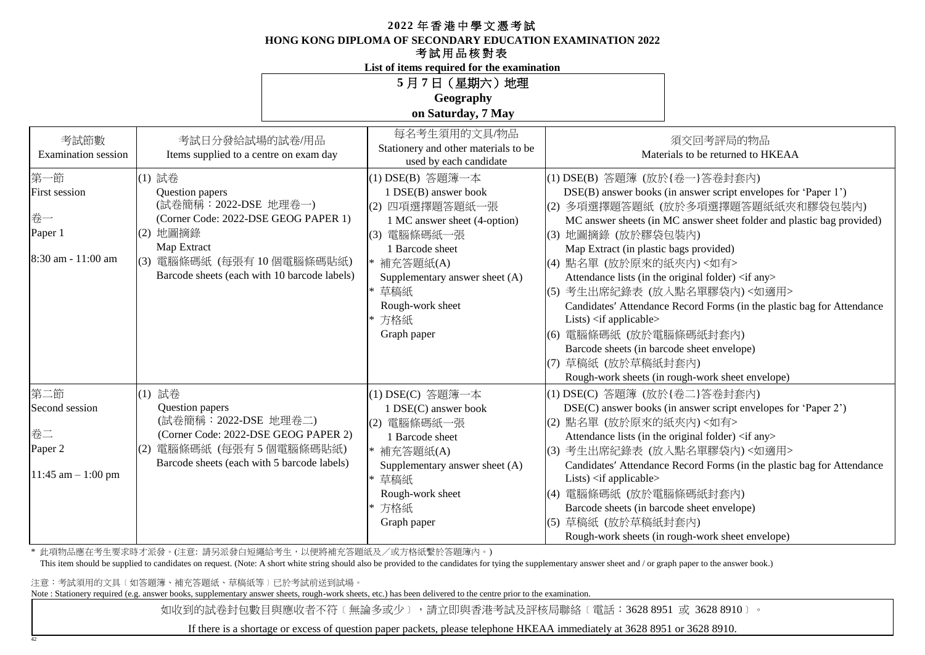**HONG KONG DIPLOMA OF SECONDARY EDUCATION EXAMINATION 2022**

## 考試用品核對表

**List of items required for the examination**

| 5月7日 (星期六)地理       |  |  |  |  |  |
|--------------------|--|--|--|--|--|
| Geography          |  |  |  |  |  |
| on Saturday, 7 May |  |  |  |  |  |

| 考試節數<br><b>Examination</b> session | 考試日分發給試場的試卷/用品<br>Items supplied to a centre on exam day | 每名考生須用的文具/物品<br>Stationery and other materials to be<br>used by each candidate | 須交回考評局的物品<br>Materials to be returned to HKEAA                         |
|------------------------------------|----------------------------------------------------------|--------------------------------------------------------------------------------|------------------------------------------------------------------------|
| 第一節                                | (1) 試卷                                                   | (1) DSE(B) 答題簿一本                                                               | (1) DSE(B) 答題簿 (放於{卷一}答卷封套內)                                           |
| <b>First session</b>               | Question papers                                          | 1 DSE(B) answer book                                                           | DSE(B) answer books (in answer script envelopes for 'Paper 1')         |
|                                    | (試卷簡稱: 2022-DSE 地理卷一)                                    | (2) 四項選擇題答題紙一張                                                                 | (2) 多項選擇題答題紙 (放於多項選擇題答題紙紙夾和膠袋包裝內)                                      |
| 卷一                                 | (Corner Code: 2022-DSE GEOG PAPER 1)                     | 1 MC answer sheet (4-option)                                                   | MC answer sheets (in MC answer sheet folder and plastic bag provided)  |
| Paper 1                            | (2) 地圖摘錄                                                 | (3) 電腦條碼紙一張                                                                    | (3) 地圖摘錄 (放於膠袋包裝內)                                                     |
|                                    | Map Extract                                              | 1 Barcode sheet                                                                | Map Extract (in plastic bags provided)                                 |
| 8:30 am - 11:00 am                 | (3) 電腦條碼紙 (每張有 10 個電腦條碼貼紙)                               | 補充答題紙(A)                                                                       | (4) 點名單 (放於原來的紙夾內)<如有>                                                 |
|                                    | Barcode sheets (each with 10 barcode labels)             | Supplementary answer sheet (A)                                                 | Attendance lists (in the original folder) <if any=""></if>             |
|                                    |                                                          | 草稿紙                                                                            | (5) 考生出席紀錄表 (放入點名單膠袋內)<如適用>                                            |
|                                    |                                                          | Rough-work sheet                                                               | Candidates' Attendance Record Forms (in the plastic bag for Attendance |
|                                    |                                                          | 方格紙                                                                            | Lists) $\langle$ if applicable $\rangle$                               |
|                                    |                                                          | Graph paper                                                                    | (6) 電腦條碼紙 (放於電腦條碼紙封套內)                                                 |
|                                    |                                                          |                                                                                | Barcode sheets (in barcode sheet envelope)                             |
|                                    |                                                          |                                                                                | (7) 草稿紙 (放於草稿紙封套內)                                                     |
|                                    |                                                          |                                                                                | Rough-work sheets (in rough-work sheet envelope)                       |
| 第二節                                | (1) 試卷                                                   | (1) DSE(C) 答題簿一本                                                               | (1) DSE(C) 答題簿 (放於{卷二}答卷封套內)                                           |
| Second session                     | Question papers                                          | 1 DSE(C) answer book                                                           | DSE(C) answer books (in answer script envelopes for 'Paper 2')         |
|                                    | (試卷簡稱: 2022-DSE 地理卷二)                                    | (2) 電腦條碼紙一張                                                                    | (2) 點名單 (放於原來的紙夾內)<如有>                                                 |
| 卷二                                 | (Corner Code: 2022-DSE GEOG PAPER 2)                     | 1 Barcode sheet                                                                | Attendance lists (in the original folder) <if any=""></if>             |
| Paper 2                            | 電腦條碼紙 (每張有5個電腦條碼貼紙)<br>(2)                               | * 補充答題紙(A)                                                                     | (3) 考生出席紀錄表 (放入點名單膠袋內)<如適用>                                            |
|                                    | Barcode sheets (each with 5 barcode labels)              | Supplementary answer sheet (A)                                                 | Candidates' Attendance Record Forms (in the plastic bag for Attendance |
| $11:45$ am $-1:00$ pm              |                                                          | * 草稿紙                                                                          | Lists) <if applicable=""></if>                                         |
|                                    |                                                          | Rough-work sheet                                                               | (4) 電腦條碼紙 (放於電腦條碼紙封套內)                                                 |
|                                    |                                                          | * 方格紙                                                                          | Barcode sheets (in barcode sheet envelope)                             |
|                                    |                                                          | Graph paper                                                                    | (5) 草稿紙 (放於草稿紙封套內)                                                     |
|                                    |                                                          |                                                                                | Rough-work sheets (in rough-work sheet envelope)                       |

\* 此項物品應在考生要求時才派發。(注意: 請另派發白短繩給考生,以便將補充答題紙及/或方格紙繫於答題簿內。)

This item should be supplied to candidates on request. (Note: A short white string should also be provided to the candidates for tying the supplementary answer sheet and / or graph paper to the answer book.)

注意:考試須用的文具﹝如答題簿、補充答題紙、草稿紙等﹞已於考試前送到試場。

42

Note : Stationery required (e.g. answer books, supplementary answer sheets, rough-work sheets, etc.) has been delivered to the centre prior to the examination.

如收到的試卷封包數目與應收者不符〔無論多或少〕,請立即與香港考試及評核局聯絡〔電話:3628 8951 或 3628 8910〕。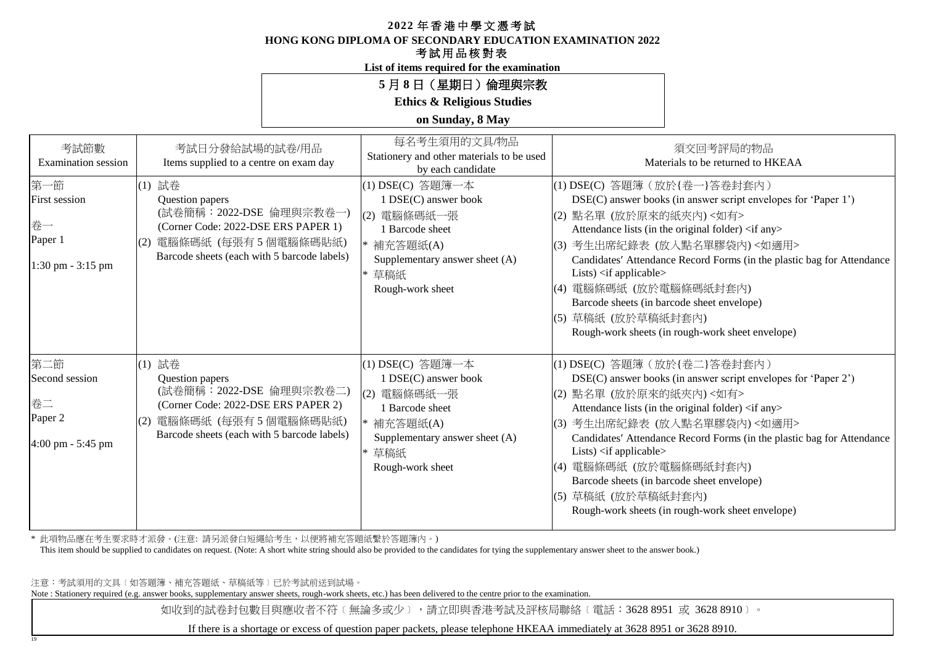**HONG KONG DIPLOMA OF SECONDARY EDUCATION EXAMINATION 2022**

#### 考試用品核對表

**List of items required for the examination**

## **5** 月 **8** 日(星期日)倫理與宗教

**Ethics & Religious Studies**

#### **on Sunday, 8 May**

| 考試節數<br><b>Examination</b> session                                   | 考試日分發給試場的試卷/用品<br>Items supplied to a centre on exam day                                                                                                                  | 每名考生須用的文具/物品<br>Stationery and other materials to be used<br>by each candidate                                                                           | 須交回考評局的物品<br>Materials to be returned to HKEAA                                                                                                                                                                                                                                                                                                                                                                                                                                                                                     |
|----------------------------------------------------------------------|---------------------------------------------------------------------------------------------------------------------------------------------------------------------------|----------------------------------------------------------------------------------------------------------------------------------------------------------|------------------------------------------------------------------------------------------------------------------------------------------------------------------------------------------------------------------------------------------------------------------------------------------------------------------------------------------------------------------------------------------------------------------------------------------------------------------------------------------------------------------------------------|
| 第一節<br><b>First session</b><br>卷一<br>Paper 1<br>$1:30$ pm $-3:15$ pm | (1) 試卷<br>Question papers<br>(試卷簡稱: 2022-DSE 倫理與宗教卷一)<br>(Corner Code: 2022-DSE ERS PAPER 1)<br>(2) 電腦條碼紙 (每張有5個電腦條碼貼紙)<br>Barcode sheets (each with 5 barcode labels)    | (1) DSE(C) 答題簿一本<br>1 DSE(C) answer book<br>電腦條碼紙一張<br>(2)<br>1 Barcode sheet<br>* 補充答題紙(A)<br>Supplementary answer sheet (A)<br>草稿紙<br>Rough-work sheet | (1) DSE(C) 答題簿 (放於{卷一}答卷封套內)<br>DSE(C) answer books (in answer script envelopes for 'Paper 1')<br>(2) 點名單 (放於原來的紙夾內)<如有><br>Attendance lists (in the original folder) <if any=""><br/>(3) 考生出席紀錄表 (放入點名單膠袋內)&lt;如適用&gt;<br/>Candidates' Attendance Record Forms (in the plastic bag for Attendance<br/>Lists) <math>\langle</math>if applicable<math>\rangle</math><br/>電腦條碼紙 (放於電腦條碼紙封套內)<br/>(4)<br/>Barcode sheets (in barcode sheet envelope)<br/>(5) 草稿紙 (放於草稿紙封套內)<br/>Rough-work sheets (in rough-work sheet envelope)</if> |
| 第二節<br>Second session<br>卷二<br>Paper 2<br>4:00 pm - 5:45 pm          | (1) 試卷<br>Question papers<br>(試卷簡稱: 2022-DSE 倫理與宗教卷二)<br>(Corner Code: 2022-DSE ERS PAPER 2)<br>電腦條碼紙 (每張有5個電腦條碼貼紙)<br>(2)<br>Barcode sheets (each with 5 barcode labels) | (1) DSE(C) 答題簿一本<br>1 DSE(C) answer book<br>電腦條碼紙一張<br>(2)<br>1 Barcode sheet<br>* 補充答題紙(A)<br>Supplementary answer sheet (A)<br>草稿紙<br>Rough-work sheet | (1) DSE(C) 答題簿 (放於{卷二}答卷封套內)<br>DSE(C) answer books (in answer script envelopes for 'Paper 2')<br>(2) 點名單 (放於原來的紙夾內) <如有><br>Attendance lists (in the original folder) <if any=""><br/>(3) 考生出席紀錄表 (放入點名單膠袋內)&lt;如適用&gt;<br/>Candidates' Attendance Record Forms (in the plastic bag for Attendance<br/>Lists) <if applicable=""><br/>(4) 電腦條碼紙 (放於電腦條碼紙封套內)<br/>Barcode sheets (in barcode sheet envelope)<br/>(5) 草稿紙 (放於草稿紙封套內)<br/>Rough-work sheets (in rough-work sheet envelope)</if></if>                                  |

\* 此項物品應在考生要求時才派發。(注意: 請另派發白短繩給考生,以便將補充答題紙繫於答題簿內。)

This item should be supplied to candidates on request. (Note: A short white string should also be provided to the candidates for tying the supplementary answer sheet to the answer book.)

注意:考試須用的文具﹝如答題簿、補充答題紙、草稿紙等﹞已於考試前送到試場。

19

Note : Stationery required (e.g. answer books, supplementary answer sheets, rough-work sheets, etc.) has been delivered to the centre prior to the examination.

如收到的試卷封包數目與應收者不符〔無論多或少〕,請立即與香港考試及評核局聯絡〔電話:3628 8951 或 3628 8910〕。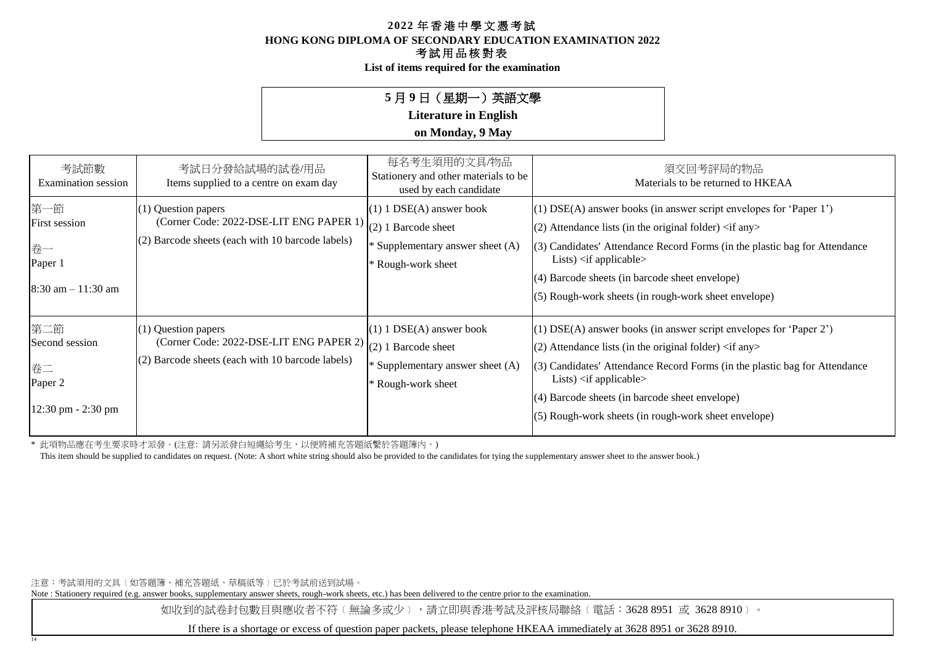**List of items required for the examination**

## **5** 月 **9** 日(星期一)英語文學

**Literature in English**

### **on Monday, 9 May**

| 考試節數<br>Examination session                                    | 考試日分發給試場的試卷/用品<br>Items supplied to a centre on exam day                                                                                 | 每名考生須用的文具/物品<br>Stationery and other materials to be<br>used by each candidate                              | 須交回考評局的物品<br>Materials to be returned to HKEAA                                                                                                                                                                                                                                                                                                                                     |
|----------------------------------------------------------------|------------------------------------------------------------------------------------------------------------------------------------------|-------------------------------------------------------------------------------------------------------------|------------------------------------------------------------------------------------------------------------------------------------------------------------------------------------------------------------------------------------------------------------------------------------------------------------------------------------------------------------------------------------|
| 第一節<br>First session<br>卷一<br>Paper 1<br>$8:30$ am $-11:30$ am | $(1)$ Question papers<br>(Corner Code: 2022-DSE-LIT ENG PAPER 1)<br>(2) Barcode sheets (each with 10 barcode labels)                     | $(1)$ 1 DSE(A) answer book<br>$(2)$ 1 Barcode sheet<br>Supplementary answer sheet (A)<br>* Rough-work sheet | (1) DSE(A) answer books (in answer script envelopes for 'Paper 1')<br>(2) Attendance lists (in the original folder) $\langle$ if any $\rangle$<br>(3) Candidates' Attendance Record Forms (in the plastic bag for Attendance<br>Lists) $\langle$ if applicable $\rangle$<br>(4) Barcode sheets (in barcode sheet envelope)<br>(5) Rough-work sheets (in rough-work sheet envelope) |
| 第二節<br>Second session<br>卷二<br>Paper 2<br>12:30 pm - 2:30 pm   | (1) Question papers<br>(Corner Code: 2022-DSE-LIT ENG PAPER 2) $(2)$ 1 Barcode sheet<br>(2) Barcode sheets (each with 10 barcode labels) | $(1)$ 1 DSE(A) answer book<br>* Supplementary answer sheet (A)<br>* Rough-work sheet                        | (1) DSE(A) answer books (in answer script envelopes for 'Paper 2')<br>(2) Attendance lists (in the original folder) $\langle$ if any $\rangle$<br>(3) Candidates' Attendance Record Forms (in the plastic bag for Attendance<br>Lists) $\langle$ if applicable $\rangle$<br>(4) Barcode sheets (in barcode sheet envelope)<br>(5) Rough-work sheets (in rough-work sheet envelope) |

\* 此項物品應在考生要求時才派發。(注意: 請另派發白短繩給考生,以便將補充答題紙繫於答題簿內。)

This item should be supplied to candidates on request. (Note: A short white string should also be provided to the candidates for tying the supplementary answer sheet to the answer book.)

注意:考試須用的文具﹝如答題簿、補充答題紙、草稿紙等﹞已於考試前送到試場。

14

Note : Stationery required (e.g. answer books, supplementary answer sheets, rough-work sheets, etc.) has been delivered to the centre prior to the examination.

如收到的試卷封包數目與應收者不符〔無論多或少〕,請立即與香港考試及評核局聯絡〔電話:3628 8951 或 3628 8910〕。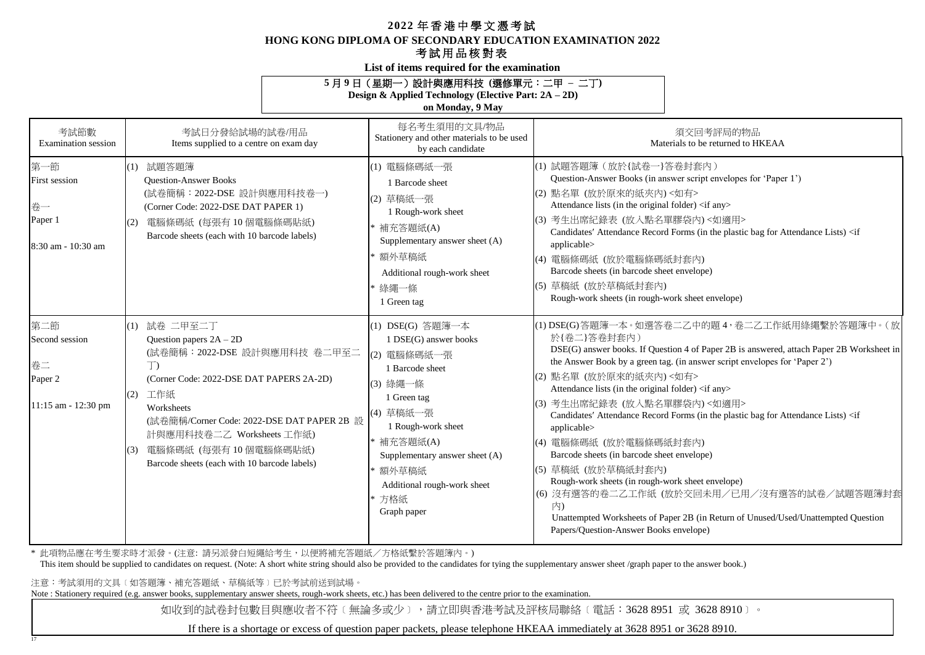#### **HONG KONG DIPLOMA OF SECONDARY EDUCATION EXAMINATION 2022**

## 考試用品核對表

**List of items required for the examination**

#### **5** 月 **9** 日(星期一)設計與應用科技 **(**選修單元:二甲 **–** 二丁**)**

**Design & Applied Technology (Elective Part: 2A – 2D)**

**on Monday, 9 May**

| 考試節數<br><b>Examination</b> session                            |                   | 考試日分發給試場的試卷/用品<br>Items supplied to a centre on exam day                                                                                                                                                                                                                                         | 每名考生須用的文具/物品<br>Stationery and other materials to be used<br>by each candidate                                                                                                                                                                              | 須交回考評局的物品<br>Materials to be returned to HKEAA                                                                                                                                                                                                                                                                                                                                                                                                                                                                                                                                                                                                                                                                                                                                                                                        |
|---------------------------------------------------------------|-------------------|--------------------------------------------------------------------------------------------------------------------------------------------------------------------------------------------------------------------------------------------------------------------------------------------------|-------------------------------------------------------------------------------------------------------------------------------------------------------------------------------------------------------------------------------------------------------------|---------------------------------------------------------------------------------------------------------------------------------------------------------------------------------------------------------------------------------------------------------------------------------------------------------------------------------------------------------------------------------------------------------------------------------------------------------------------------------------------------------------------------------------------------------------------------------------------------------------------------------------------------------------------------------------------------------------------------------------------------------------------------------------------------------------------------------------|
| 第一節<br>First session<br>卷一<br>Paper 1<br>8:30 am - 10:30 am   | (1)<br>(2)        | 試題答題簿<br><b>Question-Answer Books</b><br>(試卷簡稱: 2022-DSE 設計與應用科技卷一)<br>(Corner Code: 2022-DSE DAT PAPER 1)<br>電腦條碼紙 (每張有10個電腦條碼貼紙)<br>Barcode sheets (each with 10 barcode labels)                                                                                                               | (1) 電腦條碼紙一張<br>1 Barcode sheet<br>(2) 草稿紙一張<br>1 Rough-work sheet<br>* 補充答題紙(A)<br>Supplementary answer sheet (A)<br>* 額外草稿紙<br>Additional rough-work sheet<br>* 綠繩一條<br>1 Green tag                                                                        | (1) 試題答題簿 (放於{試卷一}答卷封套內)<br>Question-Answer Books (in answer script envelopes for 'Paper 1')<br>(2) 點名單 (放於原來的紙夾內) <如有><br>Attendance lists (in the original folder) <if any=""><br/>(3) 考生出席紀錄表 (放入點名單膠袋內)&lt;如適用&gt;<br/>Candidates' Attendance Record Forms (in the plastic bag for Attendance Lists) <if<br>applicable&gt;<br/>(4) 電腦條碼紙 (放於電腦條碼紙封套內)<br/>Barcode sheets (in barcode sheet envelope)<br/>(5) 草稿紙 (放於草稿紙封套內)<br/>Rough-work sheets (in rough-work sheet envelope)</if<br></if>                                                                                                                                                                                                                                                                                                                                     |
| 第二節<br>Second session<br>卷二<br>Paper 2<br>11:15 am - 12:30 pm | (1)<br>(2)<br>(3) | 試卷 二甲至二丁<br>Question papers $2A - 2D$<br>(試卷簡稱: 2022-DSE 設計與應用科技 卷二甲至二<br>T)<br>(Corner Code: 2022-DSE DAT PAPERS 2A-2D)<br>工作紙<br>Worksheets<br>(試卷簡稱/Corner Code: 2022-DSE DAT PAPER 2B 設<br>計與應用科技卷二乙 Worksheets 工作紙)<br>電腦條碼紙 (每張有10個電腦條碼貼紙)<br>Barcode sheets (each with 10 barcode labels) | (1) DSE(G) 答題簿一本<br>1 DSE(G) answer books<br>(2) 電腦條碼紙一張<br>1 Barcode sheet<br>(3) 綠繩一條<br>1 Green tag<br>(4) 草稿紙一張<br>1 Rough-work sheet<br>* 補充答題紙(A)<br>Supplementary answer sheet (A)<br>* 額外草稿紙<br>Additional rough-work sheet<br>* 方格紙<br>Graph paper | (1) DSE(G)答題簿一本。如選答卷二乙中的題 4, 卷二乙工作紙用綠繩繫於答題簿中。(放<br>於{卷二}答卷封套內)<br>DSE(G) answer books. If Question 4 of Paper 2B is answered, attach Paper 2B Worksheet in<br>the Answer Book by a green tag. (in answer script envelopes for 'Paper 2')<br>(2) 點名單 (放於原來的紙夾內) <如有><br>Attendance lists (in the original folder) <if any=""><br/>(3) 考生出席紀錄表 (放入點名單膠袋內)&lt;如適用&gt;<br/>Candidates' Attendance Record Forms (in the plastic bag for Attendance Lists) <if<br>applicable&gt;<br/> (4) 電腦條碼紙 (放於電腦條碼紙封套內)<br/>Barcode sheets (in barcode sheet envelope)<br/>(5) 草稿紙 (放於草稿紙封套内)<br/>Rough-work sheets (in rough-work sheet envelope)<br/>(6) 沒有選答的卷二乙工作紙 (放於交回未用/已用/沒有選答的試卷/試題答題簿封套<br/>内)<br/>Unattempted Worksheets of Paper 2B (in Return of Unused/Used/Unattempted Question<br/>Papers/Question-Answer Books envelope)</if<br></if> |

\* 此項物品應在考生要求時才派發。(注意: 請另派發白短繩給考生,以便將補充答題紙/方格紙繫於答題簿內。)

This item should be supplied to candidates on request. (Note: A short white string should also be provided to the candidates for tying the supplementary answer sheet /graph paper to the answer book.)

注意:考試須用的文具﹝如答題簿、補充答題紙、草稿紙等﹞已於考試前送到試場。

17

Note : Stationery required (e.g. answer books, supplementary answer sheets, rough-work sheets, etc.) has been delivered to the centre prior to the examination.

如收到的試卷封包數目與應收者不符〔無論多或少〕,請立即與香港考試及評核局聯絡〔電話:3628 8951 或 3628 8910〕。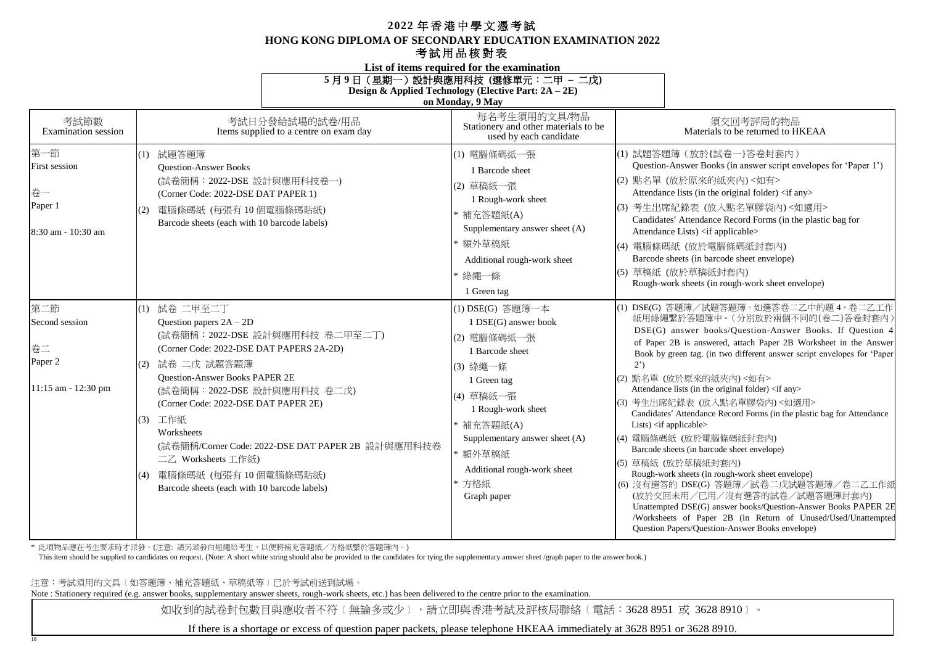#### **HONG KONG DIPLOMA OF SECONDARY EDUCATION EXAMINATION 2022**

#### 考試用品核對表

**List of items required for the examination**

**5** 月 **9** 日(星期一)設計與應用科技 **(**選修單元:二甲 **–** 二戊**)**

| Design & Applied Technology (Elective Part: 2A – 2E) |  |  |  |
|------------------------------------------------------|--|--|--|
|                                                      |  |  |  |

**on Monday, 9 May**

| 考試節數<br><b>Examination</b> session                              | 考試日分發給試場的試卷/用品<br>Items supplied to a centre on exam day                                                                                                                                                                                                                                                                                                                                                                                           | 每名考生須用的文具/物品<br>Stationery and other materials to be<br>used by each candidate                                                                                                                                                                       | 須交回考評局的物品<br>Materials to be returned to HKEAA                                                                                                                                                                                                                                                                                                                                                                                                                                                                                                                                                                                                                                                                                                                                                                                                                                                                                                                                                            |
|-----------------------------------------------------------------|----------------------------------------------------------------------------------------------------------------------------------------------------------------------------------------------------------------------------------------------------------------------------------------------------------------------------------------------------------------------------------------------------------------------------------------------------|------------------------------------------------------------------------------------------------------------------------------------------------------------------------------------------------------------------------------------------------------|-----------------------------------------------------------------------------------------------------------------------------------------------------------------------------------------------------------------------------------------------------------------------------------------------------------------------------------------------------------------------------------------------------------------------------------------------------------------------------------------------------------------------------------------------------------------------------------------------------------------------------------------------------------------------------------------------------------------------------------------------------------------------------------------------------------------------------------------------------------------------------------------------------------------------------------------------------------------------------------------------------------|
| 第一節<br>First session<br>卷一<br>Paper 1<br>8:30 am - 10:30 am     | (1) 試題答題簿<br><b>Ouestion-Answer Books</b><br>(試卷簡稱: 2022-DSE 設計與應用科技卷一)<br>(Corner Code: 2022-DSE DAT PAPER 1)<br>電腦條碼紙 (每張有 10 個電腦條碼貼紙)<br>(2)<br>Barcode sheets (each with 10 barcode labels)                                                                                                                                                                                                                                                    | (1) 電腦條碼紙一張<br>1 Barcode sheet<br>(2) 草稿紙一張<br>1 Rough-work sheet<br>補充答題紙(A)<br>Supplementary answer sheet (A)<br>額外草稿紙<br>Additional rough-work sheet<br>綠繩一條<br>1 Green tag                                                                       | (1) 試題答題簿 (放於{試卷一}答卷封套內)<br>Question-Answer Books (in answer script envelopes for 'Paper 1')<br>(2) 點名單 (放於原來的紙夾內)<如有><br>Attendance lists (in the original folder) <if any=""><br/>(3) 考生出席紀錄表 (放入點名單膠袋內)&lt;如適用&gt;<br/>Candidates' Attendance Record Forms (in the plastic bag for<br/>Attendance Lists) <if applicable=""><br/>(4) 電腦條碼紙 (放於電腦條碼紙封套內)<br/>Barcode sheets (in barcode sheet envelope)<br/>(5) 草稿紙 (放於草稿紙封套內)<br/>Rough-work sheets (in rough-work sheet envelope)</if></if>                                                                                                                                                                                                                                                                                                                                                                                                                                                                                                            |
| 第二節<br>Second session<br>卷二<br>Paper 2<br>$11:15$ am - 12:30 pm | (1) 試卷 二甲至二丁<br>Question papers $2A - 2D$<br>(試卷簡稱: 2022-DSE 設計與應用科技 卷二甲至二丁)<br>(Corner Code: 2022-DSE DAT PAPERS 2A-2D)<br>試卷 二戊 試題答題簿<br>(2)<br><b>Ouestion-Answer Books PAPER 2E</b><br>(試卷簡稱: 2022-DSE 設計與應用科技 卷二戊)<br>(Corner Code: 2022-DSE DAT PAPER 2E)<br>(3) 工作紙<br>Worksheets<br>(試卷簡稱/Corner Code: 2022-DSE DAT PAPER 2B 設計與應用科技卷<br>二乙 Worksheets 工作紙)<br>電腦條碼紙 (每張有10個電腦條碼貼紙)<br>(4)<br>Barcode sheets (each with 10 barcode labels) | (1) DSE(G) 答題簿一本<br>1 DSE(G) answer book<br>(2) 電腦條碼紙一張<br>1 Barcode sheet<br>(3) 綠繩一條<br>1 Green tag<br>(4) 草稿紙一張<br>1 Rough-work sheet<br>補充答題紙(A)<br>Supplementary answer sheet (A)<br>額外草稿紙<br>Additional rough-work sheet<br>方格紙<br>Graph paper | (1) DSE(G) 答題簿/試題答題簿。如選答卷二乙中的題 4,卷二乙工作<br>紙用綠繩繫於答題簿中。(分別放於兩個不同的{卷二}答卷封套內)<br>DSE(G) answer books/Question-Answer Books. If Question 4<br>of Paper 2B is answered, attach Paper 2B Worksheet in the Answer<br>Book by green tag. (in two different answer script envelopes for 'Paper<br>$2^{\prime})$<br>(2) 點名單 (放於原來的紙夾內)<如有><br>Attendance lists (in the original folder) <if any=""><br/>(3) 考生出席紀錄表 (放入點名單膠袋內)&lt;如適用&gt;<br/>Candidates' Attendance Record Forms (in the plastic bag for Attendance<br/>Lists) <math>\langle</math>if applicable<math>\rangle</math><br/>(4) 電腦條碼紙 (放於電腦條碼紙封套內)<br/>Barcode sheets (in barcode sheet envelope)<br/>(5) 草稿紙 (放於草稿紙封套內)<br/>Rough-work sheets (in rough-work sheet envelope)<br/>(6) 沒有選答的 DSE(G) 答題簿/試卷二戊試題答題簿/卷二乙工作紙<br/>(放於交回未用/已用/沒有選答的試卷/試題答題簿封套內)<br/>Unattempted DSE(G) answer books/Question-Answer Books PAPER 2E<br/>/Worksheets of Paper 2B (in Return of Unused/Used/Unattempted<br/>Question Papers/Question-Answer Books envelope)</if> |

\* 此項物品應在考生要求時才派發。(注意: 請另派發白短繩給考生,以便將補充答題紙/方格紙繫於答題簿內。)

This item should be supplied to candidates on request. (Note: A short white string should also be provided to the candidates for tying the supplementary answer sheet /graph paper to the answer book.)

注意:考試須用的文具﹝如答題簿、補充答題紙、草稿紙等﹞已於考試前送到試場。

18

Note : Stationery required (e.g. answer books, supplementary answer sheets, rough-work sheets, etc.) has been delivered to the centre prior to the examination.

如收到的試卷封包數目與應收者不符〔無論多或少〕,請立即與香港考試及評核局聯絡〔電話:3628 8951 或 3628 8910〕。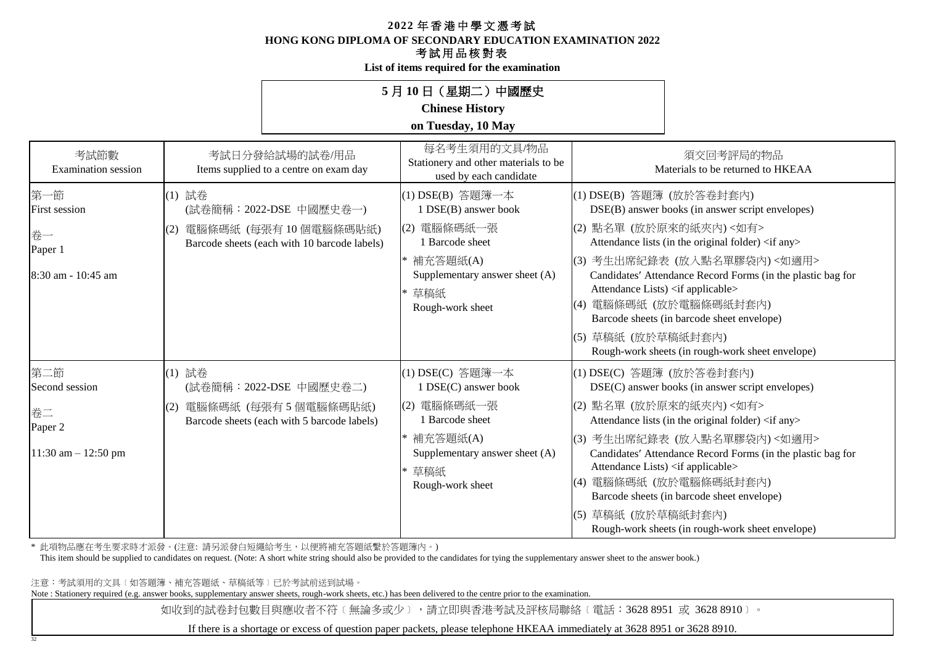**HONG KONG DIPLOMA OF SECONDARY EDUCATION EXAMINATION 2022**

## 考試用品核對表

**List of items required for the examination**

## **5** 月 **10** 日(星期二)中國歷史 **Chinese History**

## **on Tuesday, 10 May**

| 考試節數<br>Examination session                                        | 考試日分發給試場的試卷/用品<br>Items supplied to a centre on exam day                                                          | 每名考生須用的文具/物品<br>Stationery and other materials to be<br>used by each candidate                                                                           | 須交回考評局的物品<br>Materials to be returned to HKEAA                                                                                                                                                                                                                                                                                                                                                                                                                                             |
|--------------------------------------------------------------------|-------------------------------------------------------------------------------------------------------------------|----------------------------------------------------------------------------------------------------------------------------------------------------------|--------------------------------------------------------------------------------------------------------------------------------------------------------------------------------------------------------------------------------------------------------------------------------------------------------------------------------------------------------------------------------------------------------------------------------------------------------------------------------------------|
| 第一節<br><b>First session</b><br>卷一<br>Paper 1<br>8:30 am - 10:45 am | (1) 試卷<br>(試卷簡稱:2022-DSE 中國歷史卷一)<br>電腦條碼紙 (每張有 10 個電腦條碼貼紙)<br>(2)<br>Barcode sheets (each with 10 barcode labels) | (1) DSE(B) 答題簿一本<br>1 DSE(B) answer book<br>(2) 電腦條碼紙一張<br>1 Barcode sheet<br>* 補充答題紙(A)<br>Supplementary answer sheet (A)<br>草稿紙<br>Rough-work sheet    | (1) DSE(B) 答題簿 (放於答卷封套內)<br>DSE(B) answer books (in answer script envelopes)<br>(2) 點名單 (放於原來的紙夾內)<如有><br>Attendance lists (in the original folder) <if any=""><br/>考生出席紀錄表 (放入點名單膠袋內)&lt;如適用&gt;<br/>(3)<br/>Candidates' Attendance Record Forms (in the plastic bag for<br/>Attendance Lists) <if applicable=""><br/>電腦條碼紙 (放於電腦條碼紙封套內)<br/>Barcode sheets (in barcode sheet envelope)<br/>草稿紙 (放於草稿紙封套內)<br/>(5)<br/>Rough-work sheets (in rough-work sheet envelope)</if></if>         |
| 第二節<br>Second session<br>卷二<br>Paper 2<br>$11:30$ am $- 12:50$ pm  | (1) 試卷<br>(試卷簡稱: 2022-DSE 中國歷史卷二)<br>電腦條碼紙 (每張有5個電腦條碼貼紙)<br>(2)<br>Barcode sheets (each with 5 barcode labels)    | (1) DSE(C) 答題簿一本<br>1 DSE(C) answer book<br>電腦條碼紙一張<br>(2)<br>1 Barcode sheet<br>* 補充答題紙(A)<br>Supplementary answer sheet (A)<br>草稿紙<br>Rough-work sheet | (1) DSE(C) 答題簿 (放於答卷封套內)<br>DSE(C) answer books (in answer script envelopes)<br>(2) 點名單 (放於原來的紙夾內)<如有><br>Attendance lists (in the original folder) <if any=""><br/>考生出席紀錄表 (放入點名單膠袋內)&lt;如適用&gt;<br/>(3)<br/>Candidates' Attendance Record Forms (in the plastic bag for<br/>Attendance Lists) <if applicable=""><br/>電腦條碼紙 (放於電腦條碼紙封套內)<br/>(4)<br/>Barcode sheets (in barcode sheet envelope)<br/>草稿紙 (放於草稿紙封套內)<br/>(5)<br/>Rough-work sheets (in rough-work sheet envelope)</if></if> |

\* 此項物品應在考生要求時才派發。(注意: 請另派發白短繩給考生,以便將補充答題紙繫於答題簿內。)

This item should be supplied to candidates on request. (Note: A short white string should also be provided to the candidates for tying the supplementary answer sheet to the answer book.)

注意:考試須用的文具﹝如答題簿、補充答題紙、草稿紙等﹞已於考試前送到試場。

32

Note : Stationery required (e.g. answer books, supplementary answer sheets, rough-work sheets, etc.) has been delivered to the centre prior to the examination.

如收到的試卷封包數目與應收者不符〔無論多或少〕,請立即與香港考試及評核局聯絡〔電話:3628 8951 或 3628 8910〕。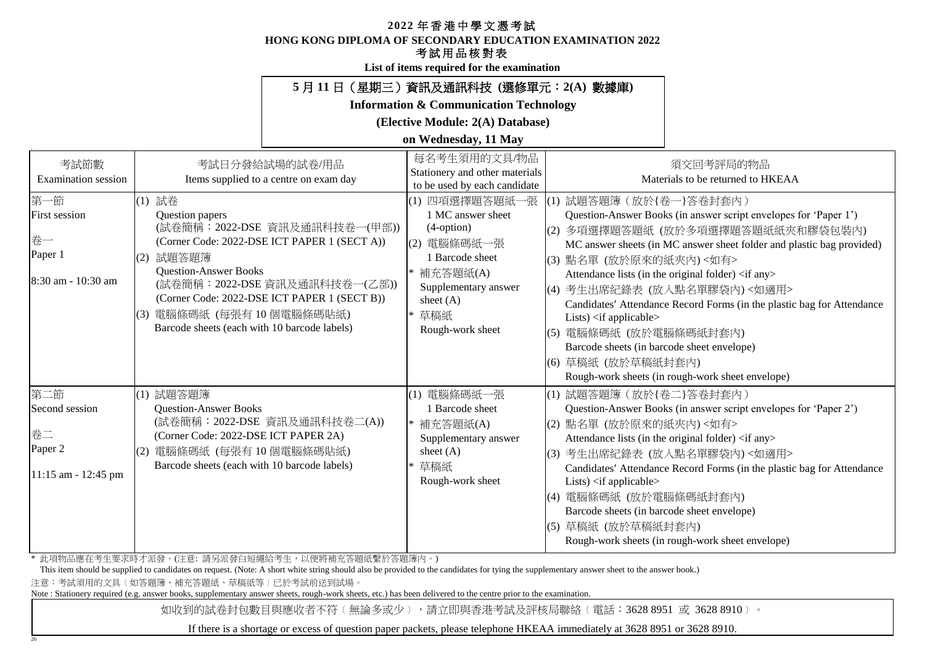#### **HONG KONG DIPLOMA OF SECONDARY EDUCATION EXAMINATION 2022**

## 考試用品核對表

**List of items required for the examination**

## **5** 月 **11** 日(星期三)資訊及通訊科技 **(**選修單元:**2(A)** 數據庫**)**

## **Information & Communication Technology**

**(Elective Module: 2(A) Database)**

## **on Wednesday, 11 May**

| 考試節數<br><b>Examination</b> session                                 | 考試日分發給試場的試卷/用品<br>Items supplied to a centre on exam day                                                                                                                                                                                                                                                                  | 每名考生須用的文具/物品<br>Stationery and other materials<br>to be used by each candidate                                                                                               | 須交回考評局的物品<br>Materials to be returned to HKEAA                                                                                                                                                                                                                                                                                                                                                                                                                                                                                                                                                               |
|--------------------------------------------------------------------|---------------------------------------------------------------------------------------------------------------------------------------------------------------------------------------------------------------------------------------------------------------------------------------------------------------------------|------------------------------------------------------------------------------------------------------------------------------------------------------------------------------|--------------------------------------------------------------------------------------------------------------------------------------------------------------------------------------------------------------------------------------------------------------------------------------------------------------------------------------------------------------------------------------------------------------------------------------------------------------------------------------------------------------------------------------------------------------------------------------------------------------|
| 第一節<br><b>First session</b><br>卷一<br>Paper 1<br>8:30 am - 10:30 am | (1) 試卷<br>Question papers<br>(試卷簡稱: 2022-DSE 資訊及通訊科技卷一(甲部))<br>(Corner Code: 2022-DSE ICT PAPER 1 (SECT A))<br>試題答題簿<br>(2)<br><b>Question-Answer Books</b><br>(試卷簡稱: 2022-DSE 資訊及通訊科技卷一(乙部))<br>(Corner Code: 2022-DSE ICT PAPER 1 (SECT B))<br>(3) 電腦條碼紙 (每張有10個電腦條碼貼紙)<br>Barcode sheets (each with 10 barcode labels) | (1) 四項選擇題答題紙一張<br>1 MC answer sheet<br>$(4$ -option $)$<br>(2) 電腦條碼紙一張<br><b>Barcode</b> sheet<br>補充答題紙(A)<br>Supplementary answer<br>sheet $(A)$<br>草稿紙<br>Rough-work sheet | (1) 試題答題簿 (放於{卷一}答卷封套內)<br>Question-Answer Books (in answer script envelopes for 'Paper 1')<br>多項選擇題答題紙 (放於多項選擇題答題紙紙夾和膠袋包裝內)<br>MC answer sheets (in MC answer sheet folder and plastic bag provided)<br>(3) 點名單 (放於原來的紙夾內) <如有><br>Attendance lists (in the original folder) <if any=""><br/>(4) 考生出席紀錄表 (放入點名單膠袋內)&lt;如適用&gt;<br/>Candidates' Attendance Record Forms (in the plastic bag for Attendance<br/>Lists) <if applicable=""><br/>電腦條碼紙 (放於電腦條碼紙封套內)<br/>(5)<br/>Barcode sheets (in barcode sheet envelope)<br/>(6) 草稿紙 (放於草稿紙封套內)<br/>Rough-work sheets (in rough-work sheet envelope)</if></if> |
| 第二節<br>Second session<br>卷二<br>Paper 2<br>$11:15$ am - 12:45 pm    | (1) 試題答題簿<br><b>Question-Answer Books</b><br>(試卷簡稱: 2022-DSE 資訊及通訊科技卷二(A))<br>(Corner Code: 2022-DSE ICT PAPER 2A)<br>電腦條碼紙 (每張有 10 個電腦條碼貼紙)<br>(2)<br>Barcode sheets (each with 10 barcode labels)                                                                                                                       | 電腦條碼紙一張<br><b>Barcode</b> sheet<br>補充答題紙(A)<br>Supplementary answer<br>sheet $(A)$<br>草稿紙<br>Rough-work sheet                                                                | (1) 試題答題簿 (放於{卷二}答卷封套內)<br>Question-Answer Books (in answer script envelopes for 'Paper 2')<br>(2) 點名單 (放於原來的紙夾內)<如有><br>Attendance lists (in the original folder) <if any=""><br/>考生出席紀錄表 (放入點名單膠袋內)&lt;如適用&gt;<br/>(3)<br/>Candidates' Attendance Record Forms (in the plastic bag for Attendance<br/>Lists) <math>\langle</math>if applicable<math>\rangle</math><br/>電腦條碼紙 (放於電腦條碼紙封套內)<br/>(4)<br/>Barcode sheets (in barcode sheet envelope)<br/>草稿紙 (放於草稿紙封套內)<br/>(5)<br/>Rough-work sheets (in rough-work sheet envelope)</if>                                                                      |

\* 此項物品應在考生要求時才派發。(注意: 請另派發白短繩給考生,以便將補充答題紙繫於答題簿內。)

This item should be supplied to candidates on request. (Note: A short white string should also be provided to the candidates for tying the supplementary answer sheet to the answer book.)

注意:考試須用的文具﹝如答題簿、補充答題紙、草稿紙等﹞已於考試前送到試場。

26

Note : Stationery required (e.g. answer books, supplementary answer sheets, rough-work sheets, etc.) has been delivered to the centre prior to the examination.

如收到的試卷封包數目與應收者不符〔無論多或少〕,請立即與香港考試及評核局聯絡〔電話:3628 8951 或 3628 8910〕。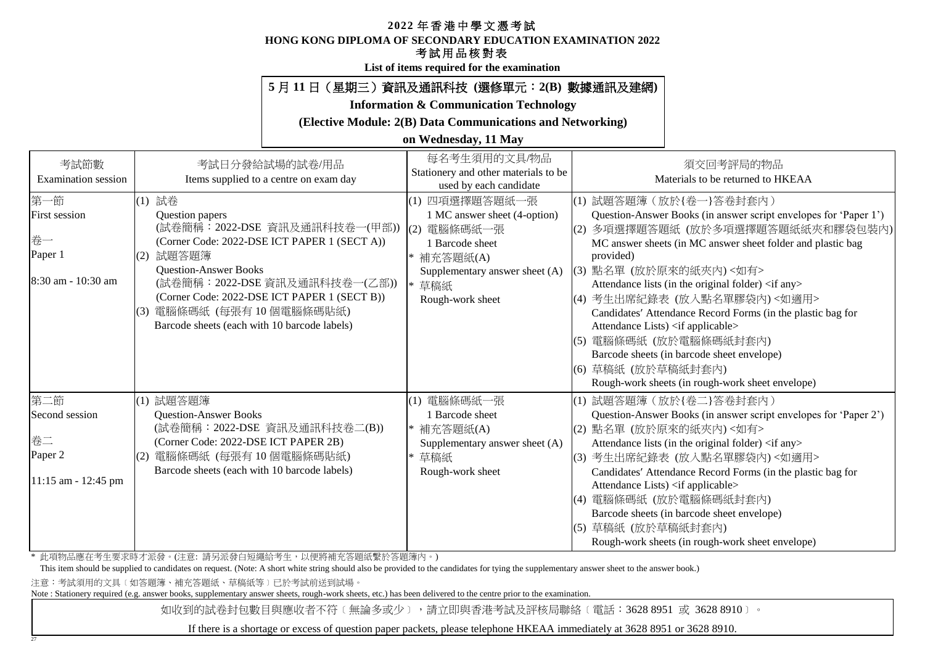#### **HONG KONG DIPLOMA OF SECONDARY EDUCATION EXAMINATION 2022**

## 考試用品核對表

**List of items required for the examination**

## **5** 月 **11** 日(星期三)資訊及通訊科技 **(**選修單元:**2(B)** 數據通訊及建網**)**

**Information & Communication Technology**

**(Elective Module: 2(B) Data Communications and Networking)**

## **on Wednesday, 11 May**

| 考試節數<br><b>Examination</b> session | 考試日分發給試場的試卷/用品<br>Items supplied to a centre on exam day                 | 每名考生須用的文具/物品<br>Stationery and other materials to be<br>used by each candidate | 須交回考評局的物品<br>Materials to be returned to HKEAA                                              |
|------------------------------------|--------------------------------------------------------------------------|--------------------------------------------------------------------------------|---------------------------------------------------------------------------------------------|
| 第一節                                | (1) 試卷                                                                   | (1) 四項選擇題答題紙一張                                                                 | (1) 試題答題簿 (放於{卷一}答卷封套內)                                                                     |
| <b>First session</b>               | Question papers                                                          | 1 MC answer sheet (4-option)                                                   | Question-Answer Books (in answer script envelopes for 'Paper 1')                            |
|                                    | (試卷簡稱: 2022-DSE 資訊及通訊科技卷一(甲部))                                           | (2) 電腦條碼紙一張                                                                    | 多項選擇題答題紙 (放於多項選擇題答題紙紙夾和膠袋包裝內)<br>(2)                                                        |
| 卷一                                 | (Corner Code: 2022-DSE ICT PAPER 1 (SECT A))                             | 1 Barcode sheet                                                                | MC answer sheets (in MC answer sheet folder and plastic bag                                 |
| Paper 1                            | 試題答題簿<br>(2)                                                             | 補充答題紙(A)                                                                       | provided)                                                                                   |
| 8:30 am - 10:30 am                 | <b>Question-Answer Books</b>                                             | Supplementary answer sheet (A)                                                 | (3) 點名單 (放於原來的紙夾內)<如有>                                                                      |
|                                    | (試卷簡稱: 2022-DSE 資訊及通訊科技卷一(乙部))                                           | 草稿紙                                                                            | Attendance lists (in the original folder) <if any=""></if>                                  |
|                                    | (Corner Code: 2022-DSE ICT PAPER 1 (SECT B))<br>(3) 電腦條碼紙 (每張有10個電腦條碼貼紙) | Rough-work sheet                                                               | (4) 考生出席紀錄表 (放入點名單膠袋內)<如適用>                                                                 |
|                                    | Barcode sheets (each with 10 barcode labels)                             |                                                                                | Candidates' Attendance Record Forms (in the plastic bag for                                 |
|                                    |                                                                          |                                                                                | Attendance Lists) <if applicable=""><br/>電腦條碼紙 (放於電腦條碼紙封套內)<br/>(5)</if>                    |
|                                    |                                                                          |                                                                                | Barcode sheets (in barcode sheet envelope)                                                  |
|                                    |                                                                          |                                                                                | 草稿紙 (放於草稿紙封套內)<br>(6)                                                                       |
|                                    |                                                                          |                                                                                | Rough-work sheets (in rough-work sheet envelope)                                            |
| 第二節                                |                                                                          |                                                                                |                                                                                             |
| Second session                     | (1) 試題答題簿<br><b>Question-Answer Books</b>                                | 電腦條碼紙一張<br>(1)<br>1 Barcode sheet                                              | (1) 試題答題簿 (放於{卷二}答卷封套內)<br>Question-Answer Books (in answer script envelopes for 'Paper 2') |
|                                    | (試卷簡稱: 2022-DSE 資訊及通訊科技卷二(B))                                            | * 補充答題紙(A)                                                                     | (2) 點名單 (放於原來的紙夾內)<如有>                                                                      |
| 卷二                                 | (Corner Code: 2022-DSE ICT PAPER 2B)                                     | Supplementary answer sheet (A)                                                 | Attendance lists (in the original folder) <if any=""></if>                                  |
| Paper 2                            | 電腦條碼紙 (每張有10個電腦條碼貼紙)<br>(2)                                              | 草稿紙                                                                            | 考生出席紀錄表 (放入點名單膠袋內)<如適用><br>(3)                                                              |
|                                    | Barcode sheets (each with 10 barcode labels)                             | Rough-work sheet                                                               | Candidates' Attendance Record Forms (in the plastic bag for                                 |
| 11:15 am - 12:45 pm                |                                                                          |                                                                                | Attendance Lists) <if applicable=""></if>                                                   |
|                                    |                                                                          |                                                                                | 電腦條碼紙 (放於電腦條碼紙封套內)                                                                          |
|                                    |                                                                          |                                                                                | Barcode sheets (in barcode sheet envelope)                                                  |
|                                    |                                                                          |                                                                                | 草稿紙 (放於草稿紙封套內)<br>(5)                                                                       |
|                                    |                                                                          |                                                                                | Rough-work sheets (in rough-work sheet envelope)                                            |

\* 此項物品應在考生要求時才派發。(注意: 請另派發白短繩給考生,以便將補充答題紙繫於答題簿內。)

This item should be supplied to candidates on request. (Note: A short white string should also be provided to the candidates for tying the supplementary answer sheet to the answer book.)

注意:考試須用的文具﹝如答題簿、補充答題紙、草稿紙等﹞已於考試前送到試場。

27

Note : Stationery required (e.g. answer books, supplementary answer sheets, rough-work sheets, etc.) has been delivered to the centre prior to the examination.

如收到的試卷封包數目與應收者不符〔無論多或少〕,請立即與香港考試及評核局聯絡〔電話:3628 8951 或 3628 8910〕。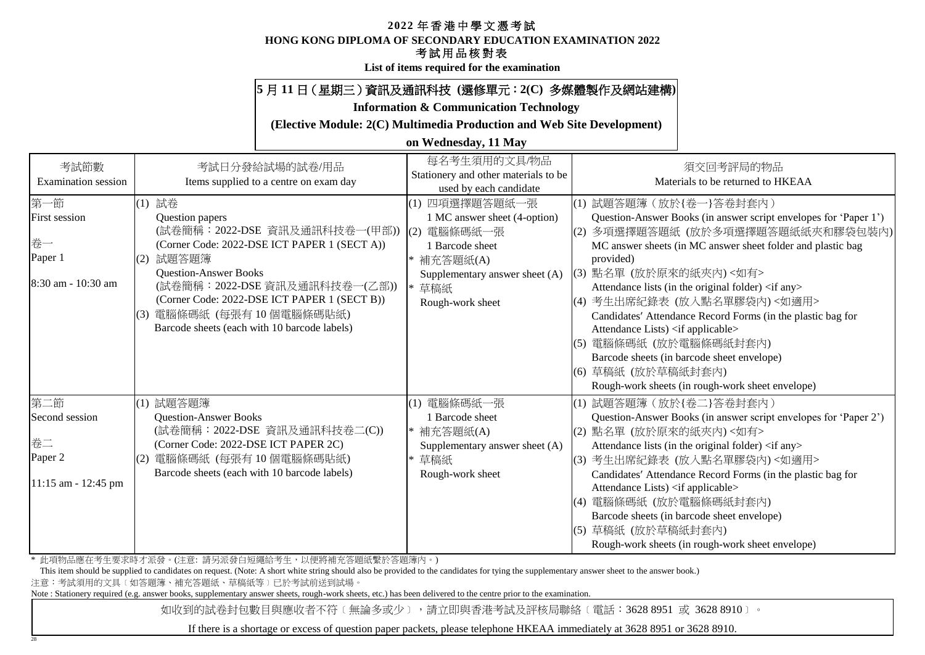#### **HONG KONG DIPLOMA OF SECONDARY EDUCATION EXAMINATION 2022**

## 考試用品核對表

**List of items required for the examination**

## **5** 月 **11** 日(星期三)資訊及通訊科技 **(**選修單元:**2(C)** 多媒體製作及網站建構**)**

**Information & Communication Technology**

**(Elective Module: 2(C) Multimedia Production and Web Site Development)**

## **on Wednesday, 11 May**

| 考試節數<br><b>Examination</b> session | 考試日分發給試場的試卷/用品<br>Items supplied to a centre on exam day | 每名考生須用的文具/物品<br>Stationery and other materials to be<br>used by each candidate |     | 須交回考評局的物品<br>Materials to be returned to HKEAA                   |
|------------------------------------|----------------------------------------------------------|--------------------------------------------------------------------------------|-----|------------------------------------------------------------------|
| 第一節                                | (1) 試卷                                                   | (1) 四項選擇題答題紙一張                                                                 |     | (1) 試題答題簿 (放於{卷一}答卷封套內)                                          |
| <b>First session</b>               | Question papers                                          | 1 MC answer sheet (4-option)                                                   |     | Question-Answer Books (in answer script envelopes for 'Paper 1') |
|                                    | (試卷簡稱: 2022-DSE 資訊及通訊科技卷一(甲部))                           | (2) 電腦條碼紙一張                                                                    | (2) | 多項選擇題答題紙 (放於多項選擇題答題紙紙夾和膠袋包裝內)                                    |
| 卷一                                 | (Corner Code: 2022-DSE ICT PAPER 1 (SECT A))             | 1 Barcode sheet                                                                |     | MC answer sheets (in MC answer sheet folder and plastic bag      |
| Paper 1                            | 試題答題簿<br>(2)                                             | * 補充答題紙(A)                                                                     |     | provided)                                                        |
|                                    | <b>Ouestion-Answer Books</b>                             | Supplementary answer sheet (A)                                                 |     | (3) 點名單 (放於原來的紙夾內)<如有>                                           |
| 8:30 am - 10:30 am                 | (試卷簡稱: 2022-DSE 資訊及通訊科技卷一(乙部))                           | 草稿紙                                                                            |     | Attendance lists (in the original folder) <if any=""></if>       |
|                                    | (Corner Code: 2022-DSE ICT PAPER 1 (SECT B))             | Rough-work sheet                                                               |     | (4) 考生出席紀錄表 (放入點名單膠袋內)<如適用>                                      |
|                                    | (3) 電腦條碼紙 (每張有10個電腦條碼貼紙)                                 |                                                                                |     | Candidates' Attendance Record Forms (in the plastic bag for      |
|                                    | Barcode sheets (each with 10 barcode labels)             |                                                                                |     | Attendance Lists) <if applicable=""></if>                        |
|                                    |                                                          |                                                                                | (5) | 電腦條碼紙 (放於電腦條碼紙封套內)                                               |
|                                    |                                                          |                                                                                |     | Barcode sheets (in barcode sheet envelope)                       |
|                                    |                                                          |                                                                                |     | (6) 草稿紙 (放於草稿紙封套內)                                               |
|                                    |                                                          |                                                                                |     | Rough-work sheets (in rough-work sheet envelope)                 |
| 第二節                                | (1) 試題答題簿                                                | 電腦條碼紙一張<br>(1)                                                                 |     | (1) 試題答題簿 (放於{卷二}答卷封套內)                                          |
| Second session                     | <b>Question-Answer Books</b>                             | 1 Barcode sheet                                                                |     | Question-Answer Books (in answer script envelopes for 'Paper 2') |
|                                    | (試卷簡稱: 2022-DSE 資訊及通訊科技卷二(C))                            | * 補充答題紙(A)                                                                     | (2) | 點名單 (放於原來的紙夾內)<如有>                                               |
| 卷二                                 | (Corner Code: 2022-DSE ICT PAPER 2C)                     | Supplementary answer sheet (A)                                                 |     | Attendance lists (in the original folder) <if any=""></if>       |
| Paper 2                            | 電腦條碼紙 (每張有10個電腦條碼貼紙)<br>(2)                              | * 草稿紙                                                                          |     | (3) 考生出席紀錄表 (放入點名單膠袋內)<如適用>                                      |
|                                    | Barcode sheets (each with 10 barcode labels)             | Rough-work sheet                                                               |     | Candidates' Attendance Record Forms (in the plastic bag for      |
| 11:15 am - 12:45 pm                |                                                          |                                                                                |     | Attendance Lists) <if applicable=""></if>                        |
|                                    |                                                          |                                                                                | (4) | 電腦條碼紙 (放於電腦條碼紙封套內)                                               |
|                                    |                                                          |                                                                                |     | Barcode sheets (in barcode sheet envelope)                       |
|                                    |                                                          |                                                                                |     | (5) 草稿紙 (放於草稿紙封套內)                                               |
|                                    |                                                          |                                                                                |     | Rough-work sheets (in rough-work sheet envelope)                 |

\* 此項物品應在考生要求時才派發。(注意: 請另派發白短繩給考生,以便將補充答題紙繫於答題簿內。)

This item should be supplied to candidates on request. (Note: A short white string should also be provided to the candidates for tying the supplementary answer sheet to the answer book.)

注意:考試須用的文具﹝如答題簿、補充答題紙、草稿紙等﹞已於考試前送到試場。

28

Note : Stationery required (e.g. answer books, supplementary answer sheets, rough-work sheets, etc.) has been delivered to the centre prior to the examination.

如收到的試卷封包數目與應收者不符〔無論多或少〕,請立即與香港考試及評核局聯絡〔電話:3628 8951 或 3628 8910〕。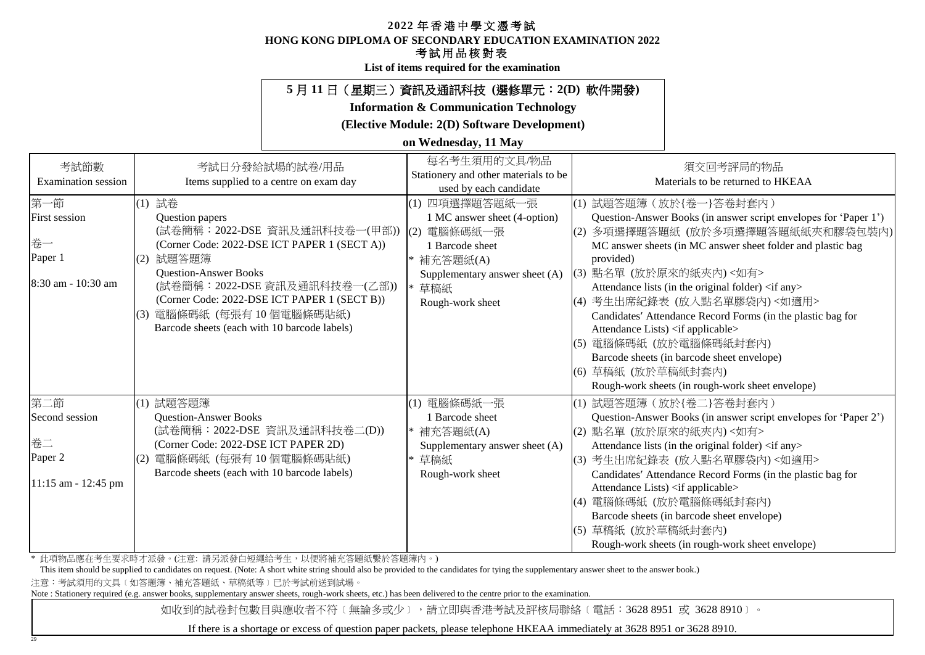#### **HONG KONG DIPLOMA OF SECONDARY EDUCATION EXAMINATION 2022**

## 考試用品核對表

**List of items required for the examination**

## **5** 月 **11** 日(星期三)資訊及通訊科技 **(**選修單元:**2(D)** 軟件開發**)**

**Information & Communication Technology**

**(Elective Module: 2(D) Software Development)**

## **on Wednesday, 11 May**

| 考試節數<br><b>Examination</b> session                                 | 考試日分發給試場的試卷/用品<br>Items supplied to a centre on exam day                                                                                                                                                                                                                                                                  | 每名考生須用的文具/物品<br>Stationery and other materials to be<br>used by each candidate                                                                              | 須交回考評局的物品<br>Materials to be returned to HKEAA                                                                                                                                                                                                                                                                                                                                                                                                                                                                                                                                                                          |
|--------------------------------------------------------------------|---------------------------------------------------------------------------------------------------------------------------------------------------------------------------------------------------------------------------------------------------------------------------------------------------------------------------|-------------------------------------------------------------------------------------------------------------------------------------------------------------|-------------------------------------------------------------------------------------------------------------------------------------------------------------------------------------------------------------------------------------------------------------------------------------------------------------------------------------------------------------------------------------------------------------------------------------------------------------------------------------------------------------------------------------------------------------------------------------------------------------------------|
| 第一節<br><b>First session</b><br>卷一<br>Paper 1<br>8:30 am - 10:30 am | (1) 試卷<br>Question papers<br>(試卷簡稱: 2022-DSE 資訊及通訊科技卷一(甲部))<br>(Corner Code: 2022-DSE ICT PAPER 1 (SECT A))<br>試題答題簿<br>(2)<br><b>Ouestion-Answer Books</b><br>(試卷簡稱: 2022-DSE 資訊及通訊科技卷一(乙部))<br>(Corner Code: 2022-DSE ICT PAPER 1 (SECT B))<br>(3) 電腦條碼紙 (每張有10個電腦條碼貼紙)<br>Barcode sheets (each with 10 barcode labels) | (1) 四項選擇題答題紙一張<br>1 MC answer sheet (4-option)<br>(2) 電腦條碼紙一張<br>1 Barcode sheet<br>* 補充答題紙(A)<br>Supplementary answer sheet (A)<br>草稿紙<br>Rough-work sheet | (1) 試題答題簿 (放於{卷一}答卷封套內)<br>Question-Answer Books (in answer script envelopes for 'Paper 1')<br>多項選擇題答題紙 (放於多項選擇題答題紙紙夾和膠袋包裝內)<br>(2)<br>MC answer sheets (in MC answer sheet folder and plastic bag<br>provided)<br>(3) 點名單 (放於原來的紙夾內) <如有><br>Attendance lists (in the original folder) <if any=""><br/> (4) 考生出席紀錄表 (放入點名單膠袋內)&lt;如適用&gt;<br/>Candidates' Attendance Record Forms (in the plastic bag for<br/>Attendance Lists) <if applicable=""><br/>電腦條碼紙 (放於電腦條碼紙封套內)<br/>(5)<br/>Barcode sheets (in barcode sheet envelope)<br/>(6) 草稿紙 (放於草稿紙封套內)<br/>Rough-work sheets (in rough-work sheet envelope)</if></if> |
| 第二節<br>Second session<br>卷二<br>Paper 2<br>11:15 am - 12:45 pm      | (1) 試題答題簿<br><b>Question-Answer Books</b><br>(試卷簡稱: 2022-DSE 資訊及通訊科技卷二(D))<br>(Corner Code: 2022-DSE ICT PAPER 2D)<br>電腦條碼紙 (每張有10個電腦條碼貼紙)<br>(2)<br>Barcode sheets (each with 10 barcode labels)                                                                                                                         | 電腦條碼紙一張<br>(1)<br>1 Barcode sheet<br>* 補充答題紙(A)<br>Supplementary answer sheet (A)<br>草稿紙<br>Rough-work sheet                                                | (1) 試題答題簿 (放於{卷二}答卷封套內)<br>Question-Answer Books (in answer script envelopes for 'Paper 2')<br>點名單 (放於原來的紙夾內)<如有><br>(2)<br>Attendance lists (in the original folder) <if any=""><br/>考生出席紀錄表 (放入點名單膠袋內)&lt;如適用&gt;<br/>(3)<br/>Candidates' Attendance Record Forms (in the plastic bag for<br/>Attendance Lists) <if applicable=""><br/>電腦條碼紙 (放於電腦條碼紙封套內)<br/>Barcode sheets (in barcode sheet envelope)<br/>草稿紙 (放於草稿紙封套內)<br/>(5)<br/>Rough-work sheets (in rough-work sheet envelope)</if></if>                                                                                                                    |

\* 此項物品應在考生要求時才派發。(注意: 請另派發白短繩給考生,以便將補充答題紙繫於答題簿內。)

This item should be supplied to candidates on request. (Note: A short white string should also be provided to the candidates for tying the supplementary answer sheet to the answer book.)

注意:考試須用的文具﹝如答題簿、補充答題紙、草稿紙等﹞已於考試前送到試場。

29

Note : Stationery required (e.g. answer books, supplementary answer sheets, rough-work sheets, etc.) has been delivered to the centre prior to the examination.

如收到的試卷封包數目與應收者不符〔無論多或少〕,請立即與香港考試及評核局聯絡〔電話:3628 8951 或 3628 8910〕。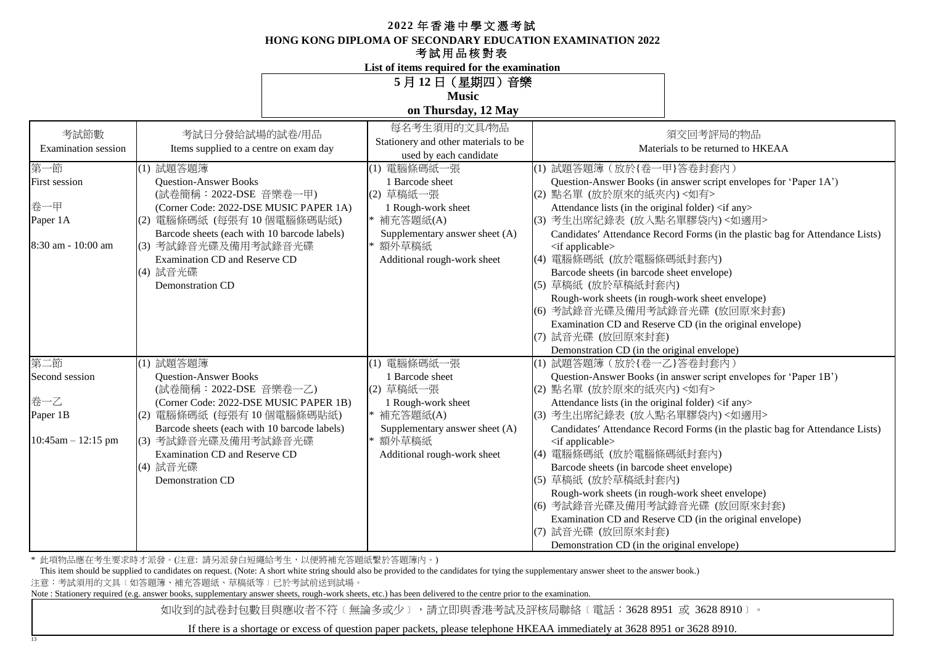**HONG KONG DIPLOMA OF SECONDARY EDUCATION EXAMINATION 2022**

#### 考試用品核對表

**List of items required for the examination**

**Music**

**on Thursday, 12 May**

| 考試節數<br>Examination session<br>第一節<br>First session<br>卷一甲<br>Paper 1A<br>8:30 am - 10:00 am | 考試日分發給試場的試卷/用品<br>Items supplied to a centre on exam day<br>(1) 試題答題簿<br><b>Question-Answer Books</b><br>(試卷簡稱: 2022-DSE 音樂卷一甲)<br>(Corner Code: 2022-DSE MUSIC PAPER 1A)<br>(2) 電腦條碼紙 (每張有10個電腦條碼貼紙)<br>Barcode sheets (each with 10 barcode labels)<br>(3) 考試錄音光碟及備用考試錄音光碟<br><b>Examination CD and Reserve CD</b><br>(4) 試音光碟<br>Demonstration CD | 每名考生須用的文具/物品<br>Stationery and other materials to be<br>used by each candidate<br>(1) 電腦條碼紙一張<br>1 Barcode sheet<br>(2) 草稿紙一張<br>1 Rough-work sheet<br> * 補充答題紙(A)<br>Supplementary answer sheet (A)<br>* 額外草稿紙<br>Additional rough-work sheet | 須交回考評局的物品<br>Materials to be returned to HKEAA<br>(1) 試題答題簿 (放於{卷一甲}答卷封套內)<br>Question-Answer Books (in answer script envelopes for 'Paper 1A')<br>(2) 點名單 (放於原來的紙夾內)<如有><br>Attendance lists (in the original folder) <if any=""><br/>(3) 考生出席紀錄表 (放入點名單膠袋內)&lt;如適用&gt;<br/>Candidates' Attendance Record Forms (in the plastic bag for Attendance Lists)<br/><if applicable=""><br/>(4) 電腦條碼紙 (放於電腦條碼紙封套內)<br/>Barcode sheets (in barcode sheet envelope)<br/>(5) 草稿紙 (放於草稿紙封套內)<br/>Rough-work sheets (in rough-work sheet envelope)<br/>(6) 考試錄音光碟及備用考試錄音光碟 (放回原來封套)<br/>Examination CD and Reserve CD (in the original envelope)<br/>(7) 試音光碟 (放回原來封套)</if></if>                                                                              |
|----------------------------------------------------------------------------------------------|------------------------------------------------------------------------------------------------------------------------------------------------------------------------------------------------------------------------------------------------------------------------------------------------------------------------------------------------------|------------------------------------------------------------------------------------------------------------------------------------------------------------------------------------------------------------------------------------------------|----------------------------------------------------------------------------------------------------------------------------------------------------------------------------------------------------------------------------------------------------------------------------------------------------------------------------------------------------------------------------------------------------------------------------------------------------------------------------------------------------------------------------------------------------------------------------------------------------------------------------------------------------------------------------------------------------------------------------------------------------|
| 第二節<br>Second session<br>卷一乙<br>Paper 1B<br>$10:45$ am $- 12:15$ pm                          | (1) 試題答題簿<br><b>Question-Answer Books</b><br>(試卷簡稱: 2022-DSE 音樂卷一乙)<br>(Corner Code: 2022-DSE MUSIC PAPER 1B)<br>(2) 電腦條碼紙 (每張有10個電腦條碼貼紙)<br>Barcode sheets (each with 10 barcode labels)<br>(3) 考試錄音光碟及備用考試錄音光碟<br>Examination CD and Reserve CD<br>(4) 試音光碟<br><b>Demonstration CD</b>                                                             | (1) 電腦條碼紙一張<br>1 Barcode sheet<br>(2) 草稿紙一張<br>1 Rough-work sheet<br>* 補充答題紙(A)<br>Supplementary answer sheet (A)<br>* 額外草稿紙<br>Additional rough-work sheet                                                                                    | Demonstration CD (in the original envelope)<br>(1) 試題答題簿 (放於{卷一乙}答卷封套內)<br>Question-Answer Books (in answer script envelopes for 'Paper 1B')<br>(2) 點名單 (放於原來的紙夾內) <如有><br>Attendance lists (in the original folder) <if any=""><br/>(3) 考生出席紀錄表 (放入點名單膠袋內)&lt;如適用&gt;<br/>Candidates' Attendance Record Forms (in the plastic bag for Attendance Lists)<br/><math>\langle</math> if applicable<math>\rangle</math><br/>(4) 電腦條碼紙 (放於電腦條碼紙封套內)<br/>Barcode sheets (in barcode sheet envelope)<br/>(5) 草稿紙 (放於草稿紙封套內)<br/>Rough-work sheets (in rough-work sheet envelope)<br/>(6) 考試錄音光碟及備用考試錄音光碟 (放回原來封套)<br/>Examination CD and Reserve CD (in the original envelope)<br/>(7) 試音光碟 (放回原來封套)<br/>Demonstration CD (in the original envelope)</if> |

\* 此項物品應在考生要求時才派發。(注意: 請另派發白短繩給考生,以便將補充答題紙繫於答題簿內。)

This item should be supplied to candidates on request. (Note: A short white string should also be provided to the candidates for tying the supplementary answer sheet to the answer book.)

注意:考試須用的文具﹝如答題簿、補充答題紙、草稿紙等﹞已於考試前送到試場。

13

Note : Stationery required (e.g. answer books, supplementary answer sheets, rough-work sheets, etc.) has been delivered to the centre prior to the examination.

如收到的試卷封包數目與應收者不符〔無論多或少〕,請立即與香港考試及評核局聯絡〔電話:3628 8951 或 3628 8910〕。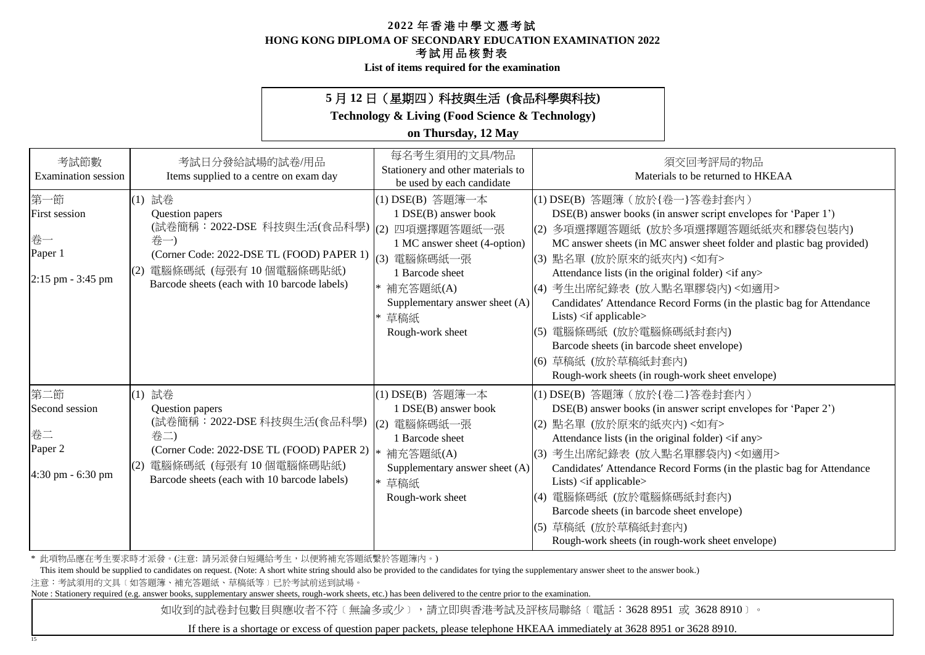**HONG KONG DIPLOMA OF SECONDARY EDUCATION EXAMINATION 2022**

### 考試用品核對表

**List of items required for the examination**

## **5** 月 **12** 日(星期四)科技與生活 **(**食品科學與科技**)**

**Technology & Living (Food Science & Technology)**

## **on Thursday, 12 May**

| 考試節數<br><b>Examination</b> session                                  | 考試日分發給試場的試卷/用品<br>Items supplied to a centre on exam day                                                                                                                                                    | 每名考生須用的文具/物品<br>Stationery and other materials to<br>be used by each candidate                                                                                                         | 須交回考評局的物品<br>Materials to be returned to HKEAA                                                                                                                                                                                                                                                                                                                                                                                                                                                                                                                                                                 |
|---------------------------------------------------------------------|-------------------------------------------------------------------------------------------------------------------------------------------------------------------------------------------------------------|----------------------------------------------------------------------------------------------------------------------------------------------------------------------------------------|----------------------------------------------------------------------------------------------------------------------------------------------------------------------------------------------------------------------------------------------------------------------------------------------------------------------------------------------------------------------------------------------------------------------------------------------------------------------------------------------------------------------------------------------------------------------------------------------------------------|
| 第一節<br><b>First session</b><br>卷一<br>Paper 1<br>$2:15$ pm - 3:45 pm | (1) 試卷<br>Question papers<br>(試卷簡稱: 2022-DSE 科技與生活(食品科學)  (2) 四項選擇題答題紙一張<br>卷一)<br>(Corner Code: 2022-DSE TL (FOOD) PAPER 1)<br>電腦條碼紙 (每張有10個電腦條碼貼紙)<br>(2)<br>Barcode sheets (each with 10 barcode labels) | (1) DSE(B) 答題簿一本<br>1 DSE(B) answer book<br>1 MC answer sheet (4-option)<br>(3)<br>電腦條碼紙一張<br>1 Barcode sheet<br>補充答題紙(A)<br>Supplementary answer sheet (A)<br>草稿紙<br>Rough-work sheet | (1) DSE(B) 答題簿 (放於{卷一}答卷封套內)<br>DSE(B) answer books (in answer script envelopes for 'Paper 1')<br>(2) 多項選擇題答題紙 (放於多項選擇題答題紙紙夾和膠袋包裝內)<br>MC answer sheets (in MC answer sheet folder and plastic bag provided)<br>(3) 點名單 (放於原來的紙夾內)<如有><br>Attendance lists (in the original folder) <if any=""><br/>(4) 考生出席紀錄表 (放入點名單膠袋內)&lt;如適用&gt;<br/>Candidates' Attendance Record Forms (in the plastic bag for Attendance<br/>Lists) <if applicable=""><br/>(5) 電腦條碼紙 (放於電腦條碼紙封套內)<br/>Barcode sheets (in barcode sheet envelope)<br/>(6) 草稿紙 (放於草稿紙封套內)<br/>Rough-work sheets (in rough-work sheet envelope)</if></if> |
| 第二節<br>Second session<br>卷二<br>Paper 2<br>4:30 pm - 6:30 pm         | (1) 試卷<br>Question papers<br>(試卷簡稱: 2022-DSE 科技與生活(食品科學)<br>卷二)<br>(Corner Code: 2022-DSE TL (FOOD) PAPER 2)<br>電腦條碼紙 (每張有10個電腦條碼貼紙)<br>(2)<br>Barcode sheets (each with 10 barcode labels)                 | (1) DSE(B) 答題簿一本<br>1 DSE(B) answer book<br>電腦條碼紙一張<br>(2)<br>1 Barcode sheet<br>補充答題紙(A)<br>Supplementary answer sheet (A)<br>草稿紙<br>Rough-work sheet                                 | (1) DSE(B) 答題簿 (放於{卷二}答卷封套內)<br>DSE(B) answer books (in answer script envelopes for 'Paper 2')<br>(2) 點名單 (放於原來的紙夾內)<如有><br>Attendance lists (in the original folder) <if any=""><br/>(3) 考生出席紀錄表 (放入點名單膠袋內)&lt;如適用&gt;<br/>Candidates' Attendance Record Forms (in the plastic bag for Attendance<br/>Lists) <math>\langle</math>if applicable<math>\rangle</math><br/>(4) 電腦條碼紙 (放於電腦條碼紙封套內)<br/>Barcode sheets (in barcode sheet envelope)<br/>(5) 草稿紙 (放於草稿紙封套內)<br/>Rough-work sheets (in rough-work sheet envelope)</if>                                                                                 |

\* 此項物品應在考生要求時才派發。(注意: 請另派發白短繩給考生,以便將補充答題紙繫於答題簿內。)

This item should be supplied to candidates on request. (Note: A short white string should also be provided to the candidates for tying the supplementary answer sheet to the answer book.)

注意:考試須用的文具﹝如答題簿、補充答題紙、草稿紙等﹞已於考試前送到試場。

15

Note : Stationery required (e.g. answer books, supplementary answer sheets, rough-work sheets, etc.) has been delivered to the centre prior to the examination.

如收到的試卷封包數目與應收者不符〔無論多或少〕,請立即與香港考試及評核局聯絡〔電話:3628 8951 或 3628 8910〕。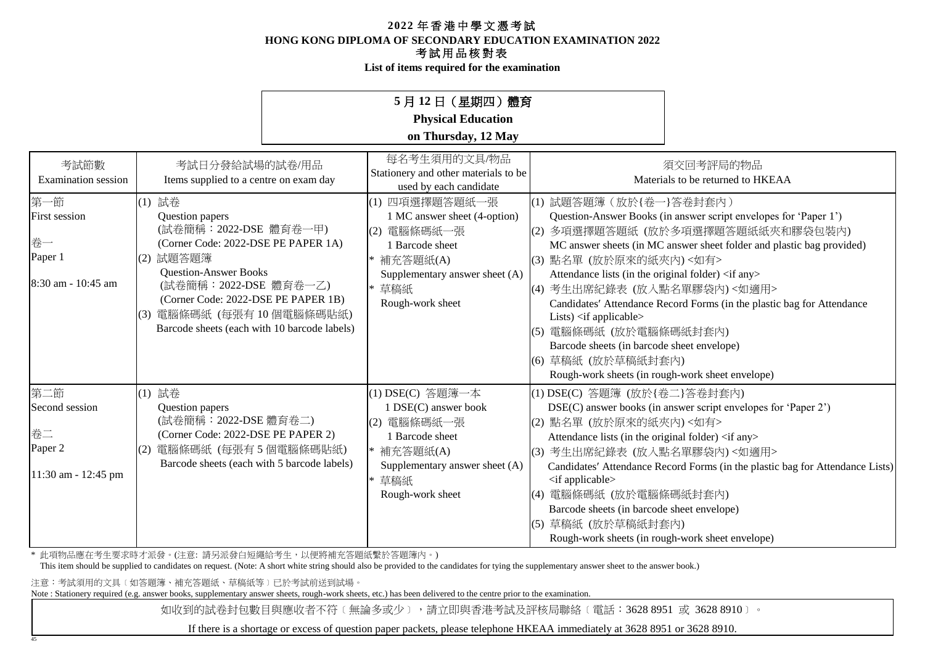**List of items required for the examination**

## **5** 月 **12** 日(星期四)體育

**Physical Education**

### **on Thursday, 12 May**

| 考試節數<br><b>Examination</b> session                                  | 考試日分發給試場的試卷/用品<br>Items supplied to a centre on exam day                                                                                                                                                                                                                             | 每名考生須用的文具/物品<br>Stationery and other materials to be<br>used by each candidate                                                                                 | 須交回考評局的物品<br>Materials to be returned to HKEAA                                                                                                                                                                                                                                                                                                                                                                                                                                                                                                                                                                                            |
|---------------------------------------------------------------------|--------------------------------------------------------------------------------------------------------------------------------------------------------------------------------------------------------------------------------------------------------------------------------------|----------------------------------------------------------------------------------------------------------------------------------------------------------------|-------------------------------------------------------------------------------------------------------------------------------------------------------------------------------------------------------------------------------------------------------------------------------------------------------------------------------------------------------------------------------------------------------------------------------------------------------------------------------------------------------------------------------------------------------------------------------------------------------------------------------------------|
| 第一節<br><b>First session</b><br>卷一<br>Paper 1<br>18:30 am - 10:45 am | (1) 試卷<br>Question papers<br>(試卷簡稱: 2022-DSE 體育卷一甲)<br>(Corner Code: 2022-DSE PE PAPER 1A)<br>(2) 試題答題簿<br><b>Question-Answer Books</b><br>(試卷簡稱: 2022-DSE 體育卷一乙)<br>(Corner Code: 2022-DSE PE PAPER 1B)<br>(3) 電腦條碼紙 (每張有10個電腦條碼貼紙)<br>Barcode sheets (each with 10 barcode labels) | (1) 四項選擇題答題紙一張<br>1 MC answer sheet (4-option)<br>(2) 電腦條碼紙一張<br><b>Barcode</b> sheet<br>補充答題紙(A)<br>Supplementary answer sheet (A)<br>草稿紙<br>Rough-work sheet | (1) 試題答題簿 (放於{卷一}答卷封套內)<br>Question-Answer Books (in answer script envelopes for 'Paper 1')<br> (2)多項選擇題答題紙(放於多項選擇題答題紙紙夾和膠袋包裝內)<br>MC answer sheets (in MC answer sheet folder and plastic bag provided)<br>(3) 點名單 (放於原來的紙夾內)<如有><br>Attendance lists (in the original folder) <if any=""><br/>(4) 考生出席紀錄表 (放入點名單膠袋內)&lt;如適用&gt;<br/>Candidates' Attendance Record Forms (in the plastic bag for Attendance<br/>Lists) <math>\langle</math> if applicable<math>\rangle</math><br/>(5) 電腦條碼紙 (放於電腦條碼紙封套內)<br/>Barcode sheets (in barcode sheet envelope)<br/>(6) 草稿紙 (放於草稿紙封套內)<br/>Rough-work sheets (in rough-work sheet envelope)</if> |
| 第二節<br>Second session<br>卷二<br>Paper 2<br>11:30 am - 12:45 pm       | (1) 試卷<br>Question papers<br>(試卷簡稱: 2022-DSE 體育卷二)<br>(Corner Code: 2022-DSE PE PAPER 2)<br>(2) 電腦條碼紙 (每張有5個電腦條碼貼紙)<br>Barcode sheets (each with 5 barcode labels)                                                                                                                   | (1) DSE(C) 答題簿一本<br>1 DSE(C) answer book<br>(2) 電腦條碼紙一張<br>1 Barcode sheet<br>補充答題紙(A)<br>Supplementary answer sheet (A)<br>* 草稿紙<br>Rough-work sheet          | (1) DSE(C) 答題簿 (放於{卷二}答卷封套內)<br>DSE(C) answer books (in answer script envelopes for 'Paper 2')<br>(2) 點名單 (放於原來的紙夾內)<如有><br>Attendance lists (in the original folder) <if any=""><br/>(3) 考生出席紀錄表 (放入點名單膠袋內)&lt;如適用&gt;<br/>Candidates' Attendance Record Forms (in the plastic bag for Attendance Lists)<br/><if applicable=""><br/> (4) 電腦條碼紙 (放於電腦條碼紙封套內)<br/>Barcode sheets (in barcode sheet envelope)<br/>草稿紙 (放於草稿紙封套內)<br/>(5)<br/>Rough-work sheets (in rough-work sheet envelope)</if></if>                                                                                                                                     |

\* 此項物品應在考生要求時才派發。(注意: 請另派發白短繩給考生,以便將補充答題紙繫於答題簿內。)

This item should be supplied to candidates on request. (Note: A short white string should also be provided to the candidates for tying the supplementary answer sheet to the answer book.)

注意:考試須用的文具﹝如答題簿、補充答題紙、草稿紙等﹞已於考試前送到試場。

45

Note : Stationery required (e.g. answer books, supplementary answer sheets, rough-work sheets, etc.) has been delivered to the centre prior to the examination.

如收到的試卷封包數目與應收者不符〔無論多或少〕,請立即與香港考試及評核局聯絡〔電話:3628 8951 或 3628 8910〕。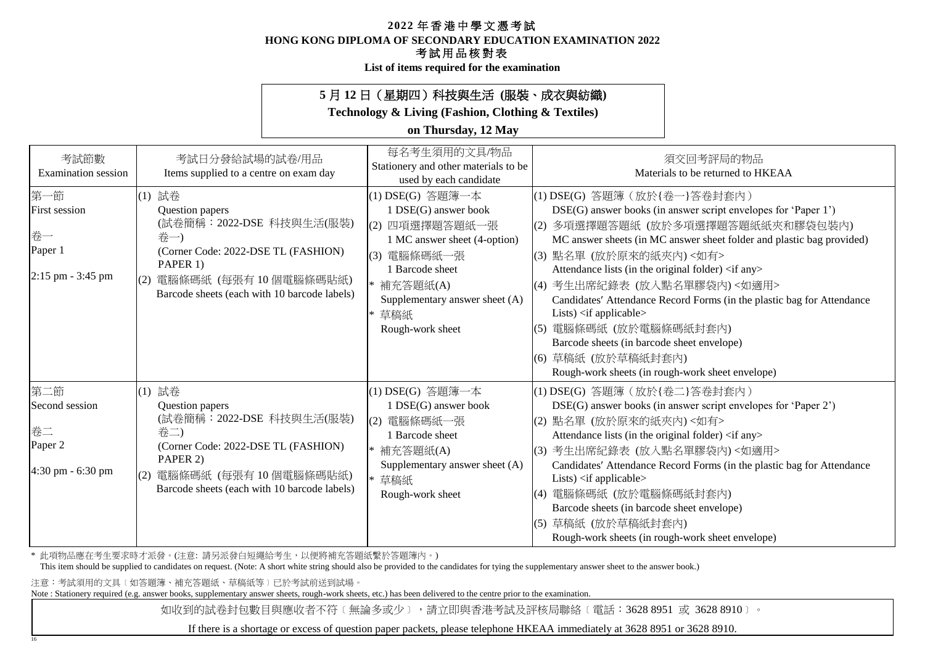**HONG KONG DIPLOMA OF SECONDARY EDUCATION EXAMINATION 2022**

### 考試用品核對表

**List of items required for the examination**

## **5** 月 **12** 日(星期四)科技與生活 **(**服裝、成衣與紡織**)**

**Technology & Living (Fashion, Clothing & Textiles)**

### **on Thursday, 12 May**

| 考試節數<br><b>Examination</b> session                                | 考試日分發給試場的試卷/用品<br>Items supplied to a centre on exam day                                                                                                                                     | 每名考生須用的文具/物品<br>Stationery and other materials to be<br>used by each candidate                                                                                                                               | 須交回考評局的物品<br>Materials to be returned to HKEAA                                                                                                                                                                                                                                                                                                                                                                                                                                                                                                                                                                                                 |
|-------------------------------------------------------------------|----------------------------------------------------------------------------------------------------------------------------------------------------------------------------------------------|--------------------------------------------------------------------------------------------------------------------------------------------------------------------------------------------------------------|------------------------------------------------------------------------------------------------------------------------------------------------------------------------------------------------------------------------------------------------------------------------------------------------------------------------------------------------------------------------------------------------------------------------------------------------------------------------------------------------------------------------------------------------------------------------------------------------------------------------------------------------|
| 第一節<br><b>First session</b><br>卷一<br>Paper 1<br>2:15 pm - 3:45 pm | (1) 試卷<br>Question papers<br>(試卷簡稱: 2022-DSE 科技與生活(服裝)<br>卷一)<br>(Corner Code: 2022-DSE TL (FASHION)<br>PAPER 1)<br>電腦條碼紙 (每張有10個電腦條碼貼紙)<br>Barcode sheets (each with 10 barcode labels)     | (1) DSE(G) 答題簿一本<br>1 DSE(G) answer book<br>四項選擇題答題紙一張<br>(2)<br>1 MC answer sheet (4-option)<br>(3) 電腦條碼紙一張<br>1 Barcode sheet<br>* 補充答題紙(A)<br>Supplementary answer sheet (A)<br>* 草稿紙<br>Rough-work sheet | (1) DSE(G) 答題簿 (放於{卷一}答卷封套內)<br>DSE(G) answer books (in answer script envelopes for 'Paper 1')<br> (2) 多項選擇題答題紙 (放於多項選擇題答題紙紙夾和膠袋包裝內)<br>MC answer sheets (in MC answer sheet folder and plastic bag provided)<br>(3) 點名單 (放於原來的紙夾內) <如有><br>Attendance lists (in the original folder) <if any=""><br/>(4) 考生出席紀錄表 (放入點名單膠袋內)&lt;如適用&gt;<br/>Candidates' Attendance Record Forms (in the plastic bag for Attendance<br/>Lists) <math>\langle</math>if applicable<math>\rangle</math><br/>(5) 電腦條碼紙 (放於電腦條碼紙封套內)<br/>Barcode sheets (in barcode sheet envelope)<br/>(6) 草稿紙 (放於草稿紙封套內)<br/>Rough-work sheets (in rough-work sheet envelope)</if> |
| 第二節<br>Second session<br>卷二<br>Paper 2<br>4:30 pm - 6:30 pm       | (1) 試卷<br>Question papers<br>(試卷簡稱: 2022-DSE 科技與生活(服裝)<br>卷二)<br>(Corner Code: 2022-DSE TL (FASHION)<br>PAPER 2)<br>(2) 電腦條碼紙 (每張有10個電腦條碼貼紙)<br>Barcode sheets (each with 10 barcode labels) | (1) DSE(G) 答題簿一本<br>1 DSE(G) answer book<br>(2) 電腦條碼紙一張<br>1 Barcode sheet<br>* 補充答題紙(A)<br>Supplementary answer sheet (A)<br>* 草稿紙<br>Rough-work sheet                                                      | (1) DSE(G) 答題簿 (放於{卷二}答卷封套內)<br>DSE(G) answer books (in answer script envelopes for 'Paper 2')<br>(2) 點名單 (放於原來的紙夾內)<如有><br>Attendance lists (in the original folder) <if any=""><br/>(3) 考生出席紀錄表 (放入點名單膠袋內)&lt;如適用&gt;<br/>Candidates' Attendance Record Forms (in the plastic bag for Attendance<br/>Lists) <math>\langle</math>if applicable<math>\rangle</math><br/>(4) 電腦條碼紙 (放於電腦條碼紙封套內)<br/>Barcode sheets (in barcode sheet envelope)<br/>(5) 草稿紙 (放於草稿紙封套內)<br/>Rough-work sheets (in rough-work sheet envelope)</if>                                                                                                                 |

\* 此項物品應在考生要求時才派發。(注意: 請另派發白短繩給考生,以便將補充答題紙繫於答題簿內。)

This item should be supplied to candidates on request. (Note: A short white string should also be provided to the candidates for tying the supplementary answer sheet to the answer book.)

注意:考試須用的文具﹝如答題簿、補充答題紙、草稿紙等﹞已於考試前送到試場。

16

Note : Stationery required (e.g. answer books, supplementary answer sheets, rough-work sheets, etc.) has been delivered to the centre prior to the examination.

如收到的試卷封包數目與應收者不符〔無論多或少〕,請立即與香港考試及評核局聯絡〔電話:3628 8951 或 3628 8910〕。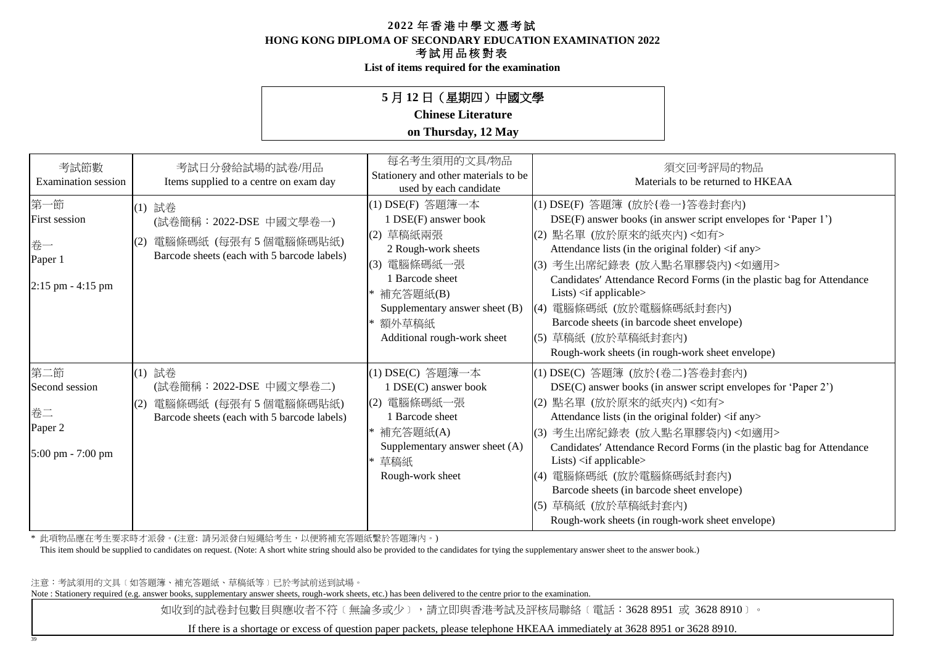**HONG KONG DIPLOMA OF SECONDARY EDUCATION EXAMINATION 2022**

### 考試用品核對表

**List of items required for the examination**

## **5** 月 **12** 日(星期四)中國文學

## **Chinese Literature**

#### **on Thursday, 12 May**

| 考試節數<br><b>Examination</b> session                            | 考試日分發給試場的試卷/用品<br>Items supplied to a centre on exam day                                                       | 每名考生須用的文具/物品<br>Stationery and other materials to be<br>used by each candidate                                                                                                                         | 須交回考評局的物品<br>Materials to be returned to HKEAA                                                                                                                                                                                                                                                                                                                                                                                                                                                                                   |
|---------------------------------------------------------------|----------------------------------------------------------------------------------------------------------------|--------------------------------------------------------------------------------------------------------------------------------------------------------------------------------------------------------|----------------------------------------------------------------------------------------------------------------------------------------------------------------------------------------------------------------------------------------------------------------------------------------------------------------------------------------------------------------------------------------------------------------------------------------------------------------------------------------------------------------------------------|
| 第一節<br>First session<br>卷一<br>Paper 1<br>$2:15$ pm $-4:15$ pm | (1) 試卷<br>(試卷簡稱: 2022-DSE 中國文學卷一)<br>電腦條碼紙 (每張有5個電腦條碼貼紙)<br>(2)<br>Barcode sheets (each with 5 barcode labels) | (1) DSE(F) 答題簿一本<br>1 DSE(F) answer book<br>(2) 草稿紙兩張<br>2 Rough-work sheets<br>(3) 電腦條碼紙一張<br>1 Barcode sheet<br>* 補充答題紙(B)<br>Supplementary answer sheet (B)<br>額外草稿紙<br>Additional rough-work sheet | (1) DSE(F) 答題簿 (放於{卷一}答卷封套內)<br>DSE(F) answer books (in answer script envelopes for 'Paper 1')<br>(2) 點名單 (放於原來的紙夾內)<如有><br>Attendance lists (in the original folder) <if any=""><br/>(3) 考生出席紀錄表 (放入點名單膠袋內)&lt;如適用&gt;<br/>Candidates' Attendance Record Forms (in the plastic bag for Attendance<br/>Lists) <math>\langle</math>if applicable<math>\rangle</math><br/> (4) 電腦條碼紙 (放於電腦條碼紙封套內)<br/>Barcode sheets (in barcode sheet envelope)<br/> (5) 草稿紙 (放於草稿紙封套內)<br/>Rough-work sheets (in rough-work sheet envelope)</if> |
| 第二節<br>Second session<br>卷二<br>Paper 2<br>5:00 pm - 7:00 pm   | (1) 試卷<br>(試卷簡稱:2022-DSE 中國文學卷二)<br>電腦條碼紙 (每張有5個電腦條碼貼紙)<br>(2)<br>Barcode sheets (each with 5 barcode labels)  | (1) DSE(C) 答題簿一本<br>1 DSE(C) answer book<br>(2) 電腦條碼紙一張<br>1 Barcode sheet<br>* 補充答題紙(A)<br>Supplementary answer sheet (A)<br>草稿紙<br>Rough-work sheet                                                  | (1) DSE(C) 答題簿 (放於{卷二}答卷封套內)<br>DSE(C) answer books (in answer script envelopes for 'Paper 2')<br>(2) 點名單 (放於原來的紙夾內)<如有><br>Attendance lists (in the original folder) <if any=""><br/> (3) 考生出席紀錄表 (放入點名單膠袋內)&lt;如適用&gt;<br/>Candidates' Attendance Record Forms (in the plastic bag for Attendance<br/>Lists) <if applicable=""><br/> (4) 電腦條碼紙 (放於電腦條碼紙封套內)<br/>Barcode sheets (in barcode sheet envelope)<br/>(5) 草稿紙 (放於草稿紙封套內)<br/>Rough-work sheets (in rough-work sheet envelope)</if></if>                               |

\* 此項物品應在考生要求時才派發。(注意: 請另派發白短繩給考生,以便將補充答題紙繫於答題簿內。)

This item should be supplied to candidates on request. (Note: A short white string should also be provided to the candidates for tying the supplementary answer sheet to the answer book.)

注意:考試須用的文具﹝如答題簿、補充答題紙、草稿紙等﹞已於考試前送到試場。

39

Note : Stationery required (e.g. answer books, supplementary answer sheets, rough-work sheets, etc.) has been delivered to the centre prior to the examination.

如收到的試卷封包數目與應收者不符〔無論多或少〕,請立即與香港考試及評核局聯絡〔電話:3628 8951 或 3628 8910〕。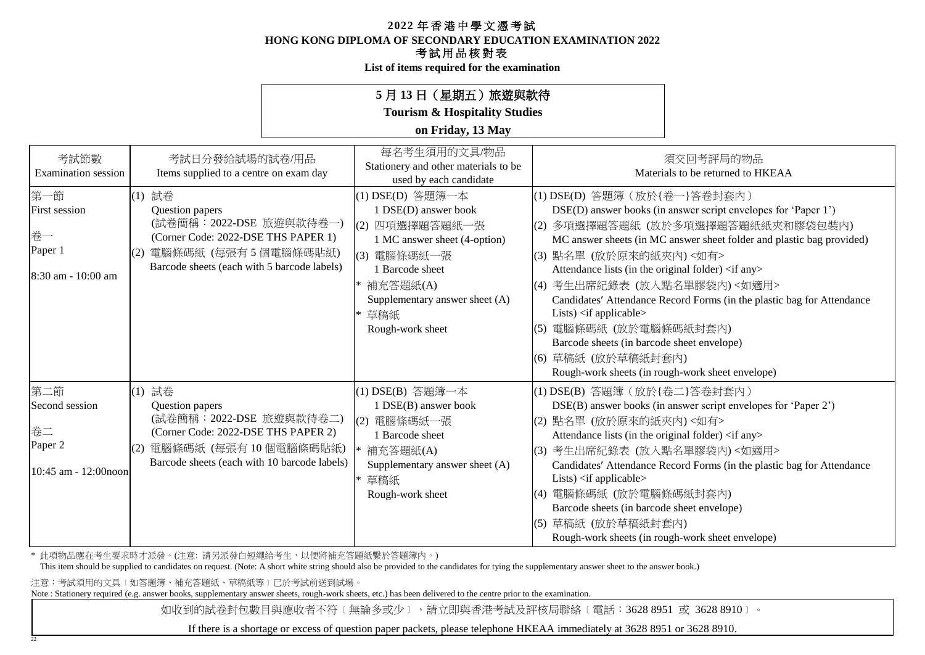**HONG KONG DIPLOMA OF SECONDARY EDUCATION EXAMINATION 2022**

### 考試用品核對表

**List of items required for the examination**

## **5** 月 **13** 日(星期五)旅遊與款待

**Tourism & Hospitality Studies**

### **on Friday, 13 May**

| 考試節數<br><b>Examination</b> session                                 | 考試日分發給試場的試卷/用品<br>Items supplied to a centre on exam day                                                                                                                    | 每名考生須用的文具/物品<br>Stationery and other materials to be<br>used by each candidate                                                                                                                                | 須交回考評局的物品<br>Materials to be returned to HKEAA                                                                                                                                                                                                                                                                                                                                                                                                                                                                                                                                                                   |
|--------------------------------------------------------------------|-----------------------------------------------------------------------------------------------------------------------------------------------------------------------------|---------------------------------------------------------------------------------------------------------------------------------------------------------------------------------------------------------------|------------------------------------------------------------------------------------------------------------------------------------------------------------------------------------------------------------------------------------------------------------------------------------------------------------------------------------------------------------------------------------------------------------------------------------------------------------------------------------------------------------------------------------------------------------------------------------------------------------------|
| 第一節<br><b>First session</b><br>卷一<br>Paper 1<br>8:30 am - 10:00 am | (1) 試卷<br>Question papers<br>(試卷簡稱: 2022-DSE 旅遊與款待卷一)<br>(Corner Code: 2022-DSE THS PAPER 1)<br>電腦條碼紙 (每張有5個電腦條碼貼紙)<br>(2)<br>Barcode sheets (each with 5 barcode labels)   | (1) DSE(D) 答題簿一本<br>1 DSE(D) answer book<br>四項選擇題答題紙一張<br>(2)<br>1 MC answer sheet (4-option)<br>(3)<br>電腦條碼紙一張<br>1 Barcode sheet<br>補充答題紙(A)<br>Supplementary answer sheet (A)<br>* 草稿紙<br>Rough-work sheet | (1) DSE(D) 答題簿 (放於{卷一}答卷封套內)<br>DSE(D) answer books (in answer script envelopes for 'Paper 1')<br> (2) 多項選擇題答題紙 (放於多項選擇題答題紙紙夾和膠袋包裝內)<br>MC answer sheets (in MC answer sheet folder and plastic bag provided)<br>(3) 點名單 (放於原來的紙夾內) <如有><br>Attendance lists (in the original folder) <if any=""><br/>(4) 考生出席紀錄表 (放入點名單膠袋內)&lt;如適用&gt;<br/>Candidates' Attendance Record Forms (in the plastic bag for Attendance<br/>Lists) <if applicable=""><br/>(5) 電腦條碼紙 (放於電腦條碼紙封套內)<br/>Barcode sheets (in barcode sheet envelope)<br/>(6) 草稿紙 (放於草稿紙封套內)<br/>Rough-work sheets (in rough-work sheet envelope)</if></if> |
| 第二節<br>Second session<br>卷二<br>Paper 2<br>$10:45$ am - 12:00 noon  | (1) 試卷<br>Question papers<br>(試卷簡稱: 2022-DSE 旅遊與款待卷二)<br>(Corner Code: 2022-DSE THS PAPER 2)<br>電腦條碼紙 (每張有10個電腦條碼貼紙)<br>(2)<br>Barcode sheets (each with 10 barcode labels) | (1) DSE(B) 答題簿一本<br>1 DSE(B) answer book<br>電腦條碼紙一張<br>(2)<br>1 Barcode sheet<br>補充答題紙(A)<br>Supplementary answer sheet (A)<br>草稿紙<br>Rough-work sheet                                                        | (1) DSE(B) 答題簿 (放於{卷二}答卷封套內)<br>DSE(B) answer books (in answer script envelopes for 'Paper 2')<br>(2) 點名單 (放於原來的紙夾內)<如有><br>Attendance lists (in the original folder) <if any=""><br/>(3) 考生出席紀錄表 (放入點名單膠袋內)&lt;如適用&gt;<br/>Candidates' Attendance Record Forms (in the plastic bag for Attendance<br/>Lists) <if applicable=""><br/>(4) 電腦條碼紙 (放於電腦條碼紙封套內)<br/>Barcode sheets (in barcode sheet envelope)<br/>(5) 草稿紙 (放於草稿紙封套內)<br/>Rough-work sheets (in rough-work sheet envelope)</if></if>                                                                                                                 |

\* 此項物品應在考生要求時才派發。(注意: 請另派發白短繩給考生,以便將補充答題紙繫於答題簿內。)

This item should be supplied to candidates on request. (Note: A short white string should also be provided to the candidates for tying the supplementary answer sheet to the answer book.)

注意:考試須用的文具﹝如答題簿、補充答題紙、草稿紙等﹞已於考試前送到試場。

22

Note : Stationery required (e.g. answer books, supplementary answer sheets, rough-work sheets, etc.) has been delivered to the centre prior to the examination.

如收到的試卷封包數目與應收者不符〔無論多或少〕,請立即與香港考試及評核局聯絡〔電話:3628 8951 或 3628 8910〕。